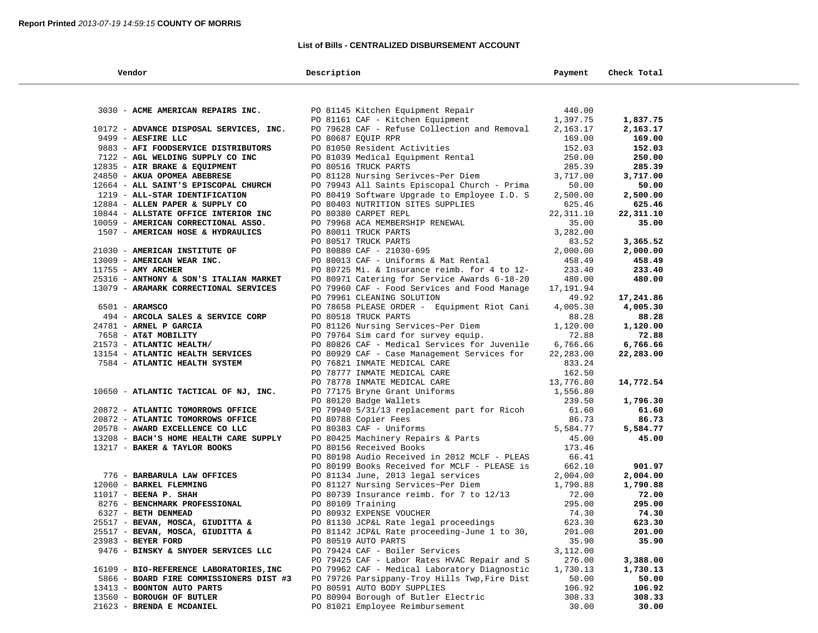## **List of Bills - CENTRALIZED DISBURSEMENT ACCOUNT**

| Vendor                                  | Description                                                           | Payment   | Check Total |  |
|-----------------------------------------|-----------------------------------------------------------------------|-----------|-------------|--|
|                                         |                                                                       |           |             |  |
| 3030 - ACME AMERICAN REPAIRS INC.       | PO 81145 Kitchen Equipment Repair<br>DO 91161 CAF - Kitchen Equipment | 440.00    |             |  |
|                                         |                                                                       | 1,397.75  | 1,837.75    |  |
| 10172 - ADVANCE DISPOSAL SERVICES, INC. | PO 79628 CAF - Refuse Collection and Removal                          | 2,163.17  | 2,163.17    |  |
| 9499 - AESFIRE LLC                      | PO 80687 EQUIP RPR                                                    | 169.00    | 169.00      |  |
| 9883 - AFI FOODSERVICE DISTRIBUTORS     | PO 81050 Resident Activities                                          | 152.03    | 152.03      |  |
| 7122 - AGL WELDING SUPPLY CO INC        | PO 81039 Medical Equipment Rental                                     | 250.00    | 250.00      |  |
| 12835 - AIR BRAKE & EQUIPMENT           | PO 80516 TRUCK PARTS                                                  | 285.39    | 285.39      |  |
| 24850 - AKUA OPOMEA ABEBRESE            | PO 81128 Nursing Serivces~Per Diem                                    | 3,717.00  | 3,717.00    |  |
| 12664 - ALL SAINT'S EPISCOPAL CHURCH    | PO 79943 All Saints Episcopal Church - Prima                          | 50.00     | 50.00       |  |
| 1219 - ALL-STAR IDENTIFICATION          | PO 80419 Software Upgrade to Employee I.D. S                          | 2,500.00  | 2,500.00    |  |
| 12884 - ALLEN PAPER & SUPPLY CO         | PO 80403 NUTRITION SITES SUPPLIES                                     | 625.46    | 625.46      |  |
| 10844 - ALLSTATE OFFICE INTERIOR INC    | PO 80380 CARPET REPL                                                  | 22,311.10 | 22,311.10   |  |
| 10059 - AMERICAN CORRECTIONAL ASSO.     | PO 79968 ACA MEMBERSHIP RENEWAL                                       | 35.00     | 35.00       |  |
| 1507 - AMERICAN HOSE & HYDRAULICS       | PO 80011 TRUCK PARTS                                                  | 3,282.00  |             |  |
|                                         | PO 80517 TRUCK PARTS                                                  | 83.52     | 3,365.52    |  |
| 21030 - AMERICAN INSTITUTE OF           | PO 80880 CAF - 21030-695                                              | 2,000.00  | 2,000.00    |  |
| 13009 - AMERICAN WEAR INC.              | PO 80013 CAF - Uniforms & Mat Rental                                  | 458.49    | 458.49      |  |
| $11755$ - AMY ARCHER                    | PO 80725 Mi. & Insurance reimb. for 4 to 12-                          | 233.40    | 233.40      |  |
| 25316 - ANTHONY & SON'S ITALIAN MARKET  | PO 80971 Catering for Service Awards 6-18-20                          | 480.00    | 480.00      |  |
| 13079 - ARAMARK CORRECTIONAL SERVICES   | PO 79960 CAF - Food Services and Food Manage                          | 17,191.94 |             |  |
|                                         | PO 79961 CLEANING SOLUTION                                            | 49.92     | 17,241.86   |  |
| $6501 - ARAMSCO$                        | PO 78658 PLEASE ORDER - Equipment Riot Cani                           | 4,005.30  | 4,005.30    |  |
| 494 - ARCOLA SALES & SERVICE CORP       | PO 80518 TRUCK PARTS                                                  | 88.28     | 88.28       |  |
| 24781 - ARNEL P GARCIA                  | PO 81126 Nursing Services~Per Diem                                    | 1,120.00  | 1,120.00    |  |
| 7658 - AT&T MOBILITY                    | PO 79764 Sim card for survey equip.                                   | 72.88     | 72.88       |  |
| 21573 - ATLANTIC HEALTH/                | PO 80826 CAF - Medical Services for Juvenile                          | 6,766.66  | 6,766.66    |  |
| 13154 - ATLANTIC HEALTH SERVICES        | PO 80929 CAF - Case Management Services for                           | 22,283.00 | 22,283.00   |  |
| 7584 - ATLANTIC HEALTH SYSTEM           | PO 76821 INMATE MEDICAL CARE                                          | 833.24    |             |  |
|                                         | PO 78777 INMATE MEDICAL CARE                                          | 162.50    |             |  |
|                                         | PO 78778 INMATE MEDICAL CARE                                          | 13,776.80 | 14,772.54   |  |
| 10650 - ATLANTIC TACTICAL OF NJ, INC.   | PO 77175 Bryne Grant Uniforms                                         | 1,556.80  |             |  |
|                                         | PO 80120 Badge Wallets                                                | 239.50    | 1,796.30    |  |
| 20872 - ATLANTIC TOMORROWS OFFICE       | PO 79940 5/31/13 replacement part for Ricoh                           | 61.60     | 61.60       |  |
| 20872 - ATLANTIC TOMORROWS OFFICE       | PO 80788 Copier Fees                                                  | 86.73     | 86.73       |  |
| 20578 - AWARD EXCELLENCE CO LLC         | PO 80383 CAF - Uniforms                                               | 5,584.77  | 5,584.77    |  |
| 13208 - BACH'S HOME HEALTH CARE SUPPLY  | PO 80425 Machinery Repairs & Parts                                    | 45.00     | 45.00       |  |
| 13217 - BAKER & TAYLOR BOOKS            | PO 80156 Received Books                                               | 173.46    |             |  |
|                                         | PO 80198 Audio Received in 2012 MCLF - PLEAS                          | 66.41     |             |  |
|                                         | PO 80199 Books Received for MCLF - PLEASE is                          | 662.10    | 901.97      |  |
| 776 - BARBARULA LAW OFFICES             | PO 81134 June, 2013 legal services                                    | 2,004.00  | 2,004.00    |  |
| 12060 - BARKEL FLEMMING                 | PO 81127 Nursing Services~Per Diem                                    | 1,790.88  | 1,790.88    |  |
| $11017$ - BEENA P. SHAH                 | PO 80739 Insurance reimb. for 7 to 12/13                              | 72.00     | 72.00       |  |
| 8276 - BENCHMARK PROFESSIONAL           | PO 80109 Training                                                     | 295.00    | 295.00      |  |
| 6327 - BETH DENMEAD                     | PO 80932 EXPENSE VOUCHER                                              | 74.30     | 74.30       |  |
| 25517 - BEVAN, MOSCA, GIUDITTA &        | PO 81130 JCP&L Rate legal proceedings                                 | 623.30    | 623.30      |  |
| 25517 - BEVAN, MOSCA, GIUDITTA &        | PO 81142 JCP&L Rate proceeding-June 1 to 30,                          | 201.00    | 201.00      |  |
| 23983 - BEYER FORD                      | PO 80519 AUTO PARTS                                                   | 35.90     | 35.90       |  |
| 9476 - BINSKY & SNYDER SERVICES LLC     | PO 79424 CAF - Boiler Services                                        | 3,112.00  |             |  |
|                                         | PO 79425 CAF - Labor Rates HVAC Repair and S                          | 276.00    | 3,388.00    |  |
| 16109 - BIO-REFERENCE LABORATORIES, INC | PO 79962 CAF - Medical Laboratory Diagnostic                          | 1,730.13  | 1,730.13    |  |
| 5866 - BOARD FIRE COMMISSIONERS DIST #3 | PO 79726 Parsippany-Troy Hills Twp, Fire Dist                         | 50.00     | 50.00       |  |
| 13413 - BOONTON AUTO PARTS              | PO 80591 AUTO BODY SUPPLIES                                           | 106.92    | 106.92      |  |
| 13560 - BOROUGH OF BUTLER               | PO 80904 Borough of Butler Electric                                   | 308.33    | 308.33      |  |
| 21623 - BRENDA E MCDANIEL               | PO 81021 Employee Reimbursement                                       | 30.00     | 30.00       |  |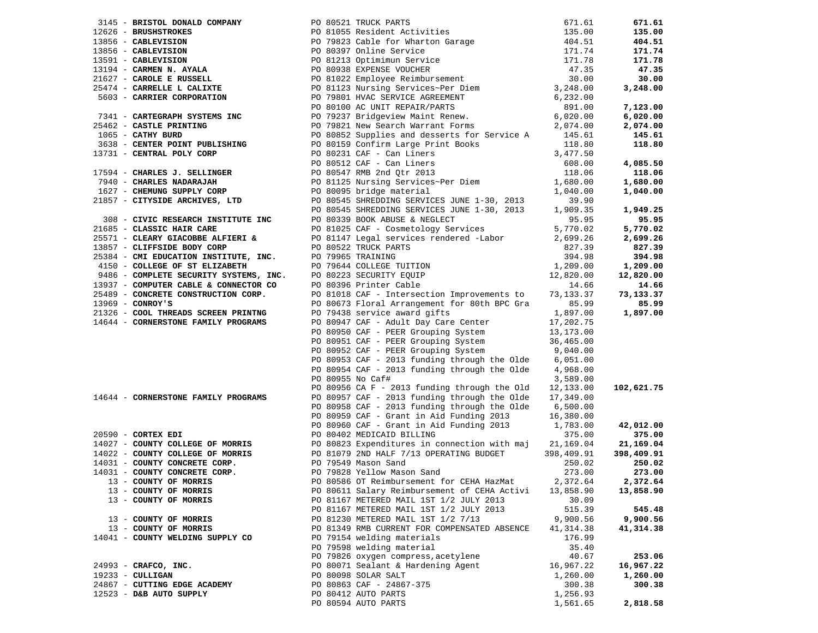|                                     |                                                                                                                                                                                                                                                             |           | 671.61     |
|-------------------------------------|-------------------------------------------------------------------------------------------------------------------------------------------------------------------------------------------------------------------------------------------------------------|-----------|------------|
|                                     |                                                                                                                                                                                                                                                             |           | 135.00     |
|                                     |                                                                                                                                                                                                                                                             |           | 404.51     |
|                                     |                                                                                                                                                                                                                                                             |           | 171.74     |
|                                     |                                                                                                                                                                                                                                                             |           | 171.78     |
|                                     |                                                                                                                                                                                                                                                             |           | 47.35      |
|                                     |                                                                                                                                                                                                                                                             |           | 30.00      |
|                                     |                                                                                                                                                                                                                                                             |           | 3,248.00   |
|                                     |                                                                                                                                                                                                                                                             |           |            |
|                                     |                                                                                                                                                                                                                                                             |           | 7,123.00   |
|                                     |                                                                                                                                                                                                                                                             |           | 6,020.00   |
|                                     |                                                                                                                                                                                                                                                             |           | 2,074.00   |
|                                     |                                                                                                                                                                                                                                                             |           | 145.61     |
|                                     |                                                                                                                                                                                                                                                             |           |            |
|                                     |                                                                                                                                                                                                                                                             |           | 118.80     |
|                                     |                                                                                                                                                                                                                                                             |           |            |
|                                     | 3145 - BRISTING COMPANY PO 81521 TRUCK PARTS 671.61<br>12626 - BRUSHSTROKES (1978)<br>12626 - BRUSHSTROKES (1978)<br>13856 - CABLEVISION PO 81055 Resident Activities (1978)<br>13596 - CABLEVISION PO 81039 Chiline Service<br>13194 -                     |           | 4,085.50   |
|                                     |                                                                                                                                                                                                                                                             |           | 118.06     |
|                                     |                                                                                                                                                                                                                                                             |           | 1,680.00   |
|                                     |                                                                                                                                                                                                                                                             |           | 1,040.00   |
|                                     |                                                                                                                                                                                                                                                             |           |            |
|                                     |                                                                                                                                                                                                                                                             |           | 1,949.25   |
|                                     |                                                                                                                                                                                                                                                             |           | 95.95      |
|                                     |                                                                                                                                                                                                                                                             |           | 5,770.02   |
|                                     |                                                                                                                                                                                                                                                             |           | 2,699.26   |
|                                     |                                                                                                                                                                                                                                                             |           | 827.39     |
|                                     |                                                                                                                                                                                                                                                             |           | 394.98     |
|                                     | PO 80545 SHREDDING SERVICES JUNE 1-30, 2013<br>2008 - <b>CLASSIC HAIR CARE</b><br>2008 - <b>CLASSIC HAIR CARE</b><br>200810339 BOOK ABUSE & NEGLECT<br>20081039 BOOK ABUSE & NEGLECT<br>20099 Services<br>20081147 <b>CLASSIC MAIR CARE</b><br>20099 SEVICE |           | 1,209.00   |
|                                     |                                                                                                                                                                                                                                                             |           | 12,820.00  |
|                                     |                                                                                                                                                                                                                                                             |           | 14.66      |
|                                     |                                                                                                                                                                                                                                                             |           | 73,133.37  |
| $13969$ - CONROY'S                  | PO 80673 Floral Arrangement for 80th BPC Gra                                                                                                                                                                                                                | 85.99     | 85.99      |
| 21326 - COOL THREADS SCREEN PRINTNG |                                                                                                                                                                                                                                                             |           | 1,897.00   |
| 14644 - CORNERSTONE FAMILY PROGRAMS | PO 79438 service award gifts 1,897.00<br>PO 79438 service award gifts 1,897.00<br>PO 80947 CAF - Adult Day Care Center 17,202.75<br>PO 80950 CAF - PEER Grouping System 36,465.00<br>PO 80952 CAF - PEER Grouping System 9,040.00<br>PO                     |           |            |
|                                     |                                                                                                                                                                                                                                                             |           |            |
|                                     |                                                                                                                                                                                                                                                             |           |            |
|                                     |                                                                                                                                                                                                                                                             |           |            |
|                                     | PO 80953 CAF - 2013 funding through the Olde $6,051.00$                                                                                                                                                                                                     |           |            |
|                                     | PO 80954 CAF - 2013 funding through the Olde $4,968.00$                                                                                                                                                                                                     |           |            |
|                                     | PO 80955 No Caf#                                                                                                                                                                                                                                            | 3,589.00  |            |
|                                     | PO 80956 CA F - 2013 funding through the Old                                                                                                                                                                                                                |           | 102,621.75 |
|                                     | PO 80957 CAF - 2013 funding through the Olde 17,349.00                                                                                                                                                                                                      | 12,133.00 |            |
| 14644 - CORNERSTONE FAMILY PROGRAMS |                                                                                                                                                                                                                                                             |           |            |
|                                     | PO 80958 CAF - 2013 funding through the Olde 6,500.00                                                                                                                                                                                                       |           |            |
|                                     | PO 80959 CAF - Grant in Aid Funding 2013                                                                                                                                                                                                                    | 16,380.00 |            |
| $20590$ - CORTEX EDI                | PO 80960 CAF - Grant in Aid Funding 2013 1,783.00                                                                                                                                                                                                           |           | 42,012.00  |
|                                     | PO 80402 MEDICAID BILLING                                                                                                                                                                                                                                   | 375.00    | 375.00     |
|                                     | 14027 - COUNTY COLLEGE OF MORRIS PO 80823 Expenditures in connection with maj 21,169.04                                                                                                                                                                     |           | 21,169.04  |
|                                     |                                                                                                                                                                                                                                                             |           | 398,409.91 |
|                                     |                                                                                                                                                                                                                                                             |           | 250.02     |
|                                     | 14022 - COUNTY COLLEGE OF MORRIS<br>14031 - COUNTY CONCRETE CORP.<br>14031 - COUNTY CONCRETE CORP.<br>14031 - COUNTY CONCRETE CORP.<br>14031 - COUNTY OF MORRIS<br>13 - COUNTY OF MORRIS<br>273.00<br>13 - COUNTY OF MORRIS<br>273.00<br>273.00             |           | 273.00     |
| 13 - COUNTY OF MORRIS               | PO 80586 OT Reimbursement for CEHA HazMat 2,372.64                                                                                                                                                                                                          |           | 2,372.64   |
| 13 - COUNTY OF MORRIS               | PO 80611 Salary Reimbursement of CEHA Activi                                                                                                                                                                                                                | 13,858.90 | 13,858.90  |
| 13 - COUNTY OF MORRIS               | PO 81167 METERED MAIL 1ST 1/2 JULY 2013                                                                                                                                                                                                                     | 30.09     |            |
|                                     | PO 81167 METERED MAIL 1ST 1/2 JULY 2013                                                                                                                                                                                                                     | 515.39    | 545.48     |
| 13 - COUNTY OF MORRIS               | PO 81230 METERED MAIL 1ST 1/2 7/13                                                                                                                                                                                                                          | 9,900.56  | 9,900.56   |
| 13 - COUNTY OF MORRIS               | PO 81349 RMB CURRENT FOR COMPENSATED ABSENCE                                                                                                                                                                                                                | 41,314.38 | 41,314.38  |
| 14041 - COUNTY WELDING SUPPLY CO    | PO 79154 welding materials                                                                                                                                                                                                                                  | 176.99    |            |
|                                     | PO 79598 welding material                                                                                                                                                                                                                                   | 35.40     |            |
|                                     | PO 79826 oxygen compress, acetylene                                                                                                                                                                                                                         | 40.67     | 253.06     |
| 24993 - CRAFCO, INC.                | PO 80071 Sealant & Hardening Agent                                                                                                                                                                                                                          | 16,967.22 | 16,967.22  |
| $19233 - \text{CULLIGAN}$           | PO 80098 SOLAR SALT                                                                                                                                                                                                                                         | 1,260.00  | 1,260.00   |
| 24867 - CUTTING EDGE ACADEMY        | PO 80863 CAF - 24867-375                                                                                                                                                                                                                                    | 300.38    | 300.38     |
| 12523 - D&B AUTO SUPPLY             | PO 80412 AUTO PARTS                                                                                                                                                                                                                                         | 1,256.93  |            |
|                                     | PO 80594 AUTO PARTS                                                                                                                                                                                                                                         | 1,561.65  | 2,818.58   |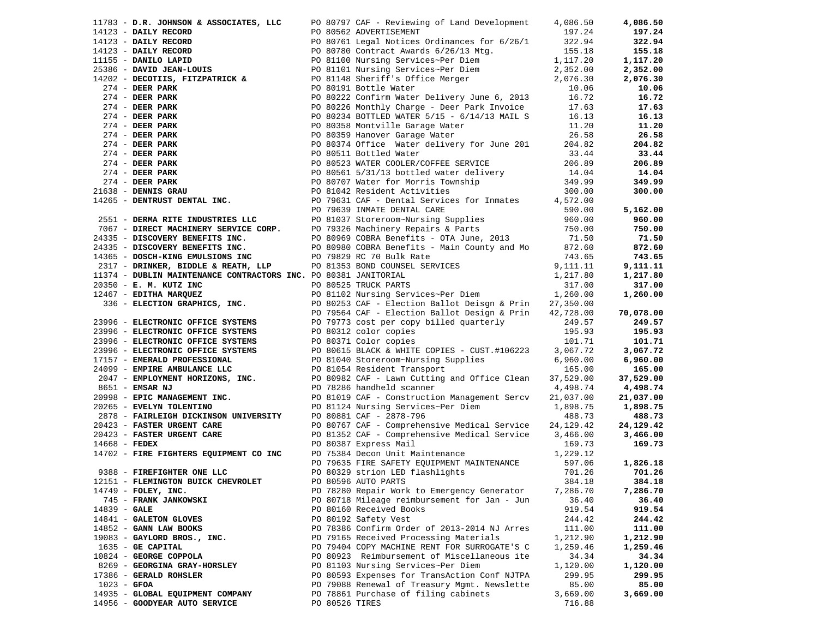|                 | 11783 - D.R. JOHNSON & ASSOCIATES, LLC                                                                                                                          |  | PO 80797 CAF - Reviewing of Land Development                                                                                                                                                                                               | 4,086.50  | 4,086.50  |
|-----------------|-----------------------------------------------------------------------------------------------------------------------------------------------------------------|--|--------------------------------------------------------------------------------------------------------------------------------------------------------------------------------------------------------------------------------------------|-----------|-----------|
|                 |                                                                                                                                                                 |  |                                                                                                                                                                                                                                            |           | 197.24    |
|                 |                                                                                                                                                                 |  | 17783 - D.R. JOHNSON & ASSOCIATES, LLCC PO 80797 CAF - Reviewing of Land Development 4.086.50<br>178123 - DAILY RECORD DO 80562 ADVERTISENIRY<br>178123 - DAILY RECORD DO 80761 Legal Notices Orthomos for 6/26/1<br>179125 - DAILY        |           | 322.94    |
|                 |                                                                                                                                                                 |  |                                                                                                                                                                                                                                            |           | 155.18    |
|                 |                                                                                                                                                                 |  |                                                                                                                                                                                                                                            |           | 1,117.20  |
|                 |                                                                                                                                                                 |  |                                                                                                                                                                                                                                            |           | 2,352.00  |
|                 |                                                                                                                                                                 |  |                                                                                                                                                                                                                                            |           | 2,076.30  |
|                 |                                                                                                                                                                 |  |                                                                                                                                                                                                                                            |           | 10.06     |
|                 |                                                                                                                                                                 |  |                                                                                                                                                                                                                                            |           | 16.72     |
|                 |                                                                                                                                                                 |  |                                                                                                                                                                                                                                            |           | 17.63     |
|                 |                                                                                                                                                                 |  |                                                                                                                                                                                                                                            |           |           |
|                 |                                                                                                                                                                 |  |                                                                                                                                                                                                                                            |           | 16.13     |
|                 |                                                                                                                                                                 |  |                                                                                                                                                                                                                                            |           | 11.20     |
|                 |                                                                                                                                                                 |  |                                                                                                                                                                                                                                            |           | 26.58     |
|                 |                                                                                                                                                                 |  |                                                                                                                                                                                                                                            |           | 204.82    |
|                 |                                                                                                                                                                 |  |                                                                                                                                                                                                                                            |           | 33.44     |
|                 |                                                                                                                                                                 |  |                                                                                                                                                                                                                                            |           | 206.89    |
|                 |                                                                                                                                                                 |  |                                                                                                                                                                                                                                            |           | 14.04     |
|                 |                                                                                                                                                                 |  |                                                                                                                                                                                                                                            |           | 349.99    |
|                 |                                                                                                                                                                 |  |                                                                                                                                                                                                                                            |           | 300.00    |
|                 |                                                                                                                                                                 |  |                                                                                                                                                                                                                                            |           |           |
|                 |                                                                                                                                                                 |  |                                                                                                                                                                                                                                            |           | 5,162.00  |
|                 |                                                                                                                                                                 |  |                                                                                                                                                                                                                                            |           | 960.00    |
|                 |                                                                                                                                                                 |  |                                                                                                                                                                                                                                            |           |           |
|                 |                                                                                                                                                                 |  |                                                                                                                                                                                                                                            |           | 750.00    |
|                 |                                                                                                                                                                 |  |                                                                                                                                                                                                                                            |           | 71.50     |
|                 |                                                                                                                                                                 |  |                                                                                                                                                                                                                                            |           | 872.60    |
|                 |                                                                                                                                                                 |  |                                                                                                                                                                                                                                            |           | 743.65    |
|                 |                                                                                                                                                                 |  |                                                                                                                                                                                                                                            |           | 9,111.11  |
|                 | 11374 - DUBLIN MAINTENANCE CONTRACTORS INC. PO 80381 JANITORIAL                                                                                                 |  |                                                                                                                                                                                                                                            | 1,217.80  | 1,217.80  |
|                 | 20350 - E. M. KUTZ INC                                                                                                                                          |  |                                                                                                                                                                                                                                            | 317.00    | 317.00    |
|                 | 12467 - EDITHA MARQUEZ                                                                                                                                          |  | PO 79829 RC 70 BUIK Rate<br>PO 81353 BOND COUNSEL SERVICES<br>PO 80381 JANITORIAL<br>PO 80525 TRUCK PARTS<br>PO 81102 Nursing Services~Per Diem                                                                                            | 1,260.00  | 1,260.00  |
|                 | 336 - ELECTION GRAPHICS, INC.                                                                                                                                   |  | NCE CONIRACTORS<br>PO 80525 TRUCK FENSE PER Diem<br>PO 80253 CAF - Election Ballot Deisgn & Prin<br>PO 80253 CAF - Election Ballot Design & Prin<br>PO 79564 CAF - Election Ballot Design & Prin<br>PO 79564 CAF - Election Ballot Desig   | 27,350.00 |           |
|                 |                                                                                                                                                                 |  |                                                                                                                                                                                                                                            | 42,728.00 | 70,078.00 |
|                 | 23996 - ELECTRONIC OFFICE SYSTEMS                                                                                                                               |  | PO 79773 cost per copy billed quarterly                                                                                                                                                                                                    | 249.57    | 249.57    |
|                 | 23996 - ELECTRONIC OFFICE SYSTEMS                                                                                                                               |  | PO 80312 color copies                                                                                                                                                                                                                      | 195.93    | 195.93    |
|                 | 23996 - ELECTRONIC OFFICE SYSTEMS                                                                                                                               |  | PO 80371 Color copies                                                                                                                                                                                                                      | 101.71    | 101.71    |
|                 |                                                                                                                                                                 |  |                                                                                                                                                                                                                                            | 3,067.72  | 3,067.72  |
|                 |                                                                                                                                                                 |  |                                                                                                                                                                                                                                            | 6,960.00  | 6,960.00  |
|                 |                                                                                                                                                                 |  | 23996 - ELECTRONIC OFFICE SYSTEMS<br>21996 - ELECTRONIC OFFICE SYSTEMS<br>21999 - EMPIRE AMBULANCE LLC<br>2047 - EMPLOYMENT HORIZONS, INC.<br>2047 - EMPLOYMENT HORIZONS, INC.<br>2047 - EMPLOYMENT HORIZONS, INC.<br>2047 - EMPLOYMENT HO | 165.00    | 165.00    |
|                 |                                                                                                                                                                 |  |                                                                                                                                                                                                                                            |           |           |
|                 |                                                                                                                                                                 |  |                                                                                                                                                                                                                                            | 37,529.00 | 37,529.00 |
|                 | 8651 - EMSAR NJ                                                                                                                                                 |  | PO 78286 handheld scanner                                                                                                                                                                                                                  | 4,498.74  | 4,498.74  |
|                 |                                                                                                                                                                 |  | PO 81019 CAF - Construction Management Sercv                                                                                                                                                                                               | 21,037.00 | 21,037.00 |
|                 |                                                                                                                                                                 |  | PO 81124 Nursing Services~Per Diem 1,898.75                                                                                                                                                                                                |           | 1,898.75  |
|                 | 2093 - EPIC MANAGEMENT INC.<br>2098 - EPIC MANAGEMENT INC.<br>2878 - FAIRLEIGH DICKINSON UNIVERSITY<br>20423 - FASTER URGENT CARE<br>20423 - FASTER URGENT CARE |  | PO 80881 CAF - 2878-796                                                                                                                                                                                                                    | 488.73    | 488.73    |
|                 |                                                                                                                                                                 |  | PO 80767 CAF - Comprehensive Medical Service                                                                                                                                                                                               | 24,129.42 | 24,129.42 |
|                 |                                                                                                                                                                 |  | PO 81352 CAF - Comprehensive Medical Service 3,466.00                                                                                                                                                                                      |           | 3,466.00  |
| $14668$ - FEDEX |                                                                                                                                                                 |  | PO 80387 Express Mail                                                                                                                                                                                                                      | 169.73    | 169.73    |
|                 | 14668 - FEDEX<br>14702 - FIRE FIGHTERS EQUIPMENT CO INC                                                                                                         |  | PO 75384 Decon Unit Maintenance                                                                                                                                                                                                            | 1,229.12  |           |
|                 |                                                                                                                                                                 |  | PO 79635 FIRE SAFETY EQUIPMENT MAINTENANCE                                                                                                                                                                                                 | 597.06    | 1,826.18  |
|                 | 9388 - FIREFIGHTER ONE LLC                                                                                                                                      |  | PO 80329 strion LED flashlights<br>DO 80596 AUTO DAPTS                                                                                                                                                                                     | 701.26    | 701.26    |
|                 | 12151 - FLEMINGTON BUICK CHEVROLET                                                                                                                              |  | PO 80596 AUTO PARTS                                                                                                                                                                                                                        | 384.18    | 384.18    |
|                 | 14749 - FOLEY, INC.                                                                                                                                             |  | PO 78280 Repair Work to Emergency Generator                                                                                                                                                                                                | 7,286.70  | 7,286.70  |
|                 | 745 - FRANK JANKOWSKI                                                                                                                                           |  | PO 80718 Mileage reimbursement for Jan - Jun                                                                                                                                                                                               | 36.40     | 36.40     |
| $14839 - GALE$  |                                                                                                                                                                 |  | PO 80160 Received Books                                                                                                                                                                                                                    | 919.54    | 919.54    |
|                 | 14841 - GALETON GLOVES                                                                                                                                          |  | PO 80192 Safety Vest                                                                                                                                                                                                                       | 244.42    | 244.42    |
|                 |                                                                                                                                                                 |  |                                                                                                                                                                                                                                            |           |           |
|                 | 14852 - GANN LAW BOOKS                                                                                                                                          |  | PO 78386 Confirm Order of 2013-2014 NJ Arres                                                                                                                                                                                               | 111.00    | 111.00    |
|                 | 19083 - GAYLORD BROS., INC.                                                                                                                                     |  | PO 79165 Received Processing Materials                                                                                                                                                                                                     | 1,212.90  | 1,212.90  |
|                 | 1635 - GE CAPITAL                                                                                                                                               |  | PO 79404 COPY MACHINE RENT FOR SURROGATE'S C                                                                                                                                                                                               | 1,259.46  | 1,259.46  |
|                 | 10824 - GEORGE COPPOLA                                                                                                                                          |  | PO 80923 Reimbursement of Miscellaneous ite                                                                                                                                                                                                | 34.34     | 34.34     |
|                 | 8269 - GEORGINA GRAY-HORSLEY                                                                                                                                    |  | PO 81103 Nursing Services~Per Diem                                                                                                                                                                                                         | 1,120.00  | 1,120.00  |
|                 | 17386 - GERALD ROHSLER                                                                                                                                          |  | PO 80593 Expenses for TransAction Conf NJTPA                                                                                                                                                                                               | 299.95    | 299.95    |
| $1023 - GFOA$   |                                                                                                                                                                 |  | PO 79088 Renewal of Treasury Mgmt. Newslette                                                                                                                                                                                               | 85.00     | 85.00     |
|                 | 14935 - GLOBAL EQUIPMENT COMPANY                                                                                                                                |  | PO 78861 Purchase of filing cabinets                                                                                                                                                                                                       | 3,669.00  | 3,669.00  |
|                 | 14956 - GOODYEAR AUTO SERVICE                                                                                                                                   |  | PO 80526 TIRES                                                                                                                                                                                                                             | 716.88    |           |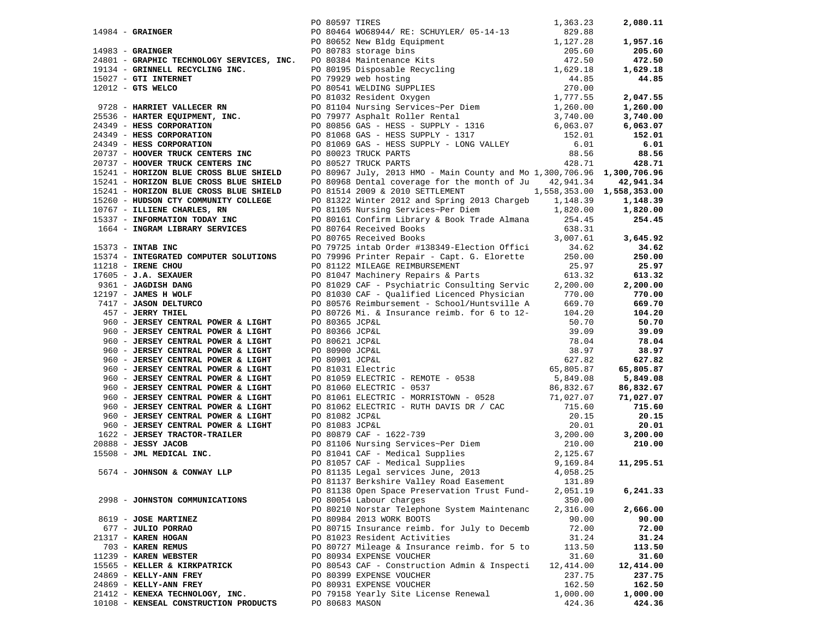|                                                                                                                                                            | PO 80597 TIRES |                                                                                                                                                                                                                                                                                                   | 1,363.23  | 2,080.11  |
|------------------------------------------------------------------------------------------------------------------------------------------------------------|----------------|---------------------------------------------------------------------------------------------------------------------------------------------------------------------------------------------------------------------------------------------------------------------------------------------------|-----------|-----------|
| 14984 - <b>GRAINGER</b><br>14983 - <b>GRAINGER</b>                                                                                                         |                | PO 80464 WO68944/ RE: SCHUYLER/ 05-14-13<br>14984 - GRAINGER<br>19984 - GRAINGER<br>19984 - GRAINGER<br>19984 - GRAINGER<br>19985 - GRAINGER<br>19985 - GRAINGER<br>19985 - GRAINGER<br>19985 - GRAINGER<br>19971 - GRAINGER<br>19971 - GRAINGER<br>19971 - GRAINGER<br>19971 - GRAINGER<br>19971 | 829.88    |           |
|                                                                                                                                                            |                |                                                                                                                                                                                                                                                                                                   |           |           |
|                                                                                                                                                            |                |                                                                                                                                                                                                                                                                                                   |           |           |
|                                                                                                                                                            |                |                                                                                                                                                                                                                                                                                                   |           |           |
|                                                                                                                                                            |                |                                                                                                                                                                                                                                                                                                   |           |           |
|                                                                                                                                                            |                |                                                                                                                                                                                                                                                                                                   |           |           |
|                                                                                                                                                            |                |                                                                                                                                                                                                                                                                                                   |           |           |
|                                                                                                                                                            |                |                                                                                                                                                                                                                                                                                                   |           |           |
|                                                                                                                                                            |                |                                                                                                                                                                                                                                                                                                   |           |           |
|                                                                                                                                                            |                |                                                                                                                                                                                                                                                                                                   |           |           |
|                                                                                                                                                            |                |                                                                                                                                                                                                                                                                                                   |           |           |
|                                                                                                                                                            |                |                                                                                                                                                                                                                                                                                                   |           |           |
|                                                                                                                                                            |                |                                                                                                                                                                                                                                                                                                   |           |           |
|                                                                                                                                                            |                |                                                                                                                                                                                                                                                                                                   |           |           |
|                                                                                                                                                            |                |                                                                                                                                                                                                                                                                                                   |           |           |
|                                                                                                                                                            |                |                                                                                                                                                                                                                                                                                                   |           |           |
|                                                                                                                                                            |                |                                                                                                                                                                                                                                                                                                   |           |           |
|                                                                                                                                                            |                |                                                                                                                                                                                                                                                                                                   |           |           |
|                                                                                                                                                            |                |                                                                                                                                                                                                                                                                                                   |           |           |
|                                                                                                                                                            |                |                                                                                                                                                                                                                                                                                                   |           |           |
|                                                                                                                                                            |                |                                                                                                                                                                                                                                                                                                   |           |           |
|                                                                                                                                                            |                |                                                                                                                                                                                                                                                                                                   |           |           |
| 1991 - INTAB INC<br>15373 - INTAB INC<br>15374 - INTEGRATED COMPUTER SOLUTIONS                                                                             |                |                                                                                                                                                                                                                                                                                                   |           |           |
|                                                                                                                                                            |                |                                                                                                                                                                                                                                                                                                   |           | 34.62     |
|                                                                                                                                                            |                |                                                                                                                                                                                                                                                                                                   |           | 250.00    |
|                                                                                                                                                            |                |                                                                                                                                                                                                                                                                                                   |           | 25.97     |
|                                                                                                                                                            |                |                                                                                                                                                                                                                                                                                                   |           | 613.32    |
| 15374 - INIENAILL CONFORMED CONSTRUER<br>17605 - J.A. SEXAUER<br>9361 - JAGDISH DANG<br>12197 - JAMES H WOLF<br>7417 - JASON DELTURCO<br>457 - JERRY THIEL |                | 90 80765 Received Books<br>PO 79725 intab Order #138349-Election Offici 34.62<br>PO 79996 Printer Repair - Capt. G. Elorette 250.00<br>PO 81122 MILEAGE REIMBURSEMENT 25.97<br>PO 81047 Machinery Repairs & Parts 613.32<br>PO 81030 CAF                                                          |           | 2,200.00  |
|                                                                                                                                                            |                |                                                                                                                                                                                                                                                                                                   |           | 770.00    |
|                                                                                                                                                            |                |                                                                                                                                                                                                                                                                                                   |           | 669.70    |
|                                                                                                                                                            |                | PO 80726 Mi. & Insurance reimb. for 6 to 12-<br>104.20                                                                                                                                                                                                                                            |           | 104.20    |
| 960 - JERSEY CENTRAL POWER & LIGHT                                                                                                                         | PO 80365 JCP&L |                                                                                                                                                                                                                                                                                                   | 50.70     | 50.70     |
| 960 - JERSEY CENTRAL POWER & LIGHT                                                                                                                         |                |                                                                                                                                                                                                                                                                                                   |           | 39.09     |
| 960 - JERSEY CENTRAL POWER & LIGHT                                                                                                                         |                |                                                                                                                                                                                                                                                                                                   |           | 78.04     |
| 960 - JERSEY CENTRAL POWER & LIGHT                                                                                                                         |                |                                                                                                                                                                                                                                                                                                   |           | 38.97     |
| 960 - JERSEY CENTRAL POWER & LIGHT                                                                                                                         |                |                                                                                                                                                                                                                                                                                                   |           | 627.82    |
| 960 - JERSEY CENTRAL POWER & LIGHT                                                                                                                         |                |                                                                                                                                                                                                                                                                                                   |           | 65,805.87 |
| 960 - JERSEY CENTRAL POWER & LIGHT                                                                                                                         |                |                                                                                                                                                                                                                                                                                                   |           | 5,849.08  |
| 960 - JERSEY CENTRAL POWER & LIGHT                                                                                                                         |                |                                                                                                                                                                                                                                                                                                   |           | 86,832.67 |
| 960 - JERSEY CENTRAL POWER & LIGHT                                                                                                                         |                | PO 80365 JCP&L<br>PO 80366 JCP&L<br>PO 80621 JCP&L<br>PO 80900 JCP&L<br>PO 80900 JCP&L<br>PO 80901 JCP&L<br>PO 80901 JCP&L<br>PO 81031 Electric<br>PO 81059 ELECTRIC - REMOTE - 0538<br>PO 81060 ELECTRIC - 0537<br>PO 81060 ELECTRIC - 0537<br>PO 8                                              |           | 71,027.07 |
|                                                                                                                                                            |                |                                                                                                                                                                                                                                                                                                   |           | 715.60    |
|                                                                                                                                                            |                |                                                                                                                                                                                                                                                                                                   |           | 20.15     |
|                                                                                                                                                            |                |                                                                                                                                                                                                                                                                                                   |           | 20.01     |
|                                                                                                                                                            |                | CONSERUSS AND TOWER A LIGHT<br>960 - <b>JERSEY CENTRAL POWER &amp; LIGHT</b><br>960 - <b>JERSEY CENTRAL POWER &amp; LIGHT</b><br>960 - <b>JERSEY CENTRAL POWER &amp; LIGHT</b><br>960 - <b>JERSEY CENTRAL POWER &amp; LIGHT</b><br>960 - <b>JERSEY CENTRAL POWER &amp; LIGHT</b><br>960           |           | 3,200.00  |
|                                                                                                                                                            |                |                                                                                                                                                                                                                                                                                                   |           | 210.00    |
|                                                                                                                                                            |                |                                                                                                                                                                                                                                                                                                   |           |           |
|                                                                                                                                                            |                |                                                                                                                                                                                                                                                                                                   |           | 11,295.51 |
|                                                                                                                                                            |                |                                                                                                                                                                                                                                                                                                   |           |           |
|                                                                                                                                                            |                | PO 81137 Berkshire Valley Road Easement                                                                                                                                                                                                                                                           | 131.89    |           |
|                                                                                                                                                            |                | PO 81138 Open Space Preservation Trust Fund-                                                                                                                                                                                                                                                      | 2,051.19  | 6,241.33  |
| 2998 - JOHNSTON COMMUNICATIONS                                                                                                                             |                | PO 80054 Labour charges                                                                                                                                                                                                                                                                           | 350.00    |           |
|                                                                                                                                                            |                | PO 80210 Norstar Telephone System Maintenanc                                                                                                                                                                                                                                                      | 2,316.00  | 2,666.00  |
| 8619 - JOSE MARTINEZ                                                                                                                                       |                | PO 80984 2013 WORK BOOTS                                                                                                                                                                                                                                                                          | 90.00     | 90.00     |
| 677 - JULIO PORRAO                                                                                                                                         |                | PO 80715 Insurance reimb. for July to Decemb                                                                                                                                                                                                                                                      | 72.00     | 72.00     |
| 21317 - KAREN HOGAN                                                                                                                                        |                | PO 81023 Resident Activities                                                                                                                                                                                                                                                                      | 31.24     | 31.24     |
| 703 - KAREN REMUS                                                                                                                                          |                | PO 80727 Mileage & Insurance reimb. for 5 to                                                                                                                                                                                                                                                      | 113.50    | 113.50    |
| 11239 - KAREN WEBSTER                                                                                                                                      |                | PO 80934 EXPENSE VOUCHER                                                                                                                                                                                                                                                                          | 31.60     | 31.60     |
| 15565 - KELLER & KIRKPATRICK                                                                                                                               |                | PO 80543 CAF - Construction Admin & Inspecti                                                                                                                                                                                                                                                      | 12,414.00 | 12,414.00 |
| 24869 - KELLY-ANN FREY                                                                                                                                     |                | PO 80399 EXPENSE VOUCHER                                                                                                                                                                                                                                                                          | 237.75    | 237.75    |
| 24869 - KELLY-ANN FREY                                                                                                                                     |                | PO 80931 EXPENSE VOUCHER                                                                                                                                                                                                                                                                          | 162.50    | 162.50    |
| 21412 - KENEXA TECHNOLOGY, INC.                                                                                                                            |                | PO 79158 Yearly Site License Renewal                                                                                                                                                                                                                                                              | 1,000.00  | 1,000.00  |
| 10108 - KENSEAL CONSTRUCTION PRODUCTS                                                                                                                      | PO 80683 MASON |                                                                                                                                                                                                                                                                                                   | 424.36    | 424.36    |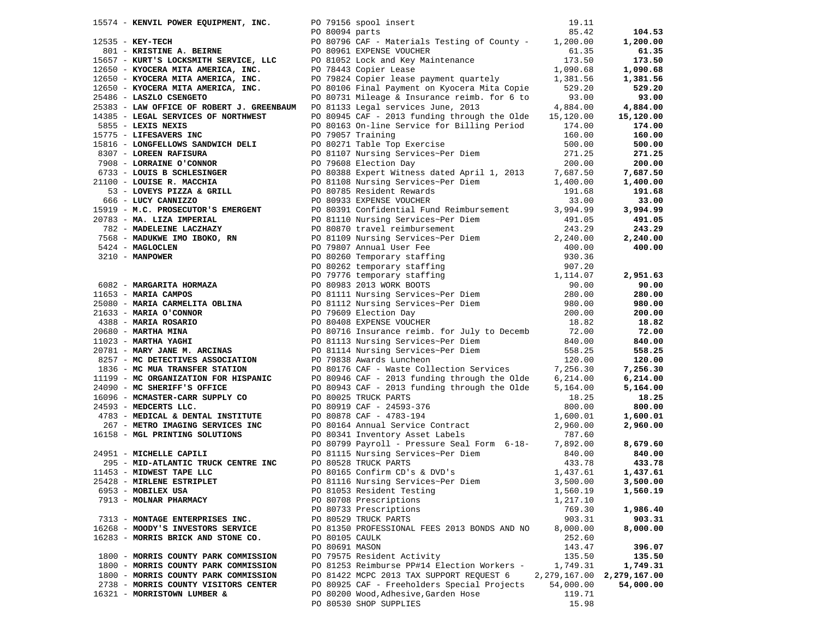| 15574 - KENVIL POWER EQUIPMENT, INC. PO 79156 spool insert                                                                                                                                                                                     |                |                                                                                                                                                                                                                                             | 19.11           |                               |
|------------------------------------------------------------------------------------------------------------------------------------------------------------------------------------------------------------------------------------------------|----------------|---------------------------------------------------------------------------------------------------------------------------------------------------------------------------------------------------------------------------------------------|-----------------|-------------------------------|
|                                                                                                                                                                                                                                                |                |                                                                                                                                                                                                                                             | 85.42           | 104.53                        |
| PO 80094 parts<br>12535 - KEY-TECH<br>12555 - KEY-TECH<br>15657 - KURT'S LOCKSMITH SERVICE, LLC<br>12650 - KYOCERA MITA AMERICA, INC.<br>12650 - KYOCERA MITA AMERICA, INC.<br>PO 80961 EXPENS<br>12650 - KYOCERA MITA AMERICA, INC.<br>PO 784 |                | PO 80796 CAF - Materials Testing of County - 1,200.00                                                                                                                                                                                       |                 | 1,200.00                      |
|                                                                                                                                                                                                                                                |                |                                                                                                                                                                                                                                             |                 | 61.35                         |
|                                                                                                                                                                                                                                                |                | PO 80961 EXPENSE VOUCHER 61.35<br>PO 81052 Lock and Key Maintenance 173.50<br>PO 78443 Copier Lease 1,090.68<br>PO 79824 Copier lease payment quartely 1,381.56                                                                             |                 | 173.50                        |
|                                                                                                                                                                                                                                                |                |                                                                                                                                                                                                                                             |                 | 1,090.68                      |
|                                                                                                                                                                                                                                                |                |                                                                                                                                                                                                                                             |                 | 1,381.56                      |
| 12650 - KYOCERA MITA AMERICA, INC.                                                                                                                                                                                                             |                |                                                                                                                                                                                                                                             |                 | 529.20                        |
| 25486 - LASZLO CSENGETO                                                                                                                                                                                                                        |                | PO 80106 Final Payment on Kyocera Mita Copie 529.20<br>PO 80731 Mileage & Insurance reimb. for 6 to 93.00                                                                                                                                   |                 | 93.00                         |
| 25383 - LAW OFFICE OF ROBERT J. GREENBAUM PO 81133 Legal services June, 2013                                                                                                                                                                   |                |                                                                                                                                                                                                                                             | 4,884.00        | 4,884.00                      |
| 14385 - LEGAL SERVICES OF NORTHWEST                                                                                                                                                                                                            |                | PO 80945 CAF - 2013 funding through the Olde 15,120.00                                                                                                                                                                                      |                 | 15,120.00                     |
| 5855 - LEXIS NEXIS                                                                                                                                                                                                                             |                | PO 80163 On-line Service for Billing Period                                                                                                                                                                                                 | 174.00          | 174.00                        |
| 15775 - LIFESAVERS INC                                                                                                                                                                                                                         |                | PO 79057 Training                                                                                                                                                                                                                           | 160.00          | 160.00                        |
|                                                                                                                                                                                                                                                |                |                                                                                                                                                                                                                                             |                 | 500.00                        |
|                                                                                                                                                                                                                                                |                |                                                                                                                                                                                                                                             |                 | 271.25                        |
|                                                                                                                                                                                                                                                |                |                                                                                                                                                                                                                                             |                 | 200.00                        |
|                                                                                                                                                                                                                                                |                |                                                                                                                                                                                                                                             |                 |                               |
|                                                                                                                                                                                                                                                |                |                                                                                                                                                                                                                                             |                 | 7,687.50                      |
|                                                                                                                                                                                                                                                |                |                                                                                                                                                                                                                                             |                 | 1,400.00                      |
|                                                                                                                                                                                                                                                |                |                                                                                                                                                                                                                                             |                 | 191.68                        |
|                                                                                                                                                                                                                                                |                |                                                                                                                                                                                                                                             |                 | 33.00                         |
|                                                                                                                                                                                                                                                |                |                                                                                                                                                                                                                                             |                 | 3,994.99                      |
|                                                                                                                                                                                                                                                |                |                                                                                                                                                                                                                                             |                 | 491.05                        |
|                                                                                                                                                                                                                                                |                |                                                                                                                                                                                                                                             |                 | 243.29                        |
|                                                                                                                                                                                                                                                |                |                                                                                                                                                                                                                                             |                 | 2,240.00                      |
|                                                                                                                                                                                                                                                |                |                                                                                                                                                                                                                                             |                 | 400.00                        |
|                                                                                                                                                                                                                                                |                |                                                                                                                                                                                                                                             |                 |                               |
|                                                                                                                                                                                                                                                |                |                                                                                                                                                                                                                                             |                 |                               |
|                                                                                                                                                                                                                                                |                |                                                                                                                                                                                                                                             |                 | 2,951.63                      |
|                                                                                                                                                                                                                                                |                |                                                                                                                                                                                                                                             |                 | 90.00                         |
|                                                                                                                                                                                                                                                |                |                                                                                                                                                                                                                                             |                 | 280.00                        |
|                                                                                                                                                                                                                                                |                |                                                                                                                                                                                                                                             |                 | 980.00                        |
|                                                                                                                                                                                                                                                |                |                                                                                                                                                                                                                                             |                 | 200.00                        |
|                                                                                                                                                                                                                                                |                |                                                                                                                                                                                                                                             |                 | 18.82                         |
|                                                                                                                                                                                                                                                |                |                                                                                                                                                                                                                                             |                 | 72.00                         |
|                                                                                                                                                                                                                                                |                |                                                                                                                                                                                                                                             |                 | 840.00                        |
|                                                                                                                                                                                                                                                |                |                                                                                                                                                                                                                                             |                 | 558.25                        |
|                                                                                                                                                                                                                                                |                |                                                                                                                                                                                                                                             |                 | 120.00                        |
|                                                                                                                                                                                                                                                |                |                                                                                                                                                                                                                                             |                 | 7,256.30                      |
|                                                                                                                                                                                                                                                |                |                                                                                                                                                                                                                                             |                 | 6,214.00                      |
|                                                                                                                                                                                                                                                |                |                                                                                                                                                                                                                                             |                 | 5,164.00                      |
|                                                                                                                                                                                                                                                |                |                                                                                                                                                                                                                                             |                 | 18.25                         |
|                                                                                                                                                                                                                                                |                |                                                                                                                                                                                                                                             |                 | 800.00                        |
|                                                                                                                                                                                                                                                |                |                                                                                                                                                                                                                                             |                 | 1,600.01                      |
|                                                                                                                                                                                                                                                |                |                                                                                                                                                                                                                                             |                 | 2,960.00                      |
|                                                                                                                                                                                                                                                |                | 1955 - LETERAVERES TOWAL 1975 - 1981-80<br>19775 - LETERAVERES INC (1981-810)<br>19775 - LETERAVERES INC (1981-911 and 1982) and 1982 - 1982 - 1982 - 1982 - 1982 - 1982<br>19775 - LORENS PARTIES ON CONNOC PELL (1992) 2003 Supe          |                 |                               |
|                                                                                                                                                                                                                                                |                |                                                                                                                                                                                                                                             |                 | 8,679.60                      |
|                                                                                                                                                                                                                                                |                | PO 80919 CAF - 24593-376<br>4783 - MEDICAL & DENTAL INSTITUTE<br>267 - METRO IMAGING SERVICES INC<br>267 - METRO IMAGING SERVICES INC<br>2651 - MICHELLE CAPILI<br>24951 - MICHELLE CAPILI<br>24951 - MICHELLE CAPILI<br>295 - MID-2WINTING |                 | 840.00                        |
| 295 - MID-ATLANTIC TRUCK CENTRE INC                                                                                                                                                                                                            |                | PO 81115 Nursing Services~Per Diem<br>PO 80528 TRUCK PARTS                                                                                                                                                                                  | 433.78          | 433.78                        |
| 11453 - MIDWEST TAPE LLC                                                                                                                                                                                                                       |                | PO 80165 Confirm CD's & DVD's                                                                                                                                                                                                               | 1,437.61        | 1,437.61                      |
| 25428 - MIRLENE ESTRIPLET                                                                                                                                                                                                                      |                | PO 81116 Nursing Services~Per Diem                                                                                                                                                                                                          | 3,500.00        | 3,500.00                      |
| 6953 - MOBILEX USA                                                                                                                                                                                                                             |                | PO 81053 Resident Testing                                                                                                                                                                                                                   | 1,560.19        | 1,560.19                      |
| 7913 - MOLNAR PHARMACY                                                                                                                                                                                                                         |                | PO 80708 Prescriptions                                                                                                                                                                                                                      | 1,217.10        |                               |
|                                                                                                                                                                                                                                                |                | PO 80733 Prescriptions                                                                                                                                                                                                                      | 769.30          | 1,986.40                      |
| 7313 - MONTAGE ENTERPRISES INC.                                                                                                                                                                                                                |                | PO 80529 TRUCK PARTS                                                                                                                                                                                                                        | 903.31          | 903.31                        |
| 16268 - MOODY'S INVESTORS SERVICE                                                                                                                                                                                                              |                | PO 81350 PROFESSIONAL FEES 2013 BONDS AND NO                                                                                                                                                                                                | 8,000.00        | 8,000.00                      |
| 16283 - MORRIS BRICK AND STONE CO.                                                                                                                                                                                                             | PO 80105 CAULK |                                                                                                                                                                                                                                             | 252.60          |                               |
|                                                                                                                                                                                                                                                | PO 80691 MASON |                                                                                                                                                                                                                                             | 143.47          | 396.07                        |
| 1800 - MORRIS COUNTY PARK COMMISSION                                                                                                                                                                                                           |                | PO 79575 Resident Activity                                                                                                                                                                                                                  | 135.50          | 135.50                        |
| 1800 - MORRIS COUNTY PARK COMMISSION                                                                                                                                                                                                           |                | PO 81253 Reimburse PP#14 Election Workers -                                                                                                                                                                                                 | 1,749.31        | 1,749.31                      |
| 1800 - MORRIS COUNTY PARK COMMISSION                                                                                                                                                                                                           |                | PO 81422 MCPC 2013 TAX SUPPORT REQUEST 6                                                                                                                                                                                                    |                 | 2, 279, 167.00 2, 279, 167.00 |
|                                                                                                                                                                                                                                                |                | PO 80925 CAF - Freeholders Special Projects                                                                                                                                                                                                 |                 |                               |
| 2738 - MORRIS COUNTY VISITORS CENTER                                                                                                                                                                                                           |                |                                                                                                                                                                                                                                             | 54,000.00       | 54,000.00                     |
| 16321 - MORRISTOWN LUMBER &                                                                                                                                                                                                                    |                | PO 80200 Wood, Adhesive, Garden Hose<br>PO 80530 SHOP SUPPLIES                                                                                                                                                                              | 119.71<br>15.98 |                               |
|                                                                                                                                                                                                                                                |                |                                                                                                                                                                                                                                             |                 |                               |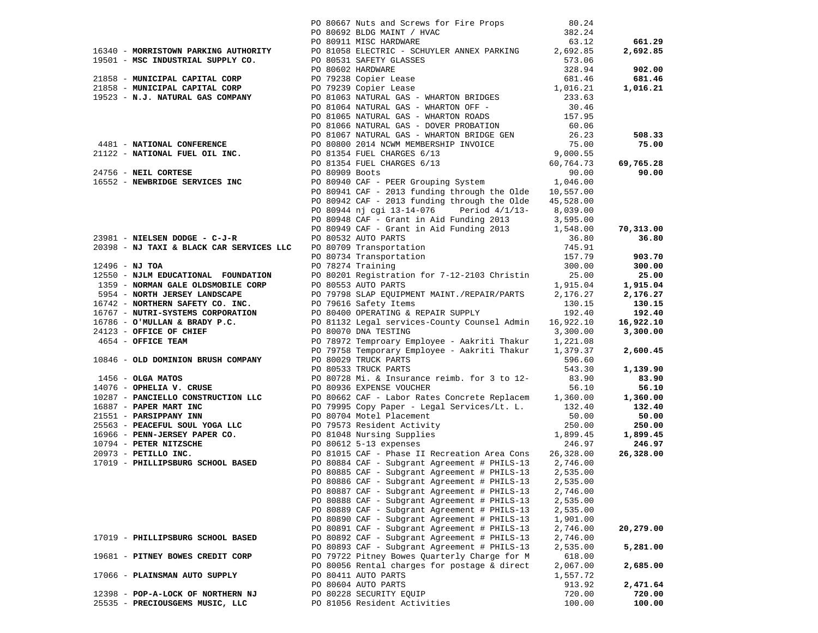|                  |                                          | PO 80667 Nuts and Screws for Fire Props 80.24<br>PO 80692 BLDG MAINT / HVAC 382.24<br>PO 80911 MISC HARDWARE 63.12                                                                                                                                                                 |          |                    |
|------------------|------------------------------------------|------------------------------------------------------------------------------------------------------------------------------------------------------------------------------------------------------------------------------------------------------------------------------------|----------|--------------------|
|                  |                                          |                                                                                                                                                                                                                                                                                    |          |                    |
|                  |                                          |                                                                                                                                                                                                                                                                                    |          | 661.29             |
|                  |                                          | 16340 - MORRISTOWN PARKING AUTHORITY PO 81058 ELECTRIC - SCHUYLER ANNEX PARKING 2,692.85                                                                                                                                                                                           |          | 2,692.85           |
|                  |                                          |                                                                                                                                                                                                                                                                                    |          |                    |
|                  |                                          | 19501 - MORRISTOWN PARKING AUTHORITY PUBLIC DEPENDENT COLLECTIVE CONTROLLED AND BELLETY GLASSES<br>21858 - MUNICIPAL CAPITAL CORP<br>21858 - MUNICIPAL CAPITAL CORP<br>21858 - MUNICIPAL CAPITAL CORP<br>21858 - MUNICIPAL CAPITAL COR                                             |          | 902.00             |
|                  |                                          |                                                                                                                                                                                                                                                                                    |          | 681.46             |
|                  |                                          |                                                                                                                                                                                                                                                                                    |          | 1,016.21           |
|                  |                                          |                                                                                                                                                                                                                                                                                    |          |                    |
|                  |                                          |                                                                                                                                                                                                                                                                                    |          |                    |
|                  |                                          | PO 81065 NATURAL GAS - WHARTON ROADS<br>PO 81066 NATURAL GAS - DOVER PROBATION 60.06                                                                                                                                                                                               |          |                    |
|                  |                                          | 4481 - NATIONAL CONFERENCE<br>20.06<br>20.06<br>20.06<br>20.06<br>20.06<br>20.06<br>20.06<br>20.06<br>20.005<br>20.005<br>20.005<br>20.005<br>20.005<br>20.005<br>20.005<br>20.005<br>20.005<br>20.005<br>20.005<br>20.005<br>20.005<br>20.005<br>20.0099<br>20.005<br>20.0099<br> |          |                    |
|                  |                                          |                                                                                                                                                                                                                                                                                    |          | 508.33             |
|                  |                                          |                                                                                                                                                                                                                                                                                    |          | 75.00              |
|                  |                                          |                                                                                                                                                                                                                                                                                    |          |                    |
|                  |                                          |                                                                                                                                                                                                                                                                                    |          | 69,765.28          |
|                  |                                          |                                                                                                                                                                                                                                                                                    |          | 90.00              |
|                  |                                          |                                                                                                                                                                                                                                                                                    |          |                    |
|                  |                                          |                                                                                                                                                                                                                                                                                    |          |                    |
|                  |                                          |                                                                                                                                                                                                                                                                                    |          |                    |
|                  |                                          |                                                                                                                                                                                                                                                                                    |          |                    |
|                  |                                          |                                                                                                                                                                                                                                                                                    |          |                    |
|                  |                                          |                                                                                                                                                                                                                                                                                    |          | 70,313.00          |
|                  | $23981$ - NIELSEN DODGE - C-J-R          | PO 80944 nj cgi 13-14-076 Period 4/1/13-8,039.00<br>PO 80948 CAF - Grant in Aid Funding 2013 3,595.00<br>PO 80949 CAF - Grant in Aid Funding 2013 3,595.00<br>PO 80949 CAF - Grant in Aid Funding 2013 1,548.00<br>PO 80532 AUTO PARTS                                             |          | 36.80              |
|                  | 20398 - NJ TAXI & BLACK CAR SERVICES LLC |                                                                                                                                                                                                                                                                                    |          |                    |
|                  |                                          |                                                                                                                                                                                                                                                                                    |          | 903.70             |
| $12496 - NJ TOA$ |                                          |                                                                                                                                                                                                                                                                                    |          | 300.00             |
|                  |                                          |                                                                                                                                                                                                                                                                                    |          | 25.00              |
|                  |                                          |                                                                                                                                                                                                                                                                                    |          | 1,915.04           |
|                  |                                          |                                                                                                                                                                                                                                                                                    |          | 2,176.27           |
|                  |                                          | 12496 - NJ TOA<br>12496 - NJ TOA<br>1259 - NORMAN GALE COLDSMOBILE CORP<br>1359 - NORMAN GALE COLDSMOBILE CORP<br>1359 - NORTHERN SAFETY CO. INC.<br>1915.04<br>1915.04<br>192.40<br>192.40<br>16767 - NUTRI-SYSTEMS CORPORATION<br>16767 - NUTRI                                  |          | 130.15             |
|                  |                                          |                                                                                                                                                                                                                                                                                    |          | 192.40             |
|                  |                                          |                                                                                                                                                                                                                                                                                    |          | 16,922.10          |
|                  |                                          |                                                                                                                                                                                                                                                                                    | 3,300.00 | 3,300.00           |
|                  |                                          |                                                                                                                                                                                                                                                                                    |          |                    |
|                  |                                          | 10846 - <b>OLD DOMINION BRUSH COMPANY</b> PO 79758 Temporary Employee - Aakriti Thakur 1,379.37<br>20846 - <b>OLGA MATOS</b><br>2080228 TRUCK PARTS<br>208023 TRUCK PARTS<br>2087 - <b>PARELIA V. CRUSE</b><br>2087- <b>PARELIA V. CRUSE</b><br>2087- <b>PARELIA </b>              |          | 2,600.45           |
|                  |                                          |                                                                                                                                                                                                                                                                                    |          |                    |
|                  |                                          |                                                                                                                                                                                                                                                                                    |          | 1,139.90           |
|                  |                                          |                                                                                                                                                                                                                                                                                    |          | 83.90              |
|                  |                                          |                                                                                                                                                                                                                                                                                    |          | 56.10              |
|                  |                                          |                                                                                                                                                                                                                                                                                    |          | 1,360.00           |
|                  |                                          |                                                                                                                                                                                                                                                                                    |          | 132.40             |
|                  |                                          |                                                                                                                                                                                                                                                                                    |          | 50.00              |
|                  |                                          |                                                                                                                                                                                                                                                                                    |          | 250.00             |
|                  |                                          |                                                                                                                                                                                                                                                                                    |          | 1,899.45<br>246.97 |
|                  |                                          |                                                                                                                                                                                                                                                                                    |          | 26,328.00          |
|                  |                                          |                                                                                                                                                                                                                                                                                    |          |                    |
|                  |                                          | PO 80885 CAF - Subgrant Agreement # PHILS-13                                                                                                                                                                                                                                       | 2,535.00 |                    |
|                  |                                          | PO 80886 CAF - Subgrant Agreement # PHILS-13 2,535.00                                                                                                                                                                                                                              |          |                    |
|                  |                                          | PO 80887 CAF - Subgrant Agreement # PHILS-13                                                                                                                                                                                                                                       | 2,746.00 |                    |
|                  |                                          | PO 80888 CAF - Subgrant Agreement # PHILS-13                                                                                                                                                                                                                                       | 2,535.00 |                    |
|                  |                                          | PO 80889 CAF - Subgrant Agreement # PHILS-13                                                                                                                                                                                                                                       | 2,535.00 |                    |
|                  |                                          | PO 80890 CAF - Subgrant Agreement # PHILS-13                                                                                                                                                                                                                                       | 1,901.00 |                    |
|                  |                                          | PO 80891 CAF - Subgrant Agreement # PHILS-13                                                                                                                                                                                                                                       | 2,746.00 | 20,279.00          |
|                  | 17019 - PHILLIPSBURG SCHOOL BASED        | PO 80892 CAF - Subgrant Agreement # PHILS-13                                                                                                                                                                                                                                       | 2,746.00 |                    |
|                  |                                          | PO 80893 CAF - Subgrant Agreement # PHILS-13                                                                                                                                                                                                                                       | 2,535.00 | 5,281.00           |
|                  | 19681 - PITNEY BOWES CREDIT CORP         | PO 79722 Pitney Bowes Quarterly Charge for M                                                                                                                                                                                                                                       | 618.00   |                    |
|                  |                                          | PO 80056 Rental charges for postage & direct                                                                                                                                                                                                                                       | 2,067.00 | 2,685.00           |
|                  | 17066 - PLAINSMAN AUTO SUPPLY            | PO 80411 AUTO PARTS                                                                                                                                                                                                                                                                | 1,557.72 |                    |
|                  |                                          | PO 80604 AUTO PARTS                                                                                                                                                                                                                                                                | 913.92   | 2,471.64           |
|                  | 12398 - POP-A-LOCK OF NORTHERN NJ        | PO 80228 SECURITY EQUIP                                                                                                                                                                                                                                                            | 720.00   | 720.00             |
|                  | 25535 - PRECIOUSGEMS MUSIC, LLC          | PO 81056 Resident Activities                                                                                                                                                                                                                                                       | 100.00   | 100.00             |
|                  |                                          |                                                                                                                                                                                                                                                                                    |          |                    |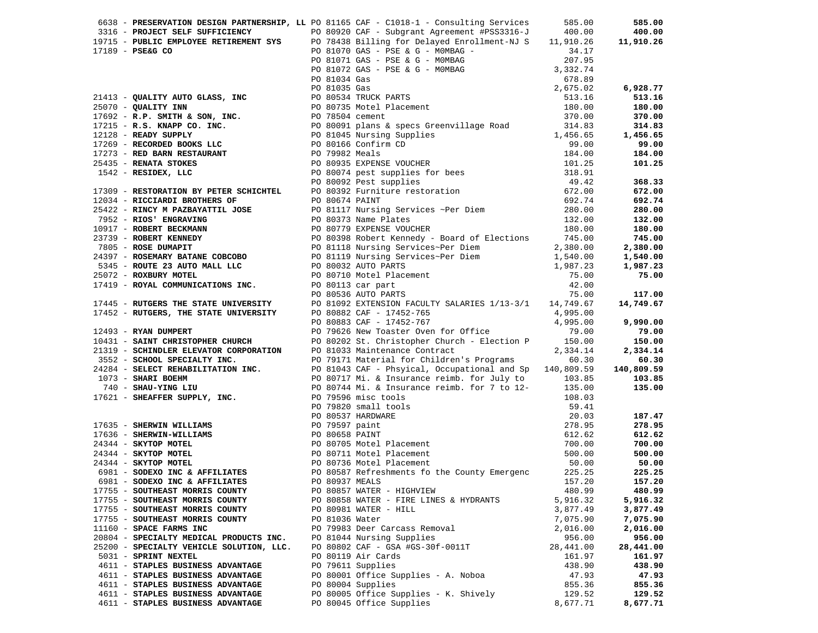|                                          |                | 6638 - PRESERVATION DESIGN PARTNERSHIP, LL PO 81165 CAF - C1018-1 - Consulting Services                                                                                                                                     | 585.00    | 585.00    |
|------------------------------------------|----------------|-----------------------------------------------------------------------------------------------------------------------------------------------------------------------------------------------------------------------------|-----------|-----------|
|                                          |                |                                                                                                                                                                                                                             |           |           |
|                                          |                |                                                                                                                                                                                                                             |           |           |
|                                          |                |                                                                                                                                                                                                                             |           |           |
|                                          |                |                                                                                                                                                                                                                             |           |           |
|                                          |                |                                                                                                                                                                                                                             |           |           |
|                                          |                |                                                                                                                                                                                                                             |           |           |
|                                          |                |                                                                                                                                                                                                                             |           |           |
|                                          |                |                                                                                                                                                                                                                             |           |           |
|                                          |                |                                                                                                                                                                                                                             |           |           |
|                                          |                |                                                                                                                                                                                                                             |           |           |
|                                          |                |                                                                                                                                                                                                                             |           |           |
|                                          |                |                                                                                                                                                                                                                             |           |           |
|                                          |                |                                                                                                                                                                                                                             |           |           |
|                                          |                |                                                                                                                                                                                                                             |           |           |
|                                          |                |                                                                                                                                                                                                                             |           |           |
|                                          |                |                                                                                                                                                                                                                             |           |           |
|                                          |                |                                                                                                                                                                                                                             |           |           |
|                                          |                |                                                                                                                                                                                                                             |           |           |
|                                          |                |                                                                                                                                                                                                                             |           |           |
|                                          |                |                                                                                                                                                                                                                             |           |           |
|                                          |                |                                                                                                                                                                                                                             |           |           |
|                                          |                |                                                                                                                                                                                                                             |           |           |
|                                          |                |                                                                                                                                                                                                                             |           |           |
|                                          |                |                                                                                                                                                                                                                             |           |           |
|                                          |                |                                                                                                                                                                                                                             |           |           |
|                                          |                |                                                                                                                                                                                                                             |           |           |
|                                          |                |                                                                                                                                                                                                                             |           |           |
|                                          |                |                                                                                                                                                                                                                             |           |           |
|                                          |                |                                                                                                                                                                                                                             |           |           |
|                                          |                |                                                                                                                                                                                                                             |           |           |
|                                          |                |                                                                                                                                                                                                                             |           |           |
|                                          |                |                                                                                                                                                                                                                             |           |           |
|                                          |                |                                                                                                                                                                                                                             |           |           |
|                                          |                |                                                                                                                                                                                                                             |           |           |
|                                          |                |                                                                                                                                                                                                                             |           |           |
|                                          |                |                                                                                                                                                                                                                             |           |           |
|                                          |                |                                                                                                                                                                                                                             |           |           |
|                                          |                |                                                                                                                                                                                                                             |           |           |
|                                          |                |                                                                                                                                                                                                                             |           |           |
|                                          |                |                                                                                                                                                                                                                             |           |           |
|                                          |                |                                                                                                                                                                                                                             |           |           |
|                                          |                |                                                                                                                                                                                                                             |           |           |
|                                          |                | 2019 - PRIAC BROOM HARM IN SURFACE IN A SURFACE IN CONTINUES IN CONTINUES IN A 1990 - PRIAC BROOM SETTING CONTINUES IN A 1990 - PRIAC BROOM SETTING CONTINUES IN A 1990 - PRIAC BROOM ON THE CONTINUES IN A 1990 - PRIAC BR |           |           |
|                                          |                |                                                                                                                                                                                                                             |           |           |
|                                          |                |                                                                                                                                                                                                                             |           |           |
|                                          |                |                                                                                                                                                                                                                             |           |           |
|                                          |                |                                                                                                                                                                                                                             |           |           |
|                                          |                |                                                                                                                                                                                                                             |           |           |
|                                          |                |                                                                                                                                                                                                                             |           |           |
| 17755 - SOUTHEAST MORRIS COUNTY          |                | PO 80857 WATER - HIGHVIEW                                                                                                                                                                                                   | 480.99    | 480.99    |
| 17755 - SOUTHEAST MORRIS COUNTY          |                | PO 80858 WATER - FIRE LINES & HYDRANTS                                                                                                                                                                                      | 5,916.32  | 5,916.32  |
| 17755 - SOUTHEAST MORRIS COUNTY          |                | PO 80981 WATER - HILL                                                                                                                                                                                                       | 3,877.49  | 3,877.49  |
| 17755 - SOUTHEAST MORRIS COUNTY          | PO 81036 Water |                                                                                                                                                                                                                             | 7,075.90  | 7,075.90  |
| 11160 - SPACE FARMS INC                  |                | PO 79983 Deer Carcass Removal                                                                                                                                                                                               | 2,016.00  | 2,016.00  |
| 20804 - SPECIALTY MEDICAL PRODUCTS INC.  |                | PO 81044 Nursing Supplies                                                                                                                                                                                                   | 956.00    | 956.00    |
| 25200 - SPECIALTY VEHICLE SOLUTION, LLC. |                | PO 80802 CAF - GSA #GS-30f-0011T                                                                                                                                                                                            | 28,441.00 | 28,441.00 |
| 5031 - SPRINT NEXTEL                     |                | PO 80119 Air Cards                                                                                                                                                                                                          | 161.97    | 161.97    |
| 4611 - STAPLES BUSINESS ADVANTAGE        |                | PO 79611 Supplies                                                                                                                                                                                                           | 438.90    | 438.90    |
| 4611 - STAPLES BUSINESS ADVANTAGE        |                | PO 80001 Office Supplies - A. Noboa                                                                                                                                                                                         | 47.93     | 47.93     |
| 4611 - STAPLES BUSINESS ADVANTAGE        |                | PO 80004 Supplies                                                                                                                                                                                                           | 855.36    | 855.36    |
| 4611 - STAPLES BUSINESS ADVANTAGE        |                | PO 80005 Office Supplies - K. Shively                                                                                                                                                                                       | 129.52    | 129.52    |
| 4611 - STAPLES BUSINESS ADVANTAGE        |                | PO 80045 Office Supplies                                                                                                                                                                                                    | 8,677.71  | 8,677.71  |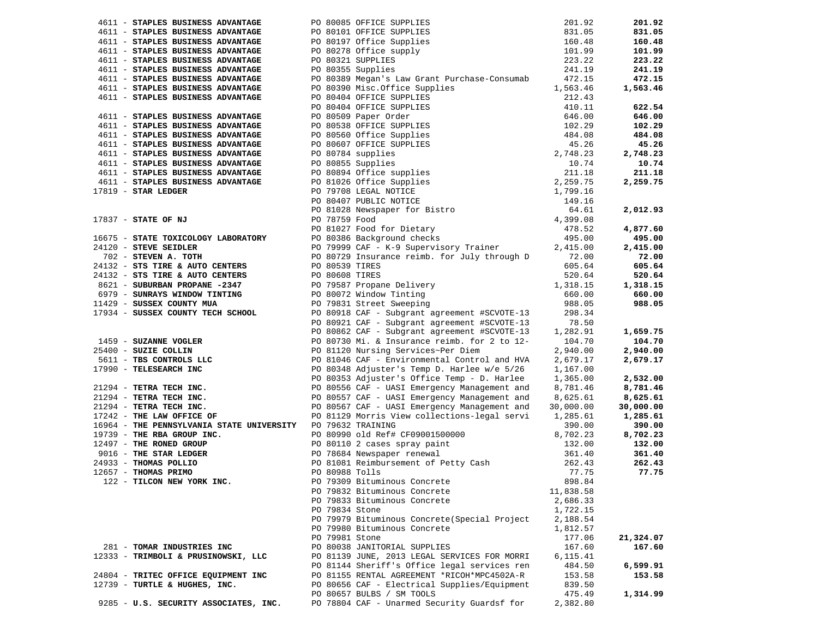|                                                             |                                                                                                                                                                                                                                                      | 201.92    | 201.92             |
|-------------------------------------------------------------|------------------------------------------------------------------------------------------------------------------------------------------------------------------------------------------------------------------------------------------------------|-----------|--------------------|
|                                                             |                                                                                                                                                                                                                                                      | 831.05    | 831.05             |
|                                                             | 4611 - STAPLES BUSINESS ADVANTAGE<br>4611 - STAPLES BUSINESS ADVANTAGE<br>4611 - STAPLES BUSINESS ADVANTAGE<br>4611 - STAPLES BUSINESS ADVANTAGE<br>4611 - STAPLES BUSINESS ADVANTAGE<br>4611 - STAPLES BUSINESS ADVANTAGE<br>4611 - STAPL           | 160.48    | 160.48             |
|                                                             |                                                                                                                                                                                                                                                      | 101.99    | 101.99             |
|                                                             |                                                                                                                                                                                                                                                      | 223.22    | 223.22             |
| 4611 - STAPLES BUSINESS ADVANTAGE                           | PO 80355 Supplies                                                                                                                                                                                                                                    | 241.19    | 241.19             |
| 4611 - STAPLES BUSINESS ADVANTAGE                           | PO 80389 Megan's Law Grant Purchase-Consumab                                                                                                                                                                                                         | 472.15    | 472.15             |
|                                                             |                                                                                                                                                                                                                                                      |           | 1,563.46           |
|                                                             |                                                                                                                                                                                                                                                      |           |                    |
|                                                             |                                                                                                                                                                                                                                                      |           | 622.54             |
|                                                             |                                                                                                                                                                                                                                                      |           | 646.00             |
|                                                             |                                                                                                                                                                                                                                                      |           | 102.29             |
|                                                             |                                                                                                                                                                                                                                                      |           |                    |
|                                                             |                                                                                                                                                                                                                                                      |           | 484.08             |
|                                                             |                                                                                                                                                                                                                                                      |           | 45.26              |
|                                                             |                                                                                                                                                                                                                                                      |           | 2,748.23           |
|                                                             |                                                                                                                                                                                                                                                      |           | 10.74              |
|                                                             |                                                                                                                                                                                                                                                      |           | 211.18             |
|                                                             |                                                                                                                                                                                                                                                      |           | 2,259.75           |
|                                                             |                                                                                                                                                                                                                                                      |           |                    |
|                                                             |                                                                                                                                                                                                                                                      |           |                    |
|                                                             |                                                                                                                                                                                                                                                      |           | 2,012.93           |
|                                                             |                                                                                                                                                                                                                                                      |           |                    |
|                                                             |                                                                                                                                                                                                                                                      |           | 4,877.60           |
|                                                             |                                                                                                                                                                                                                                                      |           | 495.00             |
|                                                             |                                                                                                                                                                                                                                                      |           | 2,415.00           |
|                                                             |                                                                                                                                                                                                                                                      |           | 72.00              |
|                                                             |                                                                                                                                                                                                                                                      |           | 605.64             |
|                                                             |                                                                                                                                                                                                                                                      | 520.64    | 520.64             |
|                                                             |                                                                                                                                                                                                                                                      | 1,318.15  | 1,318.15           |
|                                                             |                                                                                                                                                                                                                                                      | 660.00    | 660.00             |
|                                                             |                                                                                                                                                                                                                                                      | 988.05    | 988.05             |
|                                                             |                                                                                                                                                                                                                                                      | 298.34    |                    |
|                                                             | 24132 - STS TIRE & AUTO CENTERS<br>24132 - STS TIRE & AUTO CENTERS<br>24132 - STS TIRE & AUTO CENTERS<br>2621 - SUBURBAN PROPANE -2347<br>20 79587 Propane Delivery<br>20 79587 Propane Delivery<br>20 79587 Propane Delivery<br>20 79587 Pr         | 78.50     |                    |
|                                                             | 1459 - SUZANNE VOGLER<br>PO 80862 CAF - Subgrant agreement #SCVULE-13<br>PO 80862 CAF - Subgrant agreement #SCVULE-13<br>PO 80730 Mi. & Insurance reimb. for 2 to 12-<br>144.70<br>2.940.00<br>5611 - TBS CONTROLS LLC<br>PO 80348 Adjuster          |           |                    |
|                                                             |                                                                                                                                                                                                                                                      |           | 1,659.75<br>104.70 |
|                                                             |                                                                                                                                                                                                                                                      |           |                    |
|                                                             |                                                                                                                                                                                                                                                      |           | 2,940.00           |
|                                                             |                                                                                                                                                                                                                                                      |           | 2,679.17           |
|                                                             |                                                                                                                                                                                                                                                      |           |                    |
|                                                             |                                                                                                                                                                                                                                                      |           | 2,532.00           |
|                                                             |                                                                                                                                                                                                                                                      |           | 8,781.46           |
|                                                             |                                                                                                                                                                                                                                                      |           | 8,625.61           |
|                                                             |                                                                                                                                                                                                                                                      |           | 30,000.00          |
|                                                             |                                                                                                                                                                                                                                                      |           | 1,285.61           |
| 16964 - THE PENNSYLVANIA STATE UNIVERSITY PO 79632 TRAINING |                                                                                                                                                                                                                                                      | 390.00    | 390.00             |
|                                                             |                                                                                                                                                                                                                                                      |           | 8,702.23           |
|                                                             | 19739 - THE REA GROUP INC.<br>19739 - THE REA GROUP INC.<br>2497 - THE RONED GROUP CONDITION DO 809990 Old Refit CF09001500000<br>24933 - THOMAS POLLIO PO 80988 Tolls<br>262.43<br>262.43<br>262.43<br>262.43<br>262.43<br>262.43<br>262.43<br>262. |           | 132.00             |
|                                                             |                                                                                                                                                                                                                                                      |           | 361.40             |
|                                                             |                                                                                                                                                                                                                                                      |           | 262.43             |
|                                                             |                                                                                                                                                                                                                                                      |           | 77.75              |
|                                                             |                                                                                                                                                                                                                                                      |           |                    |
|                                                             | PO 79832 Bituminous Concrete                                                                                                                                                                                                                         | 11,838.58 |                    |
|                                                             | PO 79833 Bituminous Concrete                                                                                                                                                                                                                         | 2,686.33  |                    |
|                                                             | PO 79834 Stone                                                                                                                                                                                                                                       | 1,722.15  |                    |
|                                                             | PO 79979 Bituminous Concrete (Special Project                                                                                                                                                                                                        | 2,188.54  |                    |
|                                                             | PO 79980 Bituminous Concrete                                                                                                                                                                                                                         | 1,812.57  |                    |
|                                                             | PO 79981 Stone                                                                                                                                                                                                                                       | 177.06    | 21,324.07          |
| 281 - TOMAR INDUSTRIES INC                                  | PO 80038 JANITORIAL SUPPLIES                                                                                                                                                                                                                         | 167.60    | 167.60             |
| 12333 - TRIMBOLI & PRUSINOWSKI, LLC                         | PO 81139 JUNE, 2013 LEGAL SERVICES FOR MORRI                                                                                                                                                                                                         | 6,115.41  |                    |
|                                                             | PO 81144 Sheriff's Office legal services ren                                                                                                                                                                                                         | 484.50    | 6,599.91           |
| 24804 - TRITEC OFFICE EQUIPMENT INC                         | PO 81155 RENTAL AGREEMENT *RICOH*MPC4502A-R                                                                                                                                                                                                          | 153.58    | 153.58             |
| 12739 - TURTLE & HUGHES, INC.                               | PO 80656 CAF - Electrical Supplies/Equipment                                                                                                                                                                                                         | 839.50    |                    |
|                                                             | PO 80657 BULBS / SM TOOLS                                                                                                                                                                                                                            | 475.49    | 1,314.99           |
| 9285 - U.S. SECURITY ASSOCIATES, INC.                       | PO 78804 CAF - Unarmed Security Guardsf for                                                                                                                                                                                                          | 2,382.80  |                    |
|                                                             |                                                                                                                                                                                                                                                      |           |                    |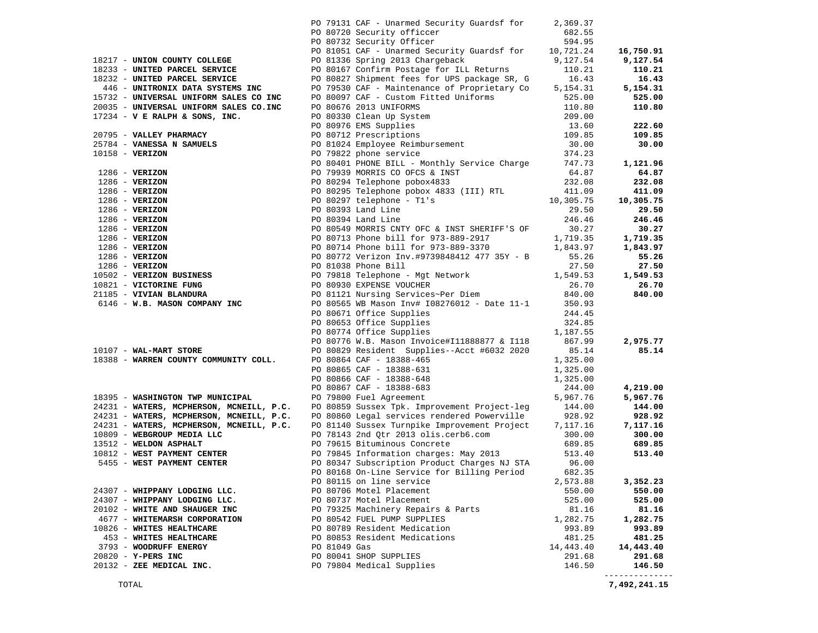|                                                   | PO 79131 CAF - Unarmed Security Guardsf for                                                                                                                        | 2,369.37            |                     |
|---------------------------------------------------|--------------------------------------------------------------------------------------------------------------------------------------------------------------------|---------------------|---------------------|
|                                                   | PO 80720 Security officcer                                                                                                                                         | 682.55              |                     |
|                                                   | PO 80732 Security Officer                                                                                                                                          | 594.95              |                     |
|                                                   | PO 81051 CAF - Unarmed Security Guardsf for                                                                                                                        | 10,721.24           | 16,750.91           |
| 18217 - UNION COUNTY COLLEGE                      | PO 81336 Spring 2013 Chargeback                                                                                                                                    | 9,127.54            | 9,127.54            |
| 18233 - UNITED PARCEL SERVICE                     | PO 80167 Confirm Postage for ILL Returns                                                                                                                           | 110.21              | 110.21              |
| 18232 - UNITED PARCEL SERVICE                     | PO 80827 Shipment fees for UPS package SR, G                                                                                                                       | 16.43               | 16.43               |
| 446 - UNITRONIX DATA SYSTEMS INC                  | PO 79530 CAF - Maintenance of Proprietary Co                                                                                                                       | 5,154.31            | 5,154.31            |
| 15732 - UNIVERSAL UNIFORM SALES CO INC            | PO 80097 CAF - Custom Fitted Uniforms                                                                                                                              | 525.00              | 525.00              |
| 20035 - UNIVERSAL UNIFORM SALES CO.INC            |                                                                                                                                                                    | 110.80              | 110.80              |
| 17234 - V E RALPH & SONS, INC.                    | PO 80676 2013 UNIFORMS<br>PO 80330 Clean Up System<br>PO 80976 EMS Supplies<br>PO 80712 Prescriptions<br>PO 81024 Employee Reimbursement<br>PO 79822 phone service | 209.00              |                     |
|                                                   |                                                                                                                                                                    | 13.60               | 222.60              |
| 20795 - VALLEY PHARMACY                           |                                                                                                                                                                    | 109.85              | 109.85              |
| 25784 - VANESSA N SAMUELS                         |                                                                                                                                                                    | 30.00               | 30.00               |
|                                                   |                                                                                                                                                                    |                     |                     |
|                                                   |                                                                                                                                                                    |                     | 1,121.96            |
|                                                   |                                                                                                                                                                    |                     | 64.87               |
|                                                   |                                                                                                                                                                    |                     | 232.08              |
|                                                   |                                                                                                                                                                    |                     | 411.09              |
|                                                   |                                                                                                                                                                    |                     | 10,305.75           |
|                                                   |                                                                                                                                                                    |                     | 29.50<br>246.46     |
|                                                   |                                                                                                                                                                    |                     | 30.27               |
|                                                   |                                                                                                                                                                    |                     | 1,719.35            |
|                                                   |                                                                                                                                                                    |                     | 1,843.97            |
|                                                   |                                                                                                                                                                    |                     | 55.26               |
|                                                   |                                                                                                                                                                    |                     | 27.50               |
|                                                   |                                                                                                                                                                    |                     | 1,549.53            |
| 10821 - VICTORINE FUNG                            |                                                                                                                                                                    |                     | 26.70               |
| 21185 - VIVIAN BLANDURA                           | PO 81038 Phone Bill 27.50<br>PO 79818 Telephone - Mgt Network 1,549.53<br>PO 80930 EXPENSE VOUCHER 26.70<br>PO 81121 Nursing Services~Per Diem 840.00              |                     | 840.00              |
| 6146 - W.B. MASON COMPANY INC                     | PO 80565 WB Mason Inv# I08276012 - Date 11-1                                                                                                                       | 350.93              |                     |
|                                                   | PO 80671 Office Supplies                                                                                                                                           | 244.45              |                     |
|                                                   | PO 80653 Office Supplies                                                                                                                                           | 324.85              |                     |
|                                                   | PO 80774 Office Supplies                                                                                                                                           | 1,187.55            |                     |
|                                                   | PO 80776 W.B. Mason Invoice#Il1888877 & Il18                                                                                                                       | 867.99              | 2,975.77            |
| $10107 - WAL-MART STORE$                          | PO 80829 Resident Supplies--Acct #6032 2020                                                                                                                        | 85.14               | 85.14               |
| 18388 - WARREN COUNTY COMMUNITY COLL.             |                                                                                                                                                                    | 1,325.00            |                     |
|                                                   |                                                                                                                                                                    | 1,325.00            |                     |
|                                                   | PO 80864 CAF - 18388-465<br>PO 80865 CAF - 18388-631<br>PO 80866 CAF - 18388-648<br>PO 80867 CAF - 18388-683<br>PO 79800 Fuel Agreement                            | 1,325.00            |                     |
|                                                   |                                                                                                                                                                    | 244.00              | 4,219.00            |
| 18395 - WASHINGTON TWP MUNICIPAL                  |                                                                                                                                                                    | 5,967.76            | 5,967.76            |
|                                                   | 24231 - WATERS, MCPHERSON, MCNEILL, P.C. PO 80859 Sussex Tpk. Improvement Project-leg 144.00                                                                       |                     | 144.00              |
|                                                   | 24231 - WATERS, MCPHERSON, MCNEILL, P.C. PO 80860 Legal services rendered Powerville                                                                               | 928.92              | 928.92              |
|                                                   | 24231 - WATERS, MCPHERSON, MCNEILL, P.C. PO 81140 Sussex Turnpike Improvement Project 7,117.16                                                                     |                     | 7,117.16            |
| 10809 - WEBGROUP MEDIA LLC                        | PO 78143 2nd Qtr 2013 olis.cerb6.com                                                                                                                               | 300.00              | 300.00              |
| 13512 - WELDON ASPHALT                            | PO 79615 Bituminous Concrete                                                                                                                                       | 689.85              | 689.85              |
| 10812 - WEST PAYMENT CENTER                       | PO 79845 Information charges: May 2013                                                                                                                             | 513.40              | 513.40              |
| 5455 - WEST PAYMENT CENTER                        | PO 80347 Subscription Product Charges NJ STA                                                                                                                       | 96.00               |                     |
|                                                   | PO 80168 On-Line Service for Billing Period                                                                                                                        | 682.35              |                     |
|                                                   | PO 80115 on line service                                                                                                                                           | 2,573.88            | 3,352.23            |
| 24307 - WHIPPANY LODGING LLC.                     | PO 80706 Motel Placement                                                                                                                                           | 550.00              | 550.00              |
| 24307 - WHIPPANY LODGING LLC.                     | PO 80737 Motel Placement                                                                                                                                           | 525.00              | 525.00              |
| 20102 - WHITE AND SHAUGER INC                     | PO 79325 Machinery Repairs & Parts                                                                                                                                 | 81.16               | 81.16               |
| 4677 - WHITEMARSH CORPORATION                     | PO 80542 FUEL PUMP SUPPLIES                                                                                                                                        | 1,282.75            | 1,282.75            |
| 10826 - WHITES HEALTHCARE                         | PO 80789 Resident Medication                                                                                                                                       | 993.89<br>481.25    | 993.89              |
| 453 - WHITES HEALTHCARE<br>3793 - WOODRUFF ENERGY | PO 80853 Resident Medications<br>PO 81049 Gas                                                                                                                      |                     | 481.25              |
| 20820 - Y-PERS INC                                | PO 80041 SHOP SUPPLIES                                                                                                                                             | 14,443.40<br>291.68 | 14,443.40<br>291.68 |
| 20132 - ZEE MEDICAL INC.                          | PO 79804 Medical Supplies                                                                                                                                          | 146.50              | 146.50              |
|                                                   |                                                                                                                                                                    |                     | ----------          |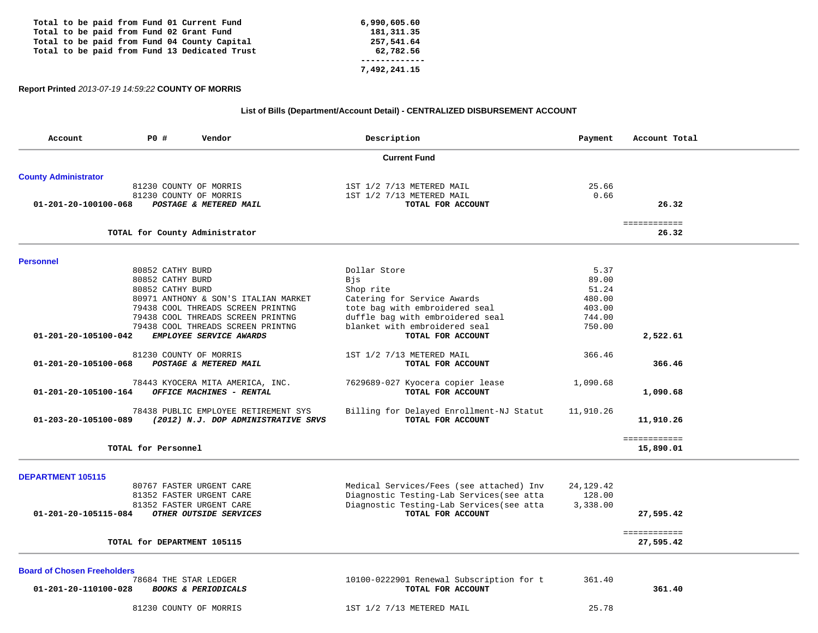|  |  |  |  | Total to be paid from Fund 01 Current Fund    | 6,990,605.60 |
|--|--|--|--|-----------------------------------------------|--------------|
|  |  |  |  | Total to be paid from Fund 02 Grant Fund      | 181, 311, 35 |
|  |  |  |  | Total to be paid from Fund 04 County Capital  | 257,541.64   |
|  |  |  |  | Total to be paid from Fund 13 Dedicated Trust | 62,782.56    |
|  |  |  |  |                                               |              |
|  |  |  |  |                                               | 7,492,241.15 |

# **Report Printed** *2013-07-19 14:59:22* **COUNTY OF MORRIS**

# **List of Bills (Department/Account Detail) - CENTRALIZED DISBURSEMENT ACCOUNT**

| Account                            | P0 #                | Vendor                               | Description                               | Payment     | Account Total               |
|------------------------------------|---------------------|--------------------------------------|-------------------------------------------|-------------|-----------------------------|
|                                    |                     |                                      | <b>Current Fund</b>                       |             |                             |
| <b>County Administrator</b>        |                     |                                      |                                           |             |                             |
|                                    |                     | 81230 COUNTY OF MORRIS               | 1ST 1/2 7/13 METERED MAIL                 | 25.66       |                             |
|                                    |                     | 81230 COUNTY OF MORRIS               | 1ST 1/2 7/13 METERED MAIL                 | 0.66        |                             |
| 01-201-20-100100-068               |                     | POSTAGE & METERED MAIL               | TOTAL FOR ACCOUNT                         |             | 26.32                       |
|                                    |                     | TOTAL for County Administrator       |                                           |             | <b>EEEEEEEEEEE</b><br>26.32 |
|                                    |                     |                                      |                                           |             |                             |
| <b>Personnel</b>                   |                     |                                      |                                           |             |                             |
|                                    |                     | 80852 CATHY BURD                     | Dollar Store                              | 5.37        |                             |
|                                    |                     | 80852 CATHY BURD                     | Bjs                                       | 89.00       |                             |
|                                    |                     | 80852 CATHY BURD                     | Shop rite                                 | 51.24       |                             |
|                                    |                     | 80971 ANTHONY & SON'S ITALIAN MARKET | Catering for Service Awards               | 480.00      |                             |
|                                    |                     | 79438 COOL THREADS SCREEN PRINTNG    | tote bag with embroidered seal            | 403.00      |                             |
|                                    |                     | 79438 COOL THREADS SCREEN PRINTNG    | duffle bag with embroidered seal          | 744.00      |                             |
|                                    |                     | 79438 COOL THREADS SCREEN PRINTNG    | blanket with embroidered seal             | 750.00      |                             |
| 01-201-20-105100-042               |                     | EMPLOYEE SERVICE AWARDS              | TOTAL FOR ACCOUNT                         |             | 2,522.61                    |
|                                    |                     | 81230 COUNTY OF MORRIS               | 1ST 1/2 7/13 METERED MAIL                 | 366.46      |                             |
| 01-201-20-105100-068               |                     | POSTAGE & METERED MAIL               | TOTAL FOR ACCOUNT                         |             | 366.46                      |
|                                    |                     | 78443 KYOCERA MITA AMERICA, INC.     | 7629689-027 Kyocera copier lease          | 1,090.68    |                             |
| 01-201-20-105100-164               |                     | OFFICE MACHINES - RENTAL             | TOTAL FOR ACCOUNT                         |             | 1,090.68                    |
|                                    |                     | 78438 PUBLIC EMPLOYEE RETIREMENT SYS | Billing for Delayed Enrollment-NJ Statut  | 11,910.26   |                             |
| 01-203-20-105100-089               |                     | (2012) N.J. DOP ADMINISTRATIVE SRVS  | TOTAL FOR ACCOUNT                         |             | 11,910.26                   |
|                                    |                     |                                      |                                           |             | ============                |
|                                    | TOTAL for Personnel |                                      |                                           |             | 15,890.01                   |
| <b>DEPARTMENT 105115</b>           |                     |                                      |                                           |             |                             |
|                                    |                     | 80767 FASTER URGENT CARE             | Medical Services/Fees (see attached) Inv  | 24, 129. 42 |                             |
|                                    |                     | 81352 FASTER URGENT CARE             | Diagnostic Testing-Lab Services (see atta | 128.00      |                             |
|                                    |                     | 81352 FASTER URGENT CARE             | Diagnostic Testing-Lab Services (see atta | 3,338.00    |                             |
| 01-201-20-105115-084               |                     | OTHER OUTSIDE SERVICES               | TOTAL FOR ACCOUNT                         |             | 27,595.42                   |
|                                    |                     |                                      |                                           |             | ============                |
|                                    |                     | TOTAL for DEPARTMENT 105115          |                                           |             | 27,595.42                   |
| <b>Board of Chosen Freeholders</b> |                     |                                      |                                           |             |                             |
|                                    |                     | 78684 THE STAR LEDGER                | 10100-0222901 Renewal Subscription for t  | 361.40      |                             |
| 01-201-20-110100-028               |                     | <b>BOOKS &amp; PERIODICALS</b>       | TOTAL FOR ACCOUNT                         |             | 361.40                      |
|                                    |                     | 81230 COUNTY OF MORRIS               | 1ST 1/2 7/13 METERED MAIL                 | 25.78       |                             |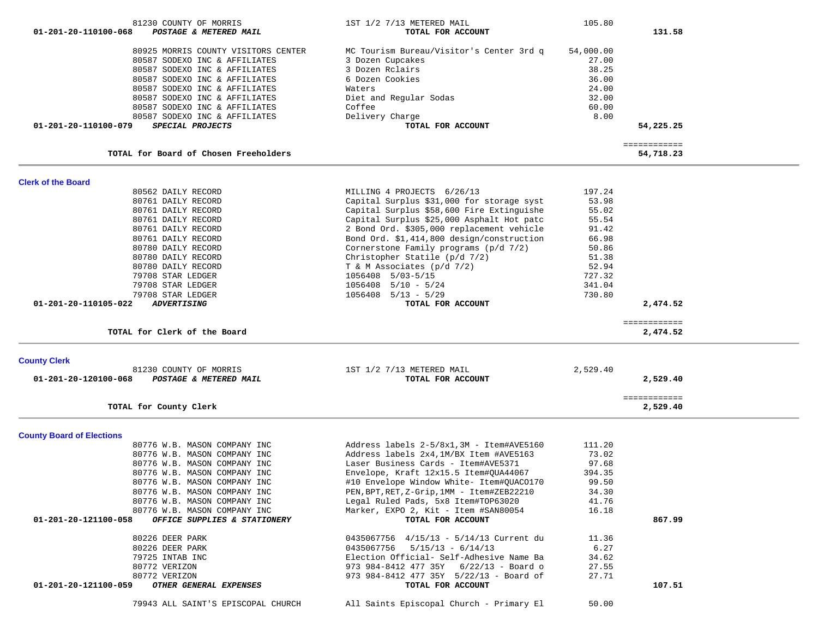| 01-201-20-110100-068             | 81230 COUNTY OF MORRIS<br>POSTAGE & METERED MAIL | 1ST 1/2 7/13 METERED MAIL<br>TOTAL FOR ACCOUNT | 105.80    | 131.58                    |  |
|----------------------------------|--------------------------------------------------|------------------------------------------------|-----------|---------------------------|--|
|                                  | 80925 MORRIS COUNTY VISITORS CENTER              | MC Tourism Bureau/Visitor's Center 3rd q       | 54,000.00 |                           |  |
|                                  | 80587 SODEXO INC & AFFILIATES                    | 3 Dozen Cupcakes                               | 27.00     |                           |  |
|                                  | 80587 SODEXO INC & AFFILIATES                    | 3 Dozen Rclairs                                | 38.25     |                           |  |
|                                  | 80587 SODEXO INC & AFFILIATES                    | 6 Dozen Cookies                                | 36.00     |                           |  |
|                                  | 80587 SODEXO INC & AFFILIATES                    | Waters                                         | 24.00     |                           |  |
|                                  | 80587 SODEXO INC & AFFILIATES                    | Diet and Regular Sodas                         | 32.00     |                           |  |
|                                  | 80587 SODEXO INC & AFFILIATES                    | Coffee                                         | 60.00     |                           |  |
|                                  | 80587 SODEXO INC & AFFILIATES                    | Delivery Charge                                | 8.00      |                           |  |
| 01-201-20-110100-079             | SPECIAL PROJECTS                                 | TOTAL FOR ACCOUNT                              |           | 54,225.25                 |  |
|                                  | TOTAL for Board of Chosen Freeholders            |                                                |           | ============<br>54,718.23 |  |
| <b>Clerk of the Board</b>        |                                                  |                                                |           |                           |  |
|                                  | 80562 DAILY RECORD                               | MILLING 4 PROJECTS 6/26/13                     | 197.24    |                           |  |
|                                  | 80761 DAILY RECORD                               | Capital Surplus \$31,000 for storage syst      | 53.98     |                           |  |
|                                  | 80761 DAILY RECORD                               | Capital Surplus \$58,600 Fire Extinguishe      | 55.02     |                           |  |
|                                  | 80761 DAILY RECORD                               | Capital Surplus \$25,000 Asphalt Hot patc      | 55.54     |                           |  |
|                                  | 80761 DAILY RECORD                               | 2 Bond Ord. \$305,000 replacement vehicle      | 91.42     |                           |  |
|                                  | 80761 DAILY RECORD                               | Bond Ord. \$1,414,800 design/construction      | 66.98     |                           |  |
|                                  | 80780 DAILY RECORD                               | Cornerstone Family programs (p/d 7/2)          | 50.86     |                           |  |
|                                  | 80780 DAILY RECORD                               | Christopher Statile (p/d 7/2)                  | 51.38     |                           |  |
|                                  | 80780 DAILY RECORD                               | T & M Associates $(p/d 7/2)$                   | 52.94     |                           |  |
|                                  | 79708 STAR LEDGER                                | 1056408 5/03-5/15                              | 727.32    |                           |  |
|                                  | 79708 STAR LEDGER                                | $1056408$ $5/10$ - $5/24$                      | 341.04    |                           |  |
|                                  | 79708 STAR LEDGER                                | $1056408$ $5/13$ - $5/29$                      | 730.80    |                           |  |
| 01-201-20-110105-022             | <b>ADVERTISING</b>                               | TOTAL FOR ACCOUNT                              |           | 2,474.52                  |  |
|                                  | TOTAL for Clerk of the Board                     |                                                |           | ============<br>2,474.52  |  |
| <b>County Clerk</b>              |                                                  |                                                |           |                           |  |
| 01-201-20-120100-068             | 81230 COUNTY OF MORRIS<br>POSTAGE & METERED MAIL | 1ST 1/2 7/13 METERED MAIL<br>TOTAL FOR ACCOUNT | 2,529.40  | 2,529.40                  |  |
|                                  |                                                  |                                                |           | ============              |  |
|                                  | TOTAL for County Clerk                           |                                                |           | 2,529.40                  |  |
| <b>County Board of Elections</b> |                                                  |                                                |           |                           |  |
|                                  | 80776 W.B. MASON COMPANY INC                     | Address labels 2-5/8x1, 3M - Item#AVE5160      | 111.20    |                           |  |
|                                  | 80776 W.B. MASON COMPANY INC                     | Address labels 2x4, 1M/BX Item #AVE5163        | 73.02     |                           |  |
|                                  | 80776 W.B. MASON COMPANY INC                     | Laser Business Cards - Item#AVE5371            | 97.68     |                           |  |
|                                  | 80776 W.B. MASON COMPANY INC                     | Envelope, Kraft 12x15.5 Item#QUA44067          | 394.35    |                           |  |
|                                  | 80776 W.B. MASON COMPANY INC                     | #10 Envelope Window White- Item#QUAC0170       | 99.50     |                           |  |
|                                  | 80776 W.B. MASON COMPANY INC                     | PEN, BPT, RET, Z-Grip, 1MM - Item#ZEB22210     | 34.30     |                           |  |
|                                  | 80776 W.B. MASON COMPANY INC                     | Legal Ruled Pads, 5x8 Item#TOP63020            | 41.76     |                           |  |
|                                  | 80776 W.B. MASON COMPANY INC                     | Marker, EXPO 2, Kit - Item #SAN80054           | 16.18     |                           |  |
| 01-201-20-121100-058             | OFFICE SUPPLIES & STATIONERY                     | TOTAL FOR ACCOUNT                              |           | 867.99                    |  |
|                                  | 80226 DEER PARK                                  | 0435067756 4/15/13 - 5/14/13 Current du        | 11.36     |                           |  |
|                                  | 80226 DEER PARK                                  | $0435067756$ $5/15/13 - 6/14/13$               | 6.27      |                           |  |
|                                  | 79725 INTAB INC                                  | Election Official- Self-Adhesive Name Ba       | 34.62     |                           |  |
|                                  | 80772 VERIZON                                    | 973 984-8412 477 35Y 6/22/13 - Board o         | 27.55     |                           |  |
|                                  | 80772 VERIZON                                    | 973 984-8412 477 35Y 5/22/13 - Board of        | 27.71     |                           |  |
| 01-201-20-121100-059             | OTHER GENERAL EXPENSES                           | TOTAL FOR ACCOUNT                              |           | 107.51                    |  |
|                                  | 79943 ALL SAINT'S EPISCOPAL CHURCH               | All Saints Episcopal Church - Primary El       | 50.00     |                           |  |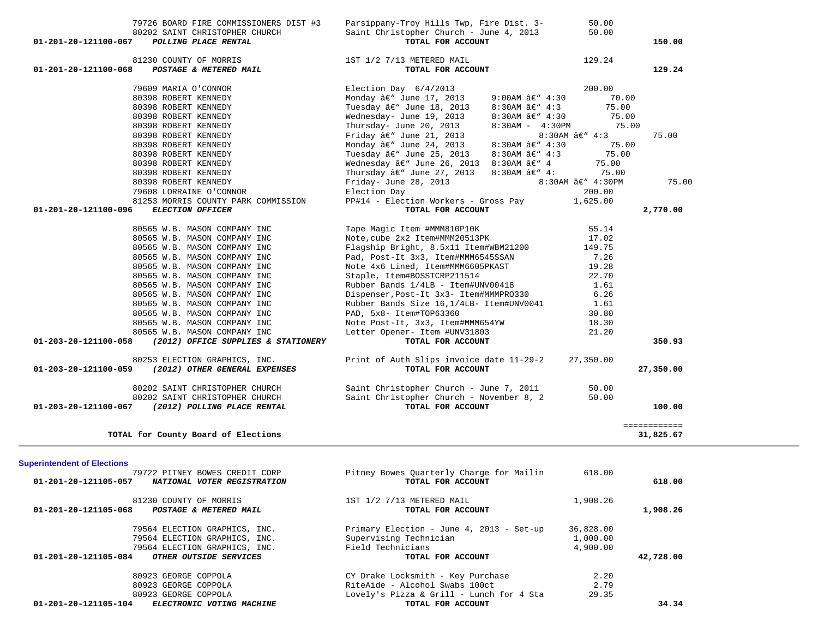| 01-201-20-121100-068               | 81230 COUNTY OF MORRIS                            | 1ST 1/2 7/13 METERED MAIL                                                          |                        | 129.24            |              |
|------------------------------------|---------------------------------------------------|------------------------------------------------------------------------------------|------------------------|-------------------|--------------|
|                                    | POSTAGE & METERED MAIL                            | TOTAL FOR ACCOUNT                                                                  |                        |                   | 129.24       |
|                                    |                                                   |                                                                                    |                        |                   |              |
|                                    | 79609 MARIA O'CONNOR                              | Election Day 6/4/2013                                                              |                        | 200.00            |              |
|                                    | 80398 ROBERT KENNEDY                              | Monday $\hat{a}\in$ " June 17, 2013                                                | 9:00AM â€" 4:30        | 70.00             |              |
|                                    | 80398 ROBERT KENNEDY                              | Tuesday â€" June 18, 2013                                                          | 8:30AM â€" 4:3         | 75.00             |              |
|                                    | 80398 ROBERT KENNEDY                              | Wednesday- June 19, 2013                                                           | 8:30AM â€" 4:30        | 75.00             |              |
|                                    | 80398 ROBERT KENNEDY                              | Thursday- June 20, 2013                                                            | $8:30AM - 4:30PM$      | 75.00             |              |
|                                    | 80398 ROBERT KENNEDY                              | Friday $\hat{a} \in$ " June 21, 2013                                               |                        | $8:30$ AM â€" 4:3 | 75.00        |
|                                    |                                                   |                                                                                    |                        |                   |              |
|                                    | 80398 ROBERT KENNEDY                              | Monday â€" June 24, 2013                                                           | 8:30AM â€" 4:30        | 75.00             |              |
|                                    | 80398 ROBERT KENNEDY                              | Tuesday â€" June 25, 2013                                                          | 8:30AM $â€" 4:3$       | 75.00             |              |
|                                    | 80398 ROBERT KENNEDY                              | Wednesday $\hat{a} \in \mathbb{N}$ June 26, 2013 8:30AM $\hat{a} \in \mathbb{N}$ 4 |                        | 75.00             |              |
|                                    | 80398 ROBERT KENNEDY                              | Thursday $\hat{a} \in \mathbb{N}$ June 27, 2013                                    | 8:30AM $\hat{a}\in$ 4: | 75.00             |              |
|                                    | 80398 ROBERT KENNEDY                              | Friday- June 28, 2013                                                              |                        | 8:30AM â€" 4:30PM | 75.00        |
|                                    | 79608 LORRAINE O'CONNOR                           | Election Day                                                                       |                        | 200.00            |              |
|                                    | 81253 MORRIS COUNTY PARK COMMISSION               | PP#14 - Election Workers - Gross Pay                                               |                        | 1,625.00          |              |
| 01-201-20-121100-096               | ELECTION OFFICER                                  | TOTAL FOR ACCOUNT                                                                  |                        |                   | 2,770.00     |
|                                    |                                                   |                                                                                    |                        |                   |              |
|                                    | 80565 W.B. MASON COMPANY INC                      | Tape Magic Item #MMM810P10K                                                        |                        | 55.14             |              |
|                                    |                                                   |                                                                                    |                        |                   |              |
|                                    | 80565 W.B. MASON COMPANY INC                      | Note, cube 2x2 Item#MMM20513PK                                                     |                        | 17.02             |              |
|                                    | 80565 W.B. MASON COMPANY INC                      | Flagship Bright, 8.5x11 Item#WBM21200                                              |                        | 149.75            |              |
|                                    | 80565 W.B. MASON COMPANY INC                      | Pad, Post-It 3x3, Item#MMM6545SSAN                                                 |                        | 7.26              |              |
|                                    | 80565 W.B. MASON COMPANY INC                      | Note 4x6 Lined, Item#MMM6605PKAST                                                  |                        | 19.28             |              |
|                                    | 80565 W.B. MASON COMPANY INC                      | Staple, Item#BOSSTCRP211514                                                        |                        | 22.70             |              |
|                                    | 80565 W.B. MASON COMPANY INC                      | Rubber Bands 1/4LB - Item#UNV00418                                                 |                        | 1.61              |              |
|                                    | 80565 W.B. MASON COMPANY INC                      | Dispenser, Post-It 3x3- Item#MMMPR0330                                             |                        | 6.26              |              |
|                                    | 80565 W.B. MASON COMPANY INC                      | Rubber Bands Size 16, 1/4LB- Item#UNV0041                                          |                        | 1.61              |              |
|                                    |                                                   |                                                                                    |                        |                   |              |
|                                    | 80565 W.B. MASON COMPANY INC                      | PAD, 5x8- Item#TOP63360                                                            |                        | 30.80             |              |
|                                    | 80565 W.B. MASON COMPANY INC                      | Note Post-It, 3x3, Item#MMM654YW                                                   |                        | 18.30             |              |
|                                    | 80565 W.B. MASON COMPANY INC                      | Letter Opener- Item #UNV31803                                                      |                        | 21.20             |              |
| 01-203-20-121100-058               | (2012) OFFICE SUPPLIES & STATIONERY               | TOTAL FOR ACCOUNT                                                                  |                        |                   | 350.93       |
|                                    | 80253 ELECTION GRAPHICS, INC.                     | Print of Auth Slips invoice date 11-29-2                                           |                        | 27,350.00         |              |
| 01-203-20-121100-059               | (2012) OTHER GENERAL EXPENSES                     | TOTAL FOR ACCOUNT                                                                  |                        |                   | 27,350.00    |
|                                    |                                                   |                                                                                    |                        |                   |              |
|                                    | 80202 SAINT CHRISTOPHER CHURCH                    | Saint Christopher Church - June 7, 2011                                            |                        | 50.00             |              |
|                                    | 80202 SAINT CHRISTOPHER CHURCH                    | Saint Christopher Church - November 8, 2                                           |                        | 50.00             |              |
| 01-203-20-121100-067               | (2012) POLLING PLACE RENTAL                       | TOTAL FOR ACCOUNT                                                                  |                        |                   | 100.00       |
|                                    |                                                   |                                                                                    |                        |                   |              |
|                                    |                                                   |                                                                                    |                        |                   | ============ |
|                                    | TOTAL for County Board of Elections               |                                                                                    |                        |                   | 31,825.67    |
|                                    |                                                   |                                                                                    |                        |                   |              |
| <b>Superintendent of Elections</b> |                                                   |                                                                                    |                        |                   |              |
|                                    | 79722 PITNEY BOWES CREDIT CORP                    | Pitney Bowes Quarterly Charge for Mailin                                           |                        | 618.00            |              |
| 01-201-20-121105-057               | NATIONAL VOTER REGISTRATION                       | TOTAL FOR ACCOUNT                                                                  |                        |                   | 618.00       |
|                                    |                                                   |                                                                                    |                        |                   |              |
|                                    | 81230 COUNTY OF MORRIS                            | 1ST 1/2 7/13 METERED MAIL                                                          |                        | 1,908.26          |              |
| 01-201-20-121105-068               | POSTAGE & METERED MAIL                            | TOTAL FOR ACCOUNT                                                                  |                        |                   | 1,908.26     |
|                                    |                                                   |                                                                                    |                        |                   |              |
|                                    | 79564 ELECTION GRAPHICS, INC.                     | Primary Election - June 4, 2013 - Set-up                                           |                        | 36,828.00         |              |
|                                    |                                                   | Supervising Technician                                                             |                        | 1,000.00          |              |
|                                    | 79564 ELECTION GRAPHICS, INC.                     | Field Technicians                                                                  |                        | 4,900.00          |              |
|                                    | 79564 ELECTION GRAPHICS, INC.                     |                                                                                    |                        |                   |              |
| 01-201-20-121105-084               | OTHER OUTSIDE SERVICES                            | TOTAL FOR ACCOUNT                                                                  |                        |                   | 42,728.00    |
|                                    |                                                   |                                                                                    |                        |                   |              |
|                                    | 80923 GEORGE COPPOLA                              | CY Drake Locksmith - Key Purchase                                                  |                        | 2.20              |              |
|                                    | 80923 GEORGE COPPOLA                              | RiteAide - Alcohol Swabs 100ct                                                     |                        | 2.79              |              |
| 01-201-20-121105-104               | 80923 GEORGE COPPOLA<br>ELECTRONIC VOTING MACHINE | Lovely's Pizza & Grill - Lunch for 4 Sta<br>TOTAL FOR ACCOUNT                      |                        | 29.35             | 34.34        |

 79726 BOARD FIRE COMMISSIONERS DIST #3 Parsippany-Troy Hills Twp, Fire Dist. 3- 50.00 80202 SAINT CHRISTOPHER CHURCH Saint Christopher Church - June 4, 2013 50.00

150.00

 **01-201-20-121100-067** *POLLING PLACE RENTAL* **TOTAL FOR ACCOUNT 150.00**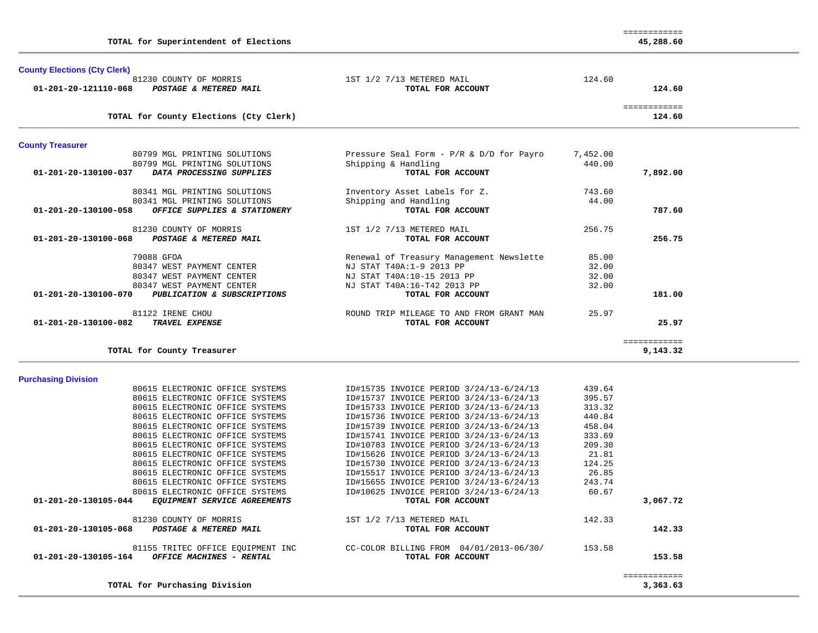| 1ST 1/2 7/13 METERED MAIL                | 124.60                                                                                                                                                                                                                                                                                                                                                                                                                                                                                                                      |                                                                                    |                                                                                                    |
|------------------------------------------|-----------------------------------------------------------------------------------------------------------------------------------------------------------------------------------------------------------------------------------------------------------------------------------------------------------------------------------------------------------------------------------------------------------------------------------------------------------------------------------------------------------------------------|------------------------------------------------------------------------------------|----------------------------------------------------------------------------------------------------|
|                                          |                                                                                                                                                                                                                                                                                                                                                                                                                                                                                                                             |                                                                                    |                                                                                                    |
|                                          |                                                                                                                                                                                                                                                                                                                                                                                                                                                                                                                             | 124.60                                                                             |                                                                                                    |
|                                          |                                                                                                                                                                                                                                                                                                                                                                                                                                                                                                                             |                                                                                    |                                                                                                    |
|                                          | 7,452.00                                                                                                                                                                                                                                                                                                                                                                                                                                                                                                                    |                                                                                    |                                                                                                    |
| Shipping & Handling                      | 440.00                                                                                                                                                                                                                                                                                                                                                                                                                                                                                                                      |                                                                                    |                                                                                                    |
| TOTAL FOR ACCOUNT                        |                                                                                                                                                                                                                                                                                                                                                                                                                                                                                                                             | 7,892.00                                                                           |                                                                                                    |
| Inventory Asset Labels for Z.            | 743.60                                                                                                                                                                                                                                                                                                                                                                                                                                                                                                                      |                                                                                    |                                                                                                    |
| Shipping and Handling                    | 44.00                                                                                                                                                                                                                                                                                                                                                                                                                                                                                                                       |                                                                                    |                                                                                                    |
|                                          |                                                                                                                                                                                                                                                                                                                                                                                                                                                                                                                             |                                                                                    |                                                                                                    |
| 1ST 1/2 7/13 METERED MAIL                | 256.75                                                                                                                                                                                                                                                                                                                                                                                                                                                                                                                      |                                                                                    |                                                                                                    |
| TOTAL FOR ACCOUNT                        |                                                                                                                                                                                                                                                                                                                                                                                                                                                                                                                             | 256.75                                                                             |                                                                                                    |
| Renewal of Treasury Management Newslette | 85.00                                                                                                                                                                                                                                                                                                                                                                                                                                                                                                                       |                                                                                    |                                                                                                    |
| NJ STAT T40A:1-9 2013 PP                 | 32.00                                                                                                                                                                                                                                                                                                                                                                                                                                                                                                                       |                                                                                    |                                                                                                    |
| NJ STAT T40A:10-15 2013 PP               | 32.00                                                                                                                                                                                                                                                                                                                                                                                                                                                                                                                       |                                                                                    |                                                                                                    |
|                                          |                                                                                                                                                                                                                                                                                                                                                                                                                                                                                                                             |                                                                                    |                                                                                                    |
|                                          |                                                                                                                                                                                                                                                                                                                                                                                                                                                                                                                             |                                                                                    |                                                                                                    |
| ROUND TRIP MILEAGE TO AND FROM GRANT MAN | 25.97                                                                                                                                                                                                                                                                                                                                                                                                                                                                                                                       |                                                                                    |                                                                                                    |
| TOTAL FOR ACCOUNT                        |                                                                                                                                                                                                                                                                                                                                                                                                                                                                                                                             | 25.97                                                                              |                                                                                                    |
|                                          |                                                                                                                                                                                                                                                                                                                                                                                                                                                                                                                             |                                                                                    |                                                                                                    |
|                                          |                                                                                                                                                                                                                                                                                                                                                                                                                                                                                                                             |                                                                                    |                                                                                                    |
|                                          |                                                                                                                                                                                                                                                                                                                                                                                                                                                                                                                             |                                                                                    |                                                                                                    |
| ID#15735 INVOICE PERIOD 3/24/13-6/24/13  | 439.64                                                                                                                                                                                                                                                                                                                                                                                                                                                                                                                      |                                                                                    |                                                                                                    |
| ID#15737 INVOICE PERIOD 3/24/13-6/24/13  | 395.57                                                                                                                                                                                                                                                                                                                                                                                                                                                                                                                      |                                                                                    |                                                                                                    |
| ID#15733 INVOICE PERIOD 3/24/13-6/24/13  | 313.32                                                                                                                                                                                                                                                                                                                                                                                                                                                                                                                      |                                                                                    |                                                                                                    |
| ID#15736 INVOICE PERIOD 3/24/13-6/24/13  | 440.84                                                                                                                                                                                                                                                                                                                                                                                                                                                                                                                      |                                                                                    |                                                                                                    |
| ID#15739 INVOICE PERIOD 3/24/13-6/24/13  | 458.04                                                                                                                                                                                                                                                                                                                                                                                                                                                                                                                      |                                                                                    |                                                                                                    |
|                                          | 333.69                                                                                                                                                                                                                                                                                                                                                                                                                                                                                                                      |                                                                                    |                                                                                                    |
|                                          |                                                                                                                                                                                                                                                                                                                                                                                                                                                                                                                             |                                                                                    |                                                                                                    |
|                                          |                                                                                                                                                                                                                                                                                                                                                                                                                                                                                                                             |                                                                                    |                                                                                                    |
|                                          |                                                                                                                                                                                                                                                                                                                                                                                                                                                                                                                             |                                                                                    |                                                                                                    |
|                                          |                                                                                                                                                                                                                                                                                                                                                                                                                                                                                                                             |                                                                                    |                                                                                                    |
|                                          |                                                                                                                                                                                                                                                                                                                                                                                                                                                                                                                             |                                                                                    |                                                                                                    |
| TOTAL FOR ACCOUNT                        |                                                                                                                                                                                                                                                                                                                                                                                                                                                                                                                             | 3,067.72                                                                           |                                                                                                    |
|                                          |                                                                                                                                                                                                                                                                                                                                                                                                                                                                                                                             |                                                                                    |                                                                                                    |
| TOTAL FOR ACCOUNT                        |                                                                                                                                                                                                                                                                                                                                                                                                                                                                                                                             | 142.33                                                                             |                                                                                                    |
|                                          |                                                                                                                                                                                                                                                                                                                                                                                                                                                                                                                             |                                                                                    |                                                                                                    |
| TOTAL FOR ACCOUNT                        |                                                                                                                                                                                                                                                                                                                                                                                                                                                                                                                             | 153.58                                                                             |                                                                                                    |
|                                          |                                                                                                                                                                                                                                                                                                                                                                                                                                                                                                                             |                                                                                    |                                                                                                    |
|                                          |                                                                                                                                                                                                                                                                                                                                                                                                                                                                                                                             |                                                                                    |                                                                                                    |
|                                          |                                                                                                                                                                                                                                                                                                                                                                                                                                                                                                                             |                                                                                    |                                                                                                    |
|                                          | TOTAL FOR ACCOUNT<br>Pressure Seal Form - P/R & D/D for Payro<br>TOTAL FOR ACCOUNT<br>NJ STAT T40A:16-T42 2013 PP<br>TOTAL FOR ACCOUNT<br>ID#15741 INVOICE PERIOD 3/24/13-6/24/13<br>ID#10783 INVOICE PERIOD 3/24/13-6/24/13<br>ID#15626 INVOICE PERIOD 3/24/13-6/24/13<br>ID#15730 INVOICE PERIOD 3/24/13-6/24/13<br>ID#15517 INVOICE PERIOD 3/24/13-6/24/13<br>ID#15655 INVOICE PERIOD 3/24/13-6/24/13<br>ID#10625 INVOICE PERIOD 3/24/13-6/24/13<br>1ST 1/2 7/13 METERED MAIL<br>CC-COLOR BILLING FROM 04/01/2013-06/30/ | 32.00<br>209.30<br>21.81<br>124.25<br>26.85<br>243.74<br>60.67<br>142.33<br>153.58 | 124.60<br>============<br>787.60<br>181.00<br>============<br>9,143.32<br>============<br>3,363.63 |

**County Elections (Cty Clerk)**

 ============ 45,288.60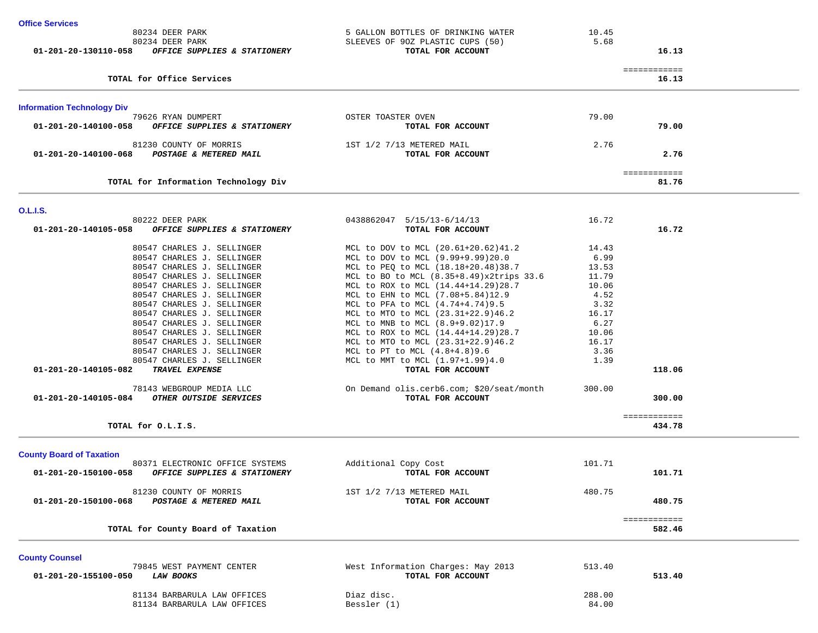| <b>Office Services</b>                               |                                    |              |  |
|------------------------------------------------------|------------------------------------|--------------|--|
| 80234 DEER PARK                                      | 5 GALLON BOTTLES OF DRINKING WATER | 10.45        |  |
| 80234 DEER PARK                                      | SLEEVES OF 90Z PLASTIC CUPS (50)   | 5.68         |  |
| 01-201-20-130110-058<br>OFFICE SUPPLIES & STATIONERY | TOTAL FOR ACCOUNT                  | 16.13        |  |
|                                                      |                                    | ============ |  |
| TOTAL for Office Services                            |                                    | 16.13        |  |
| <b>Information Technology Div</b>                    |                                    |              |  |
| 79626 RYAN DUMPERT                                   | OSTER TOASTER OVEN                 | 79.00        |  |
| 01-201-20-140100-058<br>OFFICE SUPPLIES & STATIONERY | TOTAL FOR ACCOUNT                  | 79.00        |  |
| 81230 COUNTY OF MORRIS                               | 1ST 1/2 7/13 METERED MAIL          | 2.76         |  |
| 01-201-20-140100-068<br>POSTAGE & METERED MAIL       | TOTAL FOR ACCOUNT                  | 2.76         |  |
|                                                      |                                    | ============ |  |
| TOTAL for Information Technology Div                 |                                    | 81.76        |  |

| 80222 DEER PARK                                      | 0438862047 5/15/13-6/14/13                | 16.72  |              |  |
|------------------------------------------------------|-------------------------------------------|--------|--------------|--|
|                                                      |                                           |        | 16.72        |  |
| 01-201-20-140105-058<br>OFFICE SUPPLIES & STATIONERY | TOTAL FOR ACCOUNT                         |        |              |  |
| 80547 CHARLES J. SELLINGER                           | MCL to DOV to MCL (20.61+20.62)41.2       | 14.43  |              |  |
| 80547 CHARLES J. SELLINGER                           | MCL to DOV to MCL (9.99+9.99)20.0         | 6.99   |              |  |
| 80547 CHARLES J. SELLINGER                           | MCL to PEQ to MCL (18.18+20.48)38.7       | 13.53  |              |  |
| 80547 CHARLES J. SELLINGER                           | MCL to BO to MCL (8.35+8.49)x2trips 33.6  | 11.79  |              |  |
| 80547 CHARLES J. SELLINGER                           | MCL to ROX to MCL (14.44+14.29)28.7       | 10.06  |              |  |
| 80547 CHARLES J. SELLINGER                           | MCL to EHN to MCL (7.08+5.84)12.9         | 4.52   |              |  |
| 80547 CHARLES J. SELLINGER                           | MCL to PFA to MCL (4.74+4.74)9.5          | 3.32   |              |  |
| 80547 CHARLES J. SELLINGER                           | MCL to MTO to MCL (23.31+22.9)46.2        | 16.17  |              |  |
| 80547 CHARLES J. SELLINGER                           | MCL to MNB to MCL (8.9+9.02)17.9          | 6.27   |              |  |
| 80547 CHARLES J. SELLINGER                           | MCL to ROX to MCL (14.44+14.29)28.7       | 10.06  |              |  |
| 80547 CHARLES J. SELLINGER                           | MCL to MTO to MCL (23.31+22.9)46.2        | 16.17  |              |  |
| 80547 CHARLES J. SELLINGER                           | MCL to PT to MCL $(4.8+4.8)9.6$           | 3.36   |              |  |
| 80547 CHARLES J. SELLINGER                           | MCL to MMT to MCL (1.97+1.99)4.0          | 1.39   |              |  |
| 01-201-20-140105-082<br><b>TRAVEL EXPENSE</b>        | TOTAL FOR ACCOUNT                         |        | 118.06       |  |
| 78143 WEBGROUP MEDIA LLC                             | On Demand olis.cerb6.com; \$20/seat/month | 300.00 |              |  |
| OTHER OUTSIDE SERVICES<br>01-201-20-140105-084       | TOTAL FOR ACCOUNT                         |        | 300.00       |  |
|                                                      |                                           |        |              |  |
|                                                      |                                           |        | ============ |  |
| TOTAL for O.L.I.S.                                   |                                           |        | 434.78       |  |
| <b>County Board of Taxation</b>                      |                                           |        |              |  |
| 80371 ELECTRONIC OFFICE SYSTEMS                      | Additional Copy Cost                      | 101.71 |              |  |
| 01-201-20-150100-058<br>OFFICE SUPPLIES & STATIONERY | TOTAL FOR ACCOUNT                         |        | 101.71       |  |
|                                                      |                                           |        |              |  |
| 81230 COUNTY OF MORRIS                               | 1ST 1/2 7/13 METERED MAIL                 | 480.75 |              |  |
| 01-201-20-150100-068<br>POSTAGE & METERED MAIL       | TOTAL FOR ACCOUNT                         |        | 480.75       |  |
|                                                      |                                           |        |              |  |
|                                                      |                                           |        | ============ |  |
| TOTAL for County Board of Taxation                   |                                           |        | 582.46       |  |
|                                                      |                                           |        |              |  |
| <b>County Counsel</b><br>79845 WEST PAYMENT CENTER   | West Information Charges: May 2013        | 513.40 |              |  |
| 01-201-20-155100-050<br><b>LAW BOOKS</b>             | TOTAL FOR ACCOUNT                         |        | 513.40       |  |

**O.L.I.S.** 

| 79845 WEST PAYMENT CENTER<br>01-201-20-155100-050<br><i>LAW BOOKS</i> | West Information Charges: May 2013<br>TOTAL FOR ACCOUNT | 513.40<br>513.40 |  |
|-----------------------------------------------------------------------|---------------------------------------------------------|------------------|--|
| 81134 BARBARULA LAW OFFICES                                           | Diaz disc.                                              | 288.00           |  |
| 81134 BARBARULA LAW OFFICES                                           | Bessler (1)                                             | 84.00            |  |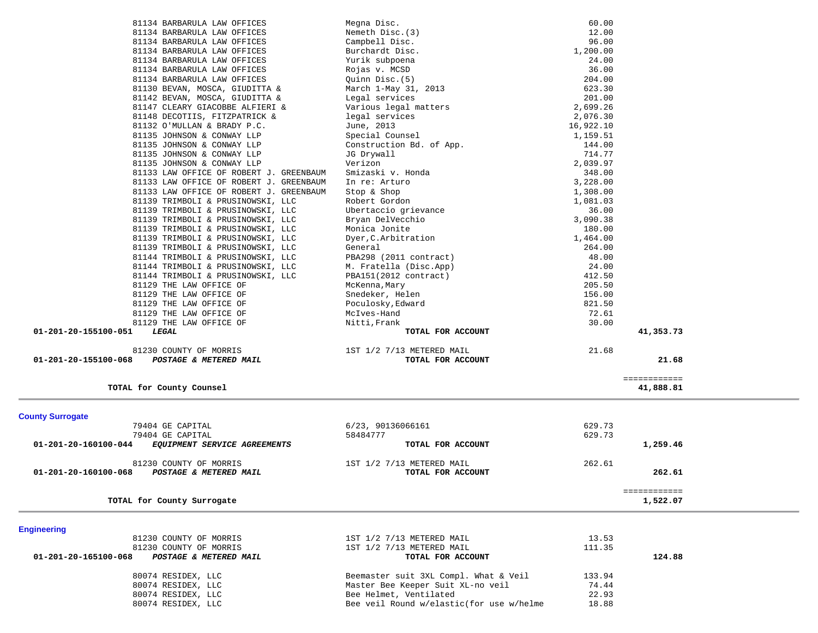| 81134 BARBARULA LAW OFFICES                          | Megna Disc.               | 60.00     |              |  |
|------------------------------------------------------|---------------------------|-----------|--------------|--|
| 81134 BARBARULA LAW OFFICES                          | Nemeth Disc. (3)          | 12.00     |              |  |
| 81134 BARBARULA LAW OFFICES                          | Campbell Disc.            | 96.00     |              |  |
| 81134 BARBARULA LAW OFFICES                          | Burchardt Disc.           | 1,200.00  |              |  |
| 81134 BARBARULA LAW OFFICES                          | Yurik subpoena            | 24.00     |              |  |
| 81134 BARBARULA LAW OFFICES                          | Rojas v. MCSD             | 36.00     |              |  |
| 81134 BARBARULA LAW OFFICES                          | Quinn Disc.(5)            | 204.00    |              |  |
| 81130 BEVAN, MOSCA, GIUDITTA &                       | March 1-May 31, 2013      | 623.30    |              |  |
| 81142 BEVAN, MOSCA, GIUDITTA &                       | Legal services            | 201.00    |              |  |
| 81147 CLEARY GIACOBBE ALFIERI &                      | Various legal matters     | 2,699.26  |              |  |
| 81148 DECOTIIS, FITZPATRICK &                        | legal services            | 2,076.30  |              |  |
| 81132 O'MULLAN & BRADY P.C.                          | June, 2013                | 16,922.10 |              |  |
| 81135 JOHNSON & CONWAY LLP                           | Special Counsel           | 1,159.51  |              |  |
| 81135 JOHNSON & CONWAY LLP                           | Construction Bd. of App.  | 144.00    |              |  |
| 81135 JOHNSON & CONWAY LLP                           | JG Drywall                | 714.77    |              |  |
| 81135 JOHNSON & CONWAY LLP                           | Verizon                   | 2,039.97  |              |  |
| 81133 LAW OFFICE OF ROBERT J. GREENBAUM              | Smizaski v. Honda         | 348.00    |              |  |
| 81133 LAW OFFICE OF ROBERT J. GREENBAUM              | In re: Arturo             | 3,228.00  |              |  |
| 81133 LAW OFFICE OF ROBERT J. GREENBAUM              | Stop & Shop               | 1,308.00  |              |  |
| 81139 TRIMBOLI & PRUSINOWSKI, LLC                    | Robert Gordon             | 1,081.03  |              |  |
| 81139 TRIMBOLI & PRUSINOWSKI, LLC                    | Ubertaccio grievance      | 36.00     |              |  |
| 81139 TRIMBOLI & PRUSINOWSKI, LLC                    | Bryan DelVecchio          | 3,090.38  |              |  |
| 81139 TRIMBOLI & PRUSINOWSKI, LLC                    | Monica Jonite             | 180.00    |              |  |
| 81139 TRIMBOLI & PRUSINOWSKI, LLC                    | Dyer, C. Arbitration      | 1,464.00  |              |  |
| 81139 TRIMBOLI & PRUSINOWSKI, LLC                    | General                   | 264.00    |              |  |
| 81144 TRIMBOLI & PRUSINOWSKI, LLC                    | PBA298 (2011 contract)    | 48.00     |              |  |
| 81144 TRIMBOLI & PRUSINOWSKI, LLC                    | M. Fratella (Disc.App)    | 24.00     |              |  |
| 81144 TRIMBOLI & PRUSINOWSKI, LLC                    | PBA151(2012 contract)     | 412.50    |              |  |
| 81129 THE LAW OFFICE OF                              | McKenna, Mary             | 205.50    |              |  |
| 81129 THE LAW OFFICE OF                              | Snedeker, Helen           | 156.00    |              |  |
| 81129 THE LAW OFFICE OF                              | Poculosky, Edward         | 821.50    |              |  |
| 81129 THE LAW OFFICE OF                              | McIves-Hand               | 72.61     |              |  |
| 81129 THE LAW OFFICE OF                              | Nitti, Frank              | 30.00     |              |  |
| 01-201-20-155100-051<br>LEGAL                        | TOTAL FOR ACCOUNT         |           | 41,353.73    |  |
| 81230 COUNTY OF MORRIS                               | 1ST 1/2 7/13 METERED MAIL | 21.68     |              |  |
| 01-201-20-155100-068<br>POSTAGE & METERED MAIL       | TOTAL FOR ACCOUNT         |           | 21.68        |  |
|                                                      |                           |           |              |  |
|                                                      |                           |           | ============ |  |
| TOTAL for County Counsel                             |                           |           | 41,888.81    |  |
|                                                      |                           |           |              |  |
| <b>County Surrogate</b>                              |                           |           |              |  |
| 79404 GE CAPITAL                                     | 6/23, 90136066161         | 629.73    |              |  |
| 79404 GE CAPITAL                                     | 58484777                  | 629.73    |              |  |
| 01-201-20-160100-044<br>EQUIPMENT SERVICE AGREEMENTS | TOTAL FOR ACCOUNT         |           | 1,259.46     |  |
| 81230 COUNTY OF MORRIS                               | 1ST 1/2 7/13 METERED MAIL | 262.61    |              |  |
| 01-201-20-160100-068<br>POSTAGE & METERED MAIL       | TOTAL FOR ACCOUNT         |           | 262.61       |  |
|                                                      |                           |           |              |  |
|                                                      |                           |           | ============ |  |
| TOTAL for County Surrogate                           |                           |           | 1,522.07     |  |
|                                                      |                           |           |              |  |
| <b>Engineering</b>                                   |                           |           |              |  |
| 81230 COUNTY OF MORRIS                               | 1ST 1/2 7/13 METERED MAIL | 13.53     |              |  |
| 81230 COUNTY OF MORRIS                               | 1ST 1/2 7/13 METERED MAIL | 111.35    |              |  |
| 01-201-20-165100-068<br>POSTAGE & METERED MAIL       | TOTAL FOR ACCOUNT         |           | 124.88       |  |

80074 RESIDEX, LLC<br>80074 RESIDEX, LLC Master Bee Keeper Suit XL-no veil 74.44 80074 RESIDEX, LLC 72.444 Master Bee Keeper Suit XL-no veil 80074 RESIDEX, LLC **Bee Helmet, Ventilated** 22.93 80074 RESIDEX, LLC Bee veil Round w/elastic(for use w/helme 18.88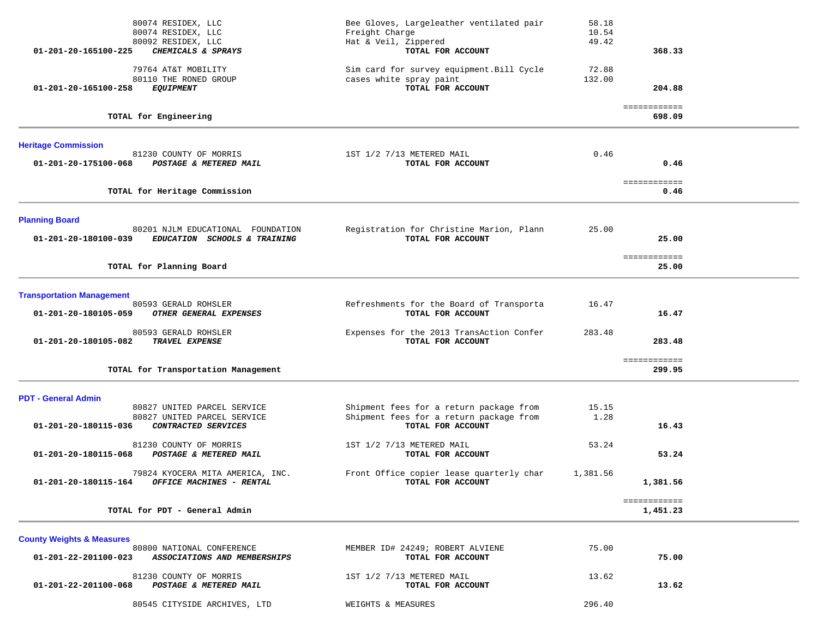| 80074 RESIDEX, LLC<br>80074 RESIDEX, LLC<br>80092 RESIDEX, LLC                                            | Bee Gloves, Largeleather ventilated pair<br>Freight Charge<br>Hat & Veil, Zippered                      | 58.18<br>10.54<br>49.42 |                          |  |
|-----------------------------------------------------------------------------------------------------------|---------------------------------------------------------------------------------------------------------|-------------------------|--------------------------|--|
| 01-201-20-165100-225<br>CHEMICALS & SPRAYS                                                                | TOTAL FOR ACCOUNT                                                                                       |                         | 368.33                   |  |
| 79764 AT&T MOBILITY<br>80110 THE RONED GROUP<br>01-201-20-165100-258<br><i>EQUIPMENT</i>                  | Sim card for survey equipment. Bill Cycle<br>cases white spray paint<br>TOTAL FOR ACCOUNT               | 72.88<br>132.00         | 204.88                   |  |
| TOTAL for Engineering                                                                                     |                                                                                                         |                         | ============<br>698.09   |  |
| <b>Heritage Commission</b>                                                                                |                                                                                                         |                         |                          |  |
| 81230 COUNTY OF MORRIS<br>01-201-20-175100-068<br>POSTAGE & METERED MAIL                                  | 1ST 1/2 7/13 METERED MAIL<br>TOTAL FOR ACCOUNT                                                          | 0.46                    | 0.46                     |  |
| TOTAL for Heritage Commission                                                                             |                                                                                                         |                         | ============<br>0.46     |  |
| <b>Planning Board</b>                                                                                     |                                                                                                         |                         |                          |  |
| 80201 NJLM EDUCATIONAL FOUNDATION<br>01-201-20-180100-039<br>EDUCATION SCHOOLS & TRAINING                 | Registration for Christine Marion, Plann<br>TOTAL FOR ACCOUNT                                           | 25.00                   | 25.00                    |  |
| TOTAL for Planning Board                                                                                  |                                                                                                         |                         | ============<br>25.00    |  |
| <b>Transportation Management</b>                                                                          |                                                                                                         |                         |                          |  |
| 80593 GERALD ROHSLER<br>01-201-20-180105-059<br>OTHER GENERAL EXPENSES                                    | Refreshments for the Board of Transporta<br>TOTAL FOR ACCOUNT                                           | 16.47                   | 16.47                    |  |
| 80593 GERALD ROHSLER<br>01-201-20-180105-082<br><b>TRAVEL EXPENSE</b>                                     | Expenses for the 2013 TransAction Confer<br>TOTAL FOR ACCOUNT                                           | 283.48                  | 283.48                   |  |
| TOTAL for Transportation Management                                                                       |                                                                                                         |                         | ============<br>299.95   |  |
| <b>PDT - General Admin</b>                                                                                |                                                                                                         |                         |                          |  |
| 80827 UNITED PARCEL SERVICE<br>80827 UNITED PARCEL SERVICE<br>CONTRACTED SERVICES<br>01-201-20-180115-036 | Shipment fees for a return package from<br>Shipment fees for a return package from<br>TOTAL FOR ACCOUNT | 15.15<br>1.28           | 16.43                    |  |
| 81230 COUNTY OF MORRIS<br>01-201-20-180115-068<br>POSTAGE & METERED MAIL                                  | 1ST 1/2 7/13 METERED MAIL<br>TOTAL FOR ACCOUNT                                                          | 53.24                   | 53.24                    |  |
| 79824 KYOCERA MITA AMERICA, INC.<br>01-201-20-180115-164<br>OFFICE MACHINES - RENTAL                      | Front Office copier lease quarterly char<br><b>TOTAL FOR ACCOUNT</b>                                    | 1,381.56                | 1,381.56                 |  |
| TOTAL for PDT - General Admin                                                                             |                                                                                                         |                         | ============<br>1,451.23 |  |
| <b>County Weights &amp; Measures</b>                                                                      |                                                                                                         |                         |                          |  |
| 80800 NATIONAL CONFERENCE<br>01-201-22-201100-023<br>ASSOCIATIONS AND MEMBERSHIPS                         | MEMBER ID# 24249; ROBERT ALVIENE<br>TOTAL FOR ACCOUNT                                                   | 75.00                   | 75.00                    |  |
| 81230 COUNTY OF MORRIS                                                                                    | 1ST 1/2 7/13 METERED MAIL                                                                               | 13.62                   |                          |  |

80545 CITYSIDE ARCHIVES, LTD WEIGHTS & MEASURES 296.40

 **01-201-22-201100-068** *POSTAGE & METERED MAIL* **TOTAL FOR ACCOUNT 13.62**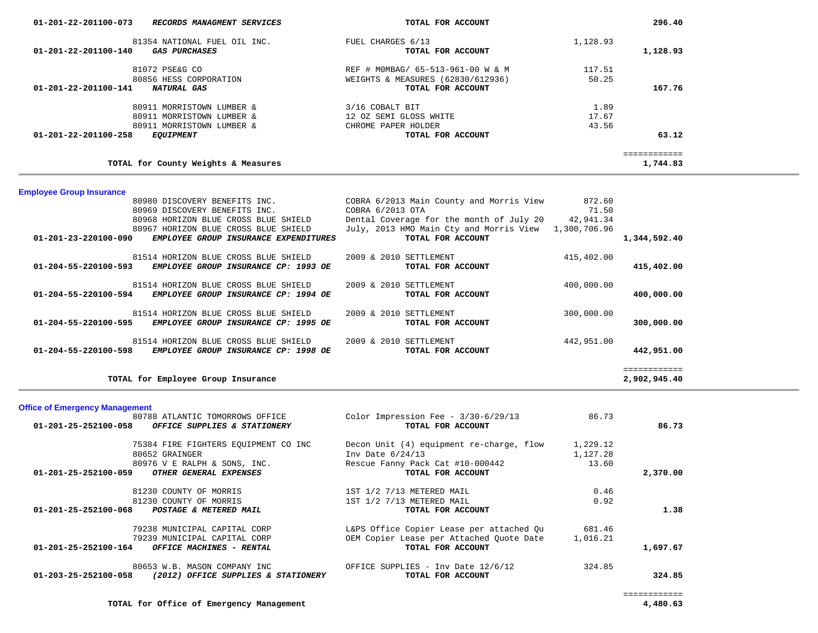| 01-201-22-201100-073<br>RECORDS MANAGMENT SERVICES  | TOTAL FOR ACCOUNT                 |          | 296.40                   |
|-----------------------------------------------------|-----------------------------------|----------|--------------------------|
| 81354 NATIONAL FUEL OIL INC.                        | FUEL CHARGES 6/13                 | 1,128.93 |                          |
| 01-201-22-201100-140<br><i><b>GAS PURCHASES</b></i> | TOTAL FOR ACCOUNT                 |          | 1,128.93                 |
| 81072 PSE&G CO                                      | REF # MOMBAG/ 65-513-961-00 W & M | 117.51   |                          |
| 80856 HESS CORPORATION                              | WEIGHTS & MEASURES (62830/612936) | 50.25    |                          |
| 01-201-22-201100-141<br>NATURAL GAS                 | TOTAL FOR ACCOUNT                 |          | 167.76                   |
| 80911 MORRISTOWN LUMBER &                           | 3/16 COBALT BIT                   | 1.89     |                          |
| 80911 MORRISTOWN LUMBER &                           | 12 OZ SEMI GLOSS WHITE            | 17.67    |                          |
| 80911 MORRISTOWN LUMBER &                           | CHROME PAPER HOLDER               | 43.56    |                          |
| 01-201-22-201100-258<br><i>EQUIPMENT</i>            | TOTAL FOR ACCOUNT                 |          | 63.12                    |
| TOTAL for County Weights & Measures                 |                                   |          | ============<br>1,744.83 |
|                                                     |                                   |          |                          |

# **Employee Group Insurance**

 $\overline{\phantom{a}}$ 

| 80980 DISCOVERY BENEFITS INC.                 |                                       | COBRA 6/2013 Main County and Morris View           | 872.60       |              |
|-----------------------------------------------|---------------------------------------|----------------------------------------------------|--------------|--------------|
| 80969 DISCOVERY BENEFITS INC.                 |                                       | COBRA 6/2013 OTA                                   | 71.50        |              |
| 80968 HORIZON BLUE CROSS BLUE SHIELD          |                                       | Dental Coverage for the month of July 20 42,941.34 |              |              |
| 80967 HORIZON BLUE CROSS BLUE SHIELD          |                                       | July, 2013 HMO Main Cty and Morris View            | 1,300,706.96 |              |
| $01 - 201 - 23 - 220100 - 090$                | EMPLOYEE GROUP INSURANCE EXPENDITURES | TOTAL FOR ACCOUNT                                  |              | 1,344,592.40 |
|                                               |                                       |                                                    |              |              |
| 81514 HORIZON BLUE CROSS BLUE SHIELD          |                                       | 2009 & 2010 SETTLEMENT                             | 415,402.00   |              |
| 01-204-55-220100-593                          | EMPLOYEE GROUP INSURANCE CP: 1993 OE  | TOTAL FOR ACCOUNT                                  |              | 415,402.00   |
|                                               |                                       |                                                    |              |              |
| 81514 HORIZON BLUE CROSS BLUE SHIELD          |                                       | 2009 & 2010 SETTLEMENT                             | 400,000.00   |              |
| $01 - 204 - 55 - 220100 - 594$                | EMPLOYEE GROUP INSURANCE CP: 1994 OE  | TOTAL FOR ACCOUNT                                  |              | 400,000.00   |
|                                               |                                       |                                                    |              |              |
| 81514 HORIZON BLUE CROSS BLUE SHIELD          |                                       | 2009 & 2010 SETTLEMENT                             | 300,000.00   |              |
| 01-204-55-220100-595                          | EMPLOYEE GROUP INSURANCE CP: 1995 OE  | TOTAL FOR ACCOUNT                                  |              | 300,000.00   |
|                                               |                                       |                                                    |              |              |
| 81514 HORIZON BLUE CROSS BLUE SHIELD          |                                       | 2009 & 2010 SETTLEMENT                             | 442,951.00   |              |
| 01-204-55-220100-598<br><i>EMPLOYEE GROUP</i> | INSURANCE CP: 1998 OE                 | TOTAL FOR ACCOUNT                                  |              | 442,951.00   |
|                                               |                                       |                                                    |              |              |
|                                               |                                       |                                                    |              | ============ |
| TOTAL for Employee Group Insurance            |                                       |                                                    |              | 2,902,945.40 |

| <b>Office of Emergency Management</b>                          |                                          |          |          |
|----------------------------------------------------------------|------------------------------------------|----------|----------|
| 80788 ATLANTIC TOMORROWS OFFICE                                | Color Impression Fee - $3/30-6/29/13$    | 86.73    |          |
| $01 - 201 - 25 - 252100 - 058$<br>OFFICE SUPPLIES & STATIONERY | TOTAL FOR ACCOUNT                        |          | 86.73    |
| 75384 FIRE FIGHTERS EOUIPMENT CO INC                           | Decon Unit (4) equipment re-charge, flow | 1,229.12 |          |
| 80652 GRAINGER                                                 | Inv Date $6/24/13$                       | 1,127.28 |          |
| 80976 V E RALPH & SONS, INC.                                   | Rescue Fanny Pack Cat #10-000442         | 13.60    |          |
| 01-201-25-252100-059<br><i>OTHER GENERAL EXPENSES</i>          | TOTAL FOR ACCOUNT                        |          | 2,370.00 |
| 81230 COUNTY OF MORRIS                                         | 1ST 1/2 7/13 METERED MAIL                | 0.46     |          |
| 81230 COUNTY OF MORRIS                                         | 1ST 1/2 7/13 METERED MAIL                | 0.92     |          |
| $01 - 201 - 25 - 252100 - 068$<br>POSTAGE & METERED MAIL       | TOTAL FOR ACCOUNT                        |          | 1.38     |
| 79238 MUNICIPAL CAPITAL CORP                                   | L&PS Office Copier Lease per attached Qu | 681.46   |          |
| 79239 MUNICIPAL CAPITAL CORP                                   | OEM Copier Lease per Attached Quote Date | 1,016.21 |          |
| $01 - 201 - 25 - 252100 - 164$<br>OFFICE MACHINES - RENTAL     | TOTAL FOR ACCOUNT                        |          | 1,697.67 |
| 80653 W.B. MASON COMPANY INC                                   | OFFICE SUPPLIES - Inv Date 12/6/12       | 324.85   |          |
| 01-203-25-252100-058<br>(2012) OFFICE SUPPLIES & STATIONERY    | TOTAL FOR ACCOUNT                        |          | 324.85   |

**TOTAL for Office of Emergency Management 4,480.63**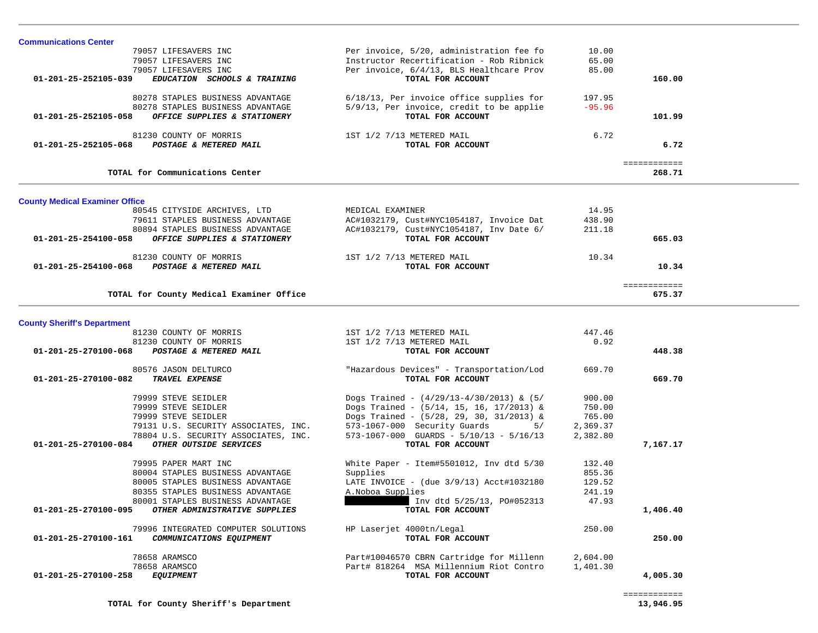| <b>Communications Center</b>                                                                       |                                                               |          |                        |  |
|----------------------------------------------------------------------------------------------------|---------------------------------------------------------------|----------|------------------------|--|
| 79057 LIFESAVERS INC                                                                               | Per invoice, 5/20, administration fee fo                      | 10.00    |                        |  |
| 79057 LIFESAVERS INC                                                                               | Instructor Recertification - Rob Ribnick                      | 65.00    |                        |  |
| 79057 LIFESAVERS INC                                                                               | Per invoice, 6/4/13, BLS Healthcare Prov                      | 85.00    |                        |  |
| 01-201-25-252105-039<br>EDUCATION SCHOOLS & TRAINING                                               | TOTAL FOR ACCOUNT                                             |          | 160.00                 |  |
| 80278 STAPLES BUSINESS ADVANTAGE                                                                   | 6/18/13, Per invoice office supplies for                      | 197.95   |                        |  |
| 80278 STAPLES BUSINESS ADVANTAGE                                                                   | 5/9/13, Per invoice, credit to be applie                      | $-95.96$ |                        |  |
| 01-201-25-252105-058<br>OFFICE SUPPLIES & STATIONERY                                               | TOTAL FOR ACCOUNT                                             |          | 101.99                 |  |
|                                                                                                    |                                                               |          |                        |  |
| 81230 COUNTY OF MORRIS                                                                             | 1ST 1/2 7/13 METERED MAIL                                     | 6.72     |                        |  |
| 01-201-25-252105-068<br>POSTAGE & METERED MAIL                                                     | TOTAL FOR ACCOUNT                                             |          | 6.72                   |  |
|                                                                                                    |                                                               |          | ============           |  |
| TOTAL for Communications Center                                                                    |                                                               |          | 268.71                 |  |
|                                                                                                    |                                                               |          |                        |  |
| <b>County Medical Examiner Office</b>                                                              |                                                               |          |                        |  |
| 80545 CITYSIDE ARCHIVES, LTD                                                                       | MEDICAL EXAMINER                                              | 14.95    |                        |  |
| 79611 STAPLES BUSINESS ADVANTAGE                                                                   | AC#1032179, Cust#NYC1054187, Invoice Dat                      | 438.90   |                        |  |
| 80894 STAPLES BUSINESS ADVANTAGE<br>$01 - 201 - 25 - 254100 - 058$<br>OFFICE SUPPLIES & STATIONERY | AC#1032179, Cust#NYC1054187, Inv Date 6/<br>TOTAL FOR ACCOUNT | 211.18   | 665.03                 |  |
|                                                                                                    |                                                               |          |                        |  |
| 81230 COUNTY OF MORRIS                                                                             | 1ST 1/2 7/13 METERED MAIL                                     | 10.34    |                        |  |
| POSTAGE & METERED MAIL<br>01-201-25-254100-068                                                     | TOTAL FOR ACCOUNT                                             |          | 10.34                  |  |
|                                                                                                    |                                                               |          |                        |  |
| TOTAL for County Medical Examiner Office                                                           |                                                               |          | ============<br>675.37 |  |
|                                                                                                    |                                                               |          |                        |  |
| <b>County Sheriff's Department</b>                                                                 |                                                               |          |                        |  |
| 81230 COUNTY OF MORRIS                                                                             | 1ST 1/2 7/13 METERED MAIL                                     | 447.46   |                        |  |
| 81230 COUNTY OF MORRIS                                                                             | 1ST 1/2 7/13 METERED MAIL                                     | 0.92     |                        |  |
| 01-201-25-270100-068<br>POSTAGE & METERED MAIL                                                     | TOTAL FOR ACCOUNT                                             |          | 448.38                 |  |
|                                                                                                    |                                                               |          |                        |  |
| 80576 JASON DELTURCO                                                                               | "Hazardous Devices" - Transportation/Lod                      | 669.70   |                        |  |
| 01-201-25-270100-082<br>TRAVEL EXPENSE                                                             | TOTAL FOR ACCOUNT                                             |          | 669.70                 |  |
|                                                                                                    |                                                               |          |                        |  |
| 79999 STEVE SEIDLER                                                                                | Dogs Trained - $(4/29/13-4/30/2013)$ & $(5/$                  | 900.00   |                        |  |
| 79999 STEVE SEIDLER                                                                                | Dogs Trained - $(5/14, 15, 16, 17/2013)$ &                    | 750.00   |                        |  |
| 79999 STEVE SEIDLER                                                                                | Dogs Trained - $(5/28, 29, 30, 31/2013)$ &                    | 765.00   |                        |  |
| 79131 U.S. SECURITY ASSOCIATES, INC.                                                               | 573-1067-000 Security Guards<br>5/                            | 2,369.37 |                        |  |
| 78804 U.S. SECURITY ASSOCIATES, INC.                                                               | $573-1067-000$ GUARDS - $5/10/13$ - $5/16/13$                 | 2,382.80 |                        |  |
| 01-201-25-270100-084<br>OTHER OUTSIDE SERVICES                                                     | TOTAL FOR ACCOUNT                                             |          | 7,167.17               |  |
| 79995 PAPER MART INC                                                                               | White Paper - Item#5501012, Inv dtd $5/30$                    | 132.40   |                        |  |
| 80004 STAPLES BUSINESS ADVANTAGE                                                                   | Supplies                                                      | 855.36   |                        |  |
| 80005 STAPLES BUSINESS ADVANTAGE                                                                   | LATE INVOICE - $($ due $3/9/13)$ Acct#1032180                 | 129.52   |                        |  |
| 80355 STAPLES BUSINESS ADVANTAGE                                                                   | A. Noboa Supplies                                             | 241.19   |                        |  |
| 80001 STAPLES BUSINESS ADVANTAGE                                                                   | Inv dtd 5/25/13, PO#052313                                    | 47.93    |                        |  |
| 01-201-25-270100-095<br>OTHER ADMINISTRATIVE SUPPLIES                                              | TOTAL FOR ACCOUNT                                             |          | 1,406.40               |  |
|                                                                                                    |                                                               |          |                        |  |
| 79996 INTEGRATED COMPUTER SOLUTIONS                                                                | HP Laserjet 4000tn/Legal                                      | 250.00   |                        |  |
| COMMUNICATIONS EQUIPMENT<br>01-201-25-270100-161                                                   | TOTAL FOR ACCOUNT                                             |          | 250.00                 |  |
| 78658 ARAMSCO                                                                                      | Part#10046570 CBRN Cartridge for Millenn                      | 2,604.00 |                        |  |
| 78658 ARAMSCO                                                                                      | Part# 818264 MSA Millennium Riot Contro                       | 1,401.30 |                        |  |
| 01-201-25-270100-258<br><i>EQUIPMENT</i>                                                           | TOTAL FOR ACCOUNT                                             |          | 4,005.30               |  |
|                                                                                                    |                                                               |          |                        |  |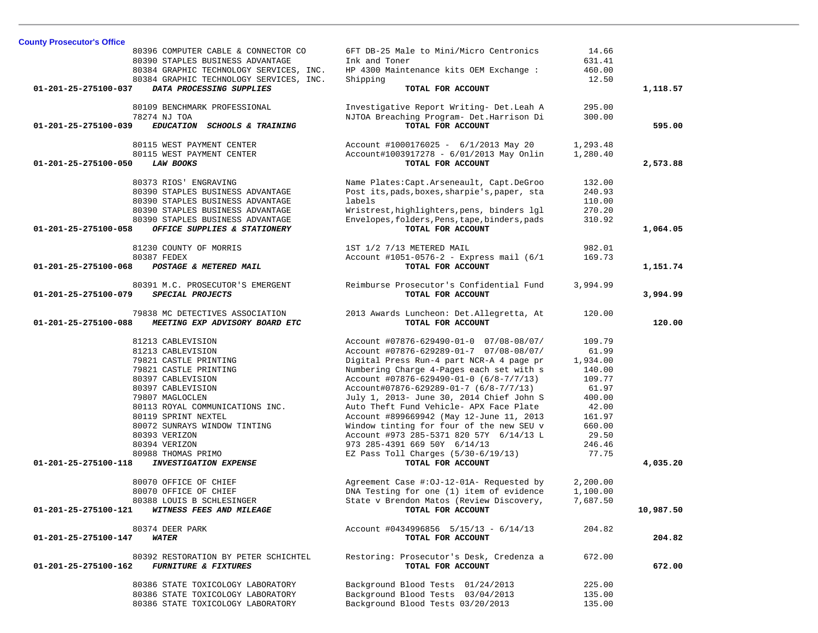| 80396 COMPUTER CABLE & CONNECTOR CO                     | 6FT DB-25 Male to Mini/Micro Centronics       | 14.66    |           |
|---------------------------------------------------------|-----------------------------------------------|----------|-----------|
| 80390 STAPLES BUSINESS ADVANTAGE                        | Ink and Toner                                 | 631.41   |           |
| 80384 GRAPHIC TECHNOLOGY SERVICES, INC.                 | HP 4300 Maintenance kits OEM Exchange :       | 460.00   |           |
| 80384 GRAPHIC TECHNOLOGY SERVICES, INC.                 | Shipping                                      | 12.50    |           |
| 01-201-25-275100-037<br>DATA PROCESSING SUPPLIES        | TOTAL FOR ACCOUNT                             |          | 1,118.57  |
| 80109 BENCHMARK PROFESSIONAL                            | Investigative Report Writing- Det. Leah A     | 295.00   |           |
| 78274 NJ TOA                                            | NJTOA Breaching Program- Det. Harrison Di     | 300.00   |           |
| 01-201-25-275100-039<br>EDUCATION SCHOOLS & TRAINING    | TOTAL FOR ACCOUNT                             |          | 595.00    |
| 80115 WEST PAYMENT CENTER                               | Account #1000176025 - $6/1/2013$ May 20       | 1,293.48 |           |
| 80115 WEST PAYMENT CENTER                               | Account#1003917278 - 6/01/2013 May Onlin      | 1,280.40 |           |
| 01-201-25-275100-050<br><b>LAW BOOKS</b>                | TOTAL FOR ACCOUNT                             |          | 2,573.88  |
| 80373 RIOS' ENGRAVING                                   | Name Plates: Capt. Arseneault, Capt. DeGroo   | 132.00   |           |
| 80390 STAPLES BUSINESS ADVANTAGE                        | Post its, pads, boxes, sharpie's, paper, sta  | 240.93   |           |
| 80390 STAPLES BUSINESS ADVANTAGE                        | labels                                        | 110.00   |           |
| 80390 STAPLES BUSINESS ADVANTAGE                        | Wristrest, highlighters, pens, binders lgl    | 270.20   |           |
| 80390 STAPLES BUSINESS ADVANTAGE                        | Envelopes, folders, Pens, tape, binders, pads | 310.92   |           |
| OFFICE SUPPLIES & STATIONERY<br>01-201-25-275100-058    | TOTAL FOR ACCOUNT                             |          | 1,064.05  |
| 81230 COUNTY OF MORRIS                                  | 1ST 1/2 7/13 METERED MAIL                     | 982.01   |           |
| 80387 FEDEX                                             | Account #1051-0576-2 - Express mail (6/1)     | 169.73   |           |
| 01-201-25-275100-068<br>POSTAGE & METERED MAIL          | TOTAL FOR ACCOUNT                             |          | 1,151.74  |
| 80391 M.C. PROSECUTOR'S EMERGENT                        | Reimburse Prosecutor's Confidential Fund      | 3,994.99 |           |
| SPECIAL PROJECTS<br>01-201-25-275100-079                | TOTAL FOR ACCOUNT                             |          | 3,994.99  |
| 79838 MC DETECTIVES ASSOCIATION                         | 2013 Awards Luncheon: Det. Allegretta, At     | 120.00   |           |
| 01-201-25-275100-088<br>MEETING EXP ADVISORY BOARD ETC  | TOTAL FOR ACCOUNT                             |          | 120.00    |
| 81213 CABLEVISION                                       | Account #07876-629490-01-0 07/08-08/07/       | 109.79   |           |
| 81213 CABLEVISION                                       | Account #07876-629289-01-7 07/08-08/07/       | 61.99    |           |
| 79821 CASTLE PRINTING                                   | Digital Press Run-4 part NCR-A 4 page pr      | 1,934.00 |           |
| 79821 CASTLE PRINTING                                   | Numbering Charge 4-Pages each set with s      | 140.00   |           |
| 80397 CABLEVISION                                       | Account #07876-629490-01-0 (6/8-7/7/13)       | 109.77   |           |
| 80397 CABLEVISION                                       | Account#07876-629289-01-7 (6/8-7/7/13)        | 61.97    |           |
| 79807 MAGLOCLEN                                         | July 1, 2013- June 30, 2014 Chief John S      | 400.00   |           |
| 80113 ROYAL COMMUNICATIONS INC.                         | Auto Theft Fund Vehicle- APX Face Plate       | 42.00    |           |
| 80119 SPRINT NEXTEL                                     | Account #899669942 (May 12-June 11, 2013      | 161.97   |           |
| 80072 SUNRAYS WINDOW TINTING                            | Window tinting for four of the new SEU v      | 660.00   |           |
| 80393 VERIZON                                           | Account #973 285-5371 820 57Y 6/14/13 L       | 29.50    |           |
| 80394 VERIZON                                           | 973 285-4391 669 50Y 6/14/13                  | 246.46   |           |
| 80988 THOMAS PRIMO                                      | EZ Pass Toll Charges $(5/30-6/19/13)$         | 77.75    |           |
| 01-201-25-275100-118<br><b>INVESTIGATION EXPENSE</b>    | TOTAL FOR ACCOUNT                             |          | 4,035.20  |
| 80070 OFFICE OF CHIEF                                   | Agreement Case #:0J-12-01A- Requested by      | 2,200.00 |           |
| 80070 OFFICE OF CHIEF                                   | DNA Testing for one (1) item of evidence      | 1,100.00 |           |
| 80388 LOUIS B SCHLESINGER                               | State v Brendon Matos (Review Discovery,      | 7,687.50 |           |
| 01-201-25-275100-121<br>WITNESS FEES AND MILEAGE        | TOTAL FOR ACCOUNT                             |          | 10,987.50 |
| 80374 DEER PARK                                         | Account #0434996856 5/15/13 - 6/14/13         | 204.82   |           |
| 01-201-25-275100-147<br><i><b>WATER</b></i>             | TOTAL FOR ACCOUNT                             |          | 204.82    |
| 80392 RESTORATION BY PETER SCHICHTEL                    | Restoring: Prosecutor's Desk, Credenza a      | 672.00   |           |
| 01-201-25-275100-162<br><b>FURNITURE &amp; FIXTURES</b> | TOTAL FOR ACCOUNT                             |          | 672.00    |
| 80386 STATE TOXICOLOGY LABORATORY                       | Background Blood Tests 01/24/2013             | 225.00   |           |
| 80386 STATE TOXICOLOGY LABORATORY                       | Background Blood Tests 03/04/2013             | 135.00   |           |
| 80386 STATE TOXICOLOGY LABORATORY                       | Background Blood Tests 03/20/2013             | 135.00   |           |

**County Prosecutor's Office**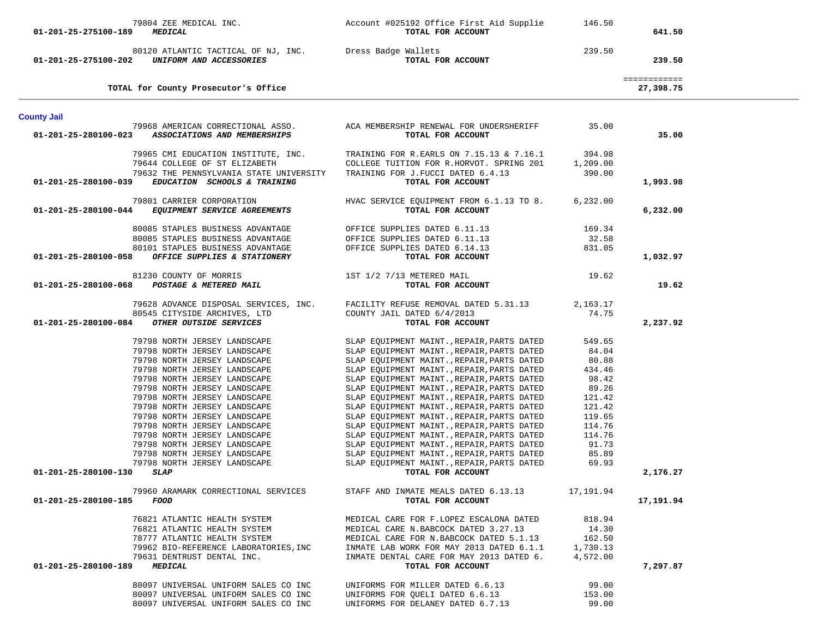| 01-201-25-275100-189                         | 79804 ZEE MEDICAL INC.<br><b>MEDICAL</b>                                                                                                                                                                                                                                                                                                                                                                                                                                                                                                                                                                                                                                   | Account #025192 Office First Aid Supplie<br>TOTAL FOR ACCOUNT                                                                                                                                                                                                                                                                                                                                                                                                                                                                                                                                                                                                                                                                                                                                                                                                                                                                | 146.50                                                                                                                                                                                  | 641.50                    |  |
|----------------------------------------------|----------------------------------------------------------------------------------------------------------------------------------------------------------------------------------------------------------------------------------------------------------------------------------------------------------------------------------------------------------------------------------------------------------------------------------------------------------------------------------------------------------------------------------------------------------------------------------------------------------------------------------------------------------------------------|------------------------------------------------------------------------------------------------------------------------------------------------------------------------------------------------------------------------------------------------------------------------------------------------------------------------------------------------------------------------------------------------------------------------------------------------------------------------------------------------------------------------------------------------------------------------------------------------------------------------------------------------------------------------------------------------------------------------------------------------------------------------------------------------------------------------------------------------------------------------------------------------------------------------------|-----------------------------------------------------------------------------------------------------------------------------------------------------------------------------------------|---------------------------|--|
| 01-201-25-275100-202                         | 80120 ATLANTIC TACTICAL OF NJ, INC. Dress Badge Wallets<br>UNIFORM AND ACCESSORIES                                                                                                                                                                                                                                                                                                                                                                                                                                                                                                                                                                                         | TOTAL FOR ACCOUNT                                                                                                                                                                                                                                                                                                                                                                                                                                                                                                                                                                                                                                                                                                                                                                                                                                                                                                            | 239.50                                                                                                                                                                                  | 239.50                    |  |
|                                              | TOTAL for County Prosecutor's Office                                                                                                                                                                                                                                                                                                                                                                                                                                                                                                                                                                                                                                       |                                                                                                                                                                                                                                                                                                                                                                                                                                                                                                                                                                                                                                                                                                                                                                                                                                                                                                                              |                                                                                                                                                                                         | ============<br>27,398.75 |  |
| <b>County Jail</b>                           |                                                                                                                                                                                                                                                                                                                                                                                                                                                                                                                                                                                                                                                                            |                                                                                                                                                                                                                                                                                                                                                                                                                                                                                                                                                                                                                                                                                                                                                                                                                                                                                                                              |                                                                                                                                                                                         |                           |  |
| 01-201-25-280100-023                         | 79968 AMERICAN CORRECTIONAL ASSO.<br>ASSOCIATIONS AND MEMBERSHIPS                                                                                                                                                                                                                                                                                                                                                                                                                                                                                                                                                                                                          | ACA MEMBERSHIP RENEWAL FOR UNDERSHERIFF<br>TOTAL FOR ACCOUNT                                                                                                                                                                                                                                                                                                                                                                                                                                                                                                                                                                                                                                                                                                                                                                                                                                                                 | 35.00                                                                                                                                                                                   | 35.00                     |  |
| 01-201-25-280100-039                         | 79965 CMI EDUCATION INSTITUTE, INC.<br>79644 COLLEGE OF ST ELIZABETH<br>79632 THE PENNSYLVANIA STATE UNIVERSITY<br>EDUCATION SCHOOLS & TRAINING                                                                                                                                                                                                                                                                                                                                                                                                                                                                                                                            | TRAINING FOR R.EARLS ON 7.15.13 & 7.16.1<br>COLLEGE TUITION FOR R.HORVOT. SPRING 201<br>TRAINING FOR J.FUCCI DATED 6.4.13<br>TOTAL FOR ACCOUNT                                                                                                                                                                                                                                                                                                                                                                                                                                                                                                                                                                                                                                                                                                                                                                               | 394.98<br>1,209.00<br>390.00                                                                                                                                                            | 1,993.98                  |  |
|                                              | 79801 CARRIER CORPORATION<br>01-201-25-280100-044 EQUIPMENT SERVICE AGREEMENTS                                                                                                                                                                                                                                                                                                                                                                                                                                                                                                                                                                                             | HVAC SERVICE EQUIPMENT FROM 6.1.13 TO 8.<br>TOTAL FOR ACCOUNT                                                                                                                                                                                                                                                                                                                                                                                                                                                                                                                                                                                                                                                                                                                                                                                                                                                                | 6,232.00                                                                                                                                                                                | 6,232.00                  |  |
|                                              | 80085 STAPLES BUSINESS ADVANTAGE<br>80085 STAPLES BUSINESS ADVANTAGE<br>80101 STAPLES BUSINESS ADVANTAGE                                                                                                                                                                                                                                                                                                                                                                                                                                                                                                                                                                   | OFFICE SUPPLIES DATED 6.11.13<br>OFFICE SUPPLIES DATED 6.11.13<br>OFFICE SUPPLIES DATED 6.14.13                                                                                                                                                                                                                                                                                                                                                                                                                                                                                                                                                                                                                                                                                                                                                                                                                              | 169.34<br>32.58<br>831.05                                                                                                                                                               |                           |  |
| 01-201-25-280100-058                         | OFFICE SUPPLIES & STATIONERY                                                                                                                                                                                                                                                                                                                                                                                                                                                                                                                                                                                                                                               | TOTAL FOR ACCOUNT                                                                                                                                                                                                                                                                                                                                                                                                                                                                                                                                                                                                                                                                                                                                                                                                                                                                                                            |                                                                                                                                                                                         | 1,032.97                  |  |
| 01-201-25-280100-068                         | 81230 COUNTY OF MORRIS<br>POSTAGE & METERED MAIL                                                                                                                                                                                                                                                                                                                                                                                                                                                                                                                                                                                                                           | 1ST 1/2 7/13 METERED MAIL<br>TOTAL FOR ACCOUNT                                                                                                                                                                                                                                                                                                                                                                                                                                                                                                                                                                                                                                                                                                                                                                                                                                                                               | 19.62                                                                                                                                                                                   | 19.62                     |  |
| 01-201-25-280100-084                         | 79628 ADVANCE DISPOSAL SERVICES, INC.<br>80545 CITYSIDE ARCHIVES, LTD<br>OTHER OUTSIDE SERVICES                                                                                                                                                                                                                                                                                                                                                                                                                                                                                                                                                                            | FACILITY REFUSE REMOVAL DATED 5.31.13<br>COUNTY JAIL DATED 6/4/2013<br>TOTAL FOR ACCOUNT                                                                                                                                                                                                                                                                                                                                                                                                                                                                                                                                                                                                                                                                                                                                                                                                                                     | 2,163.17<br>74.75                                                                                                                                                                       | 2,237.92                  |  |
| 01-201-25-280100-130<br>01-201-25-280100-185 | 79798 NORTH JERSEY LANDSCAPE<br>79798 NORTH JERSEY LANDSCAPE<br>79798 NORTH JERSEY LANDSCAPE<br>79798 NORTH JERSEY LANDSCAPE<br>79798 NORTH JERSEY LANDSCAPE<br>79798 NORTH JERSEY LANDSCAPE<br>79798 NORTH JERSEY LANDSCAPE<br>79798 NORTH JERSEY LANDSCAPE<br>79798 NORTH JERSEY LANDSCAPE<br>79798 NORTH JERSEY LANDSCAPE<br>79798 NORTH JERSEY LANDSCAPE<br>79798 NORTH JERSEY LANDSCAPE<br>79798 NORTH JERSEY LANDSCAPE<br>79798 NORTH JERSEY LANDSCAPE<br><i><b>SLAP</b></i><br>79960 ARAMARK CORRECTIONAL SERVICES<br>FOOD<br>76821 ATLANTIC HEALTH SYSTEM<br>76821 ATLANTIC HEALTH SYSTEM<br>78777 ATLANTIC HEALTH SYSTEM<br>79962 BIO-REFERENCE LABORATORIES, INC | SLAP EQUIPMENT MAINT., REPAIR, PARTS DATED<br>SLAP EQUIPMENT MAINT., REPAIR, PARTS DATED<br>SLAP EQUIPMENT MAINT., REPAIR, PARTS DATED<br>SLAP EQUIPMENT MAINT., REPAIR, PARTS DATED<br>SLAP EQUIPMENT MAINT., REPAIR, PARTS DATED<br>SLAP EQUIPMENT MAINT., REPAIR, PARTS DATED<br>SLAP EQUIPMENT MAINT., REPAIR, PARTS DATED<br>SLAP EQUIPMENT MAINT., REPAIR, PARTS DATED<br>SLAP EQUIPMENT MAINT., REPAIR, PARTS DATED<br>SLAP EQUIPMENT MAINT., REPAIR, PARTS DATED<br>SLAP EQUIPMENT MAINT., REPAIR, PARTS DATED<br>SLAP EQUIPMENT MAINT., REPAIR, PARTS DATED<br>SLAP EQUIPMENT MAINT., REPAIR, PARTS DATED<br>SLAP EQUIPMENT MAINT., REPAIR, PARTS DATED<br>TOTAL FOR ACCOUNT<br>STAFF AND INMATE MEALS DATED 6.13.13<br>TOTAL FOR ACCOUNT<br>MEDICAL CARE FOR F.LOPEZ ESCALONA DATED<br>MEDICAL CARE N.BABCOCK DATED 3.27.13<br>MEDICAL CARE FOR N.BABCOCK DATED 5.1.13<br>INMATE LAB WORK FOR MAY 2013 DATED 6.1.1 | 549.65<br>84.04<br>80.88<br>434.46<br>98.42<br>89.26<br>121.42<br>121.42<br>119.65<br>114.76<br>114.76<br>91.73<br>85.89<br>69.93<br>17,191.94<br>818.94<br>14.30<br>162.50<br>1,730.13 | 2,176.27<br>17,191.94     |  |
| 01-201-25-280100-189                         | 79631 DENTRUST DENTAL INC.<br><i><b>MEDICAL</b></i>                                                                                                                                                                                                                                                                                                                                                                                                                                                                                                                                                                                                                        | INMATE DENTAL CARE FOR MAY 2013 DATED 6.<br>TOTAL FOR ACCOUNT                                                                                                                                                                                                                                                                                                                                                                                                                                                                                                                                                                                                                                                                                                                                                                                                                                                                | 4,572.00                                                                                                                                                                                | 7,297.87                  |  |
|                                              | 80097 UNIVERSAL UNIFORM SALES CO INC<br>80097 UNIVERSAL UNIFORM SALES CO INC<br>80097 UNIVERSAL UNIFORM SALES CO INC                                                                                                                                                                                                                                                                                                                                                                                                                                                                                                                                                       | UNIFORMS FOR MILLER DATED 6.6.13<br>UNIFORMS FOR QUELI DATED 6.6.13<br>UNIFORMS FOR DELANEY DATED 6.7.13                                                                                                                                                                                                                                                                                                                                                                                                                                                                                                                                                                                                                                                                                                                                                                                                                     | 99.00<br>153.00<br>99.00                                                                                                                                                                |                           |  |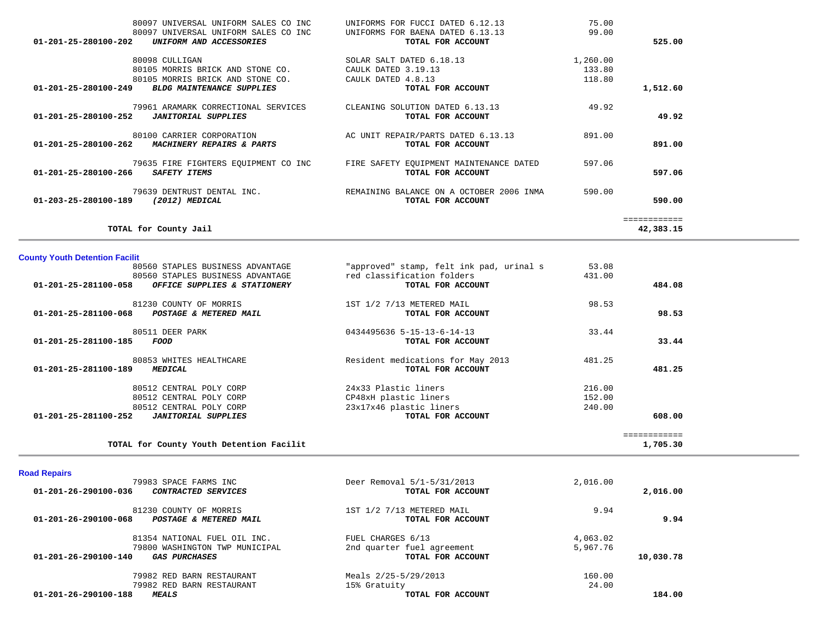| 80097 UNIVERSAL UNIFORM SALES CO INC                      | UNIFORMS FOR FUCCI DATED 6.12.13         | 75.00    |              |
|-----------------------------------------------------------|------------------------------------------|----------|--------------|
| 80097 UNIVERSAL UNIFORM SALES CO INC                      | UNIFORMS FOR BAENA DATED 6.13.13         | 99.00    |              |
| $01 - 201 - 25 - 280100 - 202$<br>UNIFORM AND ACCESSORIES | TOTAL FOR ACCOUNT                        |          | 525.00       |
| 80098 CULLIGAN                                            | SOLAR SALT DATED 6.18.13                 | 1,260.00 |              |
| 80105 MORRIS BRICK AND STONE CO.                          | CAULK DATED 3.19.13                      | 133.80   |              |
| 80105 MORRIS BRICK AND STONE CO.                          | CAULK DATED 4.8.13                       | 118.80   |              |
| 01-201-25-280100-249<br><b>BLDG MAINTENANCE SUPPLIES</b>  | TOTAL FOR ACCOUNT                        |          | 1,512.60     |
| 79961 ARAMARK CORRECTIONAL SERVICES                       | CLEANING SOLUTION DATED 6.13.13          | 49.92    |              |
| 01-201-25-280100-252<br><b>JANITORIAL SUPPLIES</b>        | TOTAL FOR ACCOUNT                        |          | 49.92        |
| 80100 CARRIER CORPORATION                                 | AC UNIT REPAIR/PARTS DATED 6.13.13       | 891.00   |              |
| 01-201-25-280100-262<br>MACHINERY REPAIRS & PARTS         | TOTAL FOR ACCOUNT                        |          | 891.00       |
| 79635 FIRE FIGHTERS EOUIPMENT CO INC                      | FIRE SAFETY EOUIPMENT MAINTENANCE DATED  | 597.06   |              |
| 01-201-25-280100-266<br>SAFETY ITEMS                      | TOTAL FOR ACCOUNT                        |          | 597.06       |
| 79639 DENTRUST DENTAL INC.                                | REMAINING BALANCE ON A OCTOBER 2006 INMA | 590.00   |              |
| (2012) MEDICAL<br>01-203-25-280100-189                    | TOTAL FOR ACCOUNT                        |          | 590.00       |
|                                                           |                                          |          | ============ |
| TOTAL for County Jail                                     |                                          |          | 42,383.15    |

| TOTAL for County Youth Detention Facilit                     |                                          |        | ============<br>1,705.30 |
|--------------------------------------------------------------|------------------------------------------|--------|--------------------------|
| $01 - 201 - 25 - 281100 - 252$<br><b>JANITORIAL SUPPLIES</b> | TOTAL FOR ACCOUNT                        |        | 608.00                   |
| 80512 CENTRAL POLY CORP                                      | 23x17x46 plastic liners                  | 240.00 |                          |
| 80512 CENTRAL POLY CORP                                      | CP48xH plastic liners                    | 152.00 |                          |
| 80512 CENTRAL POLY CORP                                      | 24x33 Plastic liners                     | 216.00 |                          |
| 01-201-25-281100-189<br><i><b>MEDICAL</b></i>                | TOTAL FOR ACCOUNT                        |        | 481.25                   |
| 80853 WHITES HEALTHCARE                                      | Resident medications for May 2013        | 481.25 |                          |
| 01-201-25-281100-185<br>FOOD                                 | TOTAL FOR ACCOUNT                        |        | 33.44                    |
| 80511 DEER PARK                                              | 0434495636 5-15-13-6-14-13               | 33.44  |                          |
| 01-201-25-281100-068<br>POSTAGE & METERED MAIL               | TOTAL FOR ACCOUNT                        |        | 98.53                    |
| 81230 COUNTY OF MORRIS                                       | 1ST 1/2 7/13 METERED MAIL                | 98.53  |                          |
| 01-201-25-281100-058<br>OFFICE SUPPLIES & STATIONERY         | TOTAL FOR ACCOUNT                        |        | 484.08                   |
| 80560 STAPLES BUSINESS ADVANTAGE                             | red classification folders               | 431.00 |                          |
| 80560 STAPLES BUSINESS ADVANTAGE                             | "approved" stamp, felt ink pad, urinal s | 53.08  |                          |

| <b>Road Repairs</b> |  |  |  |
|---------------------|--|--|--|
|---------------------|--|--|--|

**County Youth Detention Facilit**

| 79983 SPACE FARMS INC                              | Deer Removal 5/1-5/31/2013 | 2,016.00 |           |
|----------------------------------------------------|----------------------------|----------|-----------|
| 01-201-26-290100-036<br><i>CONTRACTED SERVICES</i> | TOTAL FOR ACCOUNT          |          | 2,016.00  |
| 81230 COUNTY OF MORRIS                             | 1ST 1/2 7/13 METERED MAIL  | 9.94     |           |
| 01-201-26-290100-068<br>POSTAGE & METERED MAIL     | TOTAL FOR ACCOUNT          |          | 9.94      |
| 81354 NATIONAL FUEL OIL INC.                       | FUEL CHARGES 6/13          | 4,063.02 |           |
| 79800 WASHINGTON TWP MUNICIPAL                     | 2nd quarter fuel agreement | 5,967.76 |           |
| 01-201-26-290100-140<br><i>GAS PURCHASES</i>       | TOTAL FOR ACCOUNT          |          | 10,030.78 |
| 79982 RED BARN RESTAURANT                          | Meals 2/25-5/29/2013       | 160.00   |           |
| 79982 RED BARN RESTAURANT                          | 15% Gratuity               | 24.00    |           |
| 01-201-26-290100-188<br><i><b>MEALS</b></i>        | TOTAL FOR ACCOUNT          |          | 184.00    |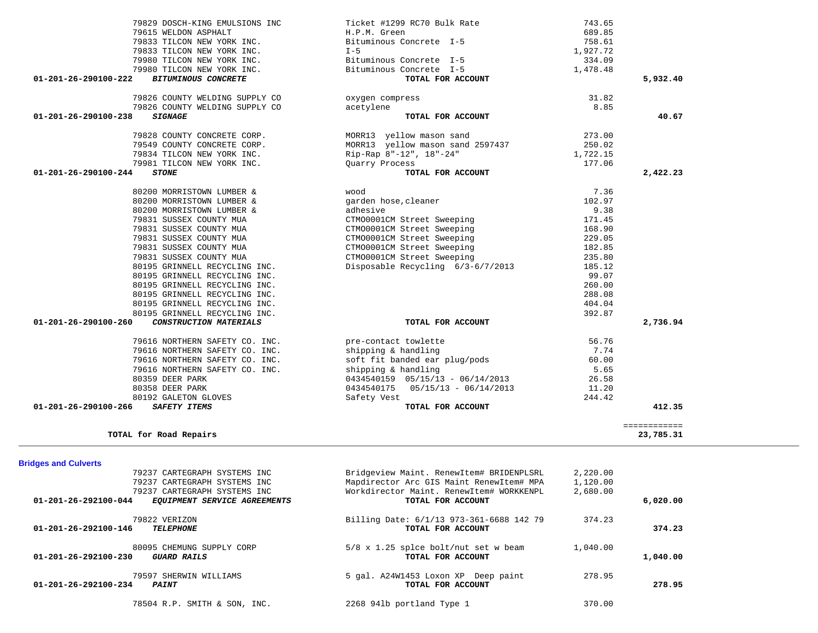| <b>Bridges and Culverts</b>                                    |                                          |          |          |
|----------------------------------------------------------------|------------------------------------------|----------|----------|
| 79237 CARTEGRAPH SYSTEMS INC                                   | Bridgeview Maint. RenewItem# BRIDENPLSRL | 2,220.00 |          |
| 79237 CARTEGRAPH SYSTEMS INC                                   | Mapdirector Arc GIS Maint RenewItem# MPA | 1,120.00 |          |
| 79237 CARTEGRAPH SYSTEMS INC                                   | Workdirector Maint, RenewItem# WORKKENPL | 2,680.00 |          |
| $01 - 201 - 26 - 292100 - 044$<br>EQUIPMENT SERVICE AGREEMENTS | TOTAL FOR ACCOUNT                        |          | 6,020.00 |
| 79822 VERIZON                                                  | Billing Date: 6/1/13 973-361-6688 142 79 | 374.23   |          |
| 01-201-26-292100-146<br><b>TELEPHONE</b>                       | TOTAL FOR ACCOUNT                        |          | 374.23   |
| 80095 CHEMUNG SUPPLY CORP                                      | 5/8 x 1.25 splce bolt/nut set w beam     | 1,040.00 |          |
| $01 - 201 - 26 - 292100 - 230$<br>GUARD RAILS                  | TOTAL FOR ACCOUNT                        |          | 1,040.00 |
| 79597 SHERWIN WILLIAMS                                         | 5 gal. A24W1453 Loxon XP Deep paint      | 278.95   |          |
| $01 - 201 - 26 - 292100 - 234$<br><b>PAINT</b>                 | TOTAL FOR ACCOUNT                        |          | 278.95   |
| 78504 R.P. SMITH & SON, INC.                                   | 2268 941b portland Type 1                | 370.00   |          |

============

**TOTAL for Road Repairs 23,785.31**

| 79831 SUSSEX COUNTY MUA                                      | CTM00001CM Street Sweeping           | 168.90 |          |
|--------------------------------------------------------------|--------------------------------------|--------|----------|
| 79831 SUSSEX COUNTY MUA                                      | CTM00001CM Street Sweeping           | 229.05 |          |
| 79831 SUSSEX COUNTY MUA                                      | CTM00001CM Street Sweeping           | 182.85 |          |
| 79831 SUSSEX COUNTY MUA                                      | CTM00001CM Street Sweeping           | 235.80 |          |
| 80195 GRINNELL RECYCLING INC.                                | Disposable Recycling 6/3-6/7/2013    | 185.12 |          |
| 80195 GRINNELL RECYCLING INC.                                |                                      | 99.07  |          |
| 80195 GRINNELL RECYCLING INC.                                |                                      | 260.00 |          |
| 80195 GRINNELL RECYCLING INC.                                |                                      | 288.08 |          |
| 80195 GRINNELL RECYCLING INC.                                |                                      | 404.04 |          |
| 80195 GRINNELL RECYCLING INC.                                |                                      | 392.87 |          |
| 01-201-26-290100-260<br><i>CONSTRUCTION MATERIALS</i>        | TOTAL FOR ACCOUNT                    |        | 2,736.94 |
| 79616 NORTHERN SAFETY CO. INC.                               | pre-contact towlette                 | 56.76  |          |
| 79616 NORTHERN SAFETY CO. INC.                               | shipping & handling                  | 7.74   |          |
| 79616 NORTHERN SAFETY CO. INC. Soft fit banded ear plug/pods |                                      | 60.00  |          |
| 79616 NORTHERN SAFETY CO. INC.                               | shipping & handling                  | 5.65   |          |
| 80359 DEER PARK                                              | 0434540159  05/15/13 - 06/14/2013    | 26.58  |          |
| 80358 DEER PARK                                              | $0434540175$ $05/15/13 - 06/14/2013$ | 11.20  |          |

80192 GALETON GLOVES Safety Vest<br>
SAFETY ITEMS SAFETY SAFETY SAFETY SAFETY SAFETY SAFETY SAFETY SAFETY SAFETY SAFETY SAFETY SAFETY SAFETY SAFETY  **01-201-26-290100-266** *SAFETY ITEMS* **TOTAL FOR ACCOUNT 412.35**

23,785.31

| 79829 DOSCH-KING EMULSIONS INC                     | Ticket #1299 RC70 Bulk Rate      | 743.65   |          |
|----------------------------------------------------|----------------------------------|----------|----------|
| 79615 WELDON ASPHALT                               | H.P.M. Green                     | 689.85   |          |
| 79833 TILCON NEW YORK INC.                         | Bituminous Concrete I-5          | 758.61   |          |
| 79833 TILCON NEW YORK INC.                         | $I - 5$                          | 1,927.72 |          |
| 79980 TILCON NEW YORK INC.                         | Bituminous Concrete I-5          | 334.09   |          |
| 79980 TILCON NEW YORK INC.                         | Bituminous Concrete I-5          | 1,478.48 |          |
| 01-201-26-290100-222<br><b>BITUMINOUS CONCRETE</b> | TOTAL FOR ACCOUNT                |          | 5,932.40 |
| 79826 COUNTY WELDING SUPPLY CO                     | oxygen compress                  | 31.82    |          |
| 79826 COUNTY WELDING SUPPLY CO                     | acetylene                        | 8.85     |          |
| 01-201-26-290100-238<br><i><b>SIGNAGE</b></i>      | TOTAL FOR ACCOUNT                |          | 40.67    |
| 79828 COUNTY CONCRETE CORP.                        | MORR13 yellow mason sand         | 273.00   |          |
| 79549 COUNTY CONCRETE CORP.                        | MORR13 yellow mason sand 2597437 | 250.02   |          |
| 79834 TILCON NEW YORK INC.                         | Rip-Rap 8"-12", 18"-24"          | 1,722.15 |          |
| 79981 TILCON NEW YORK INC.                         | Quarry Process                   | 177.06   |          |
| 01-201-26-290100-244<br><i><b>STONE</b></i>        | TOTAL FOR ACCOUNT                |          | 2,422.23 |
| 80200 MORRISTOWN LUMBER &                          | wood                             | 7.36     |          |
| 80200 MORRISTOWN LUMBER &                          | garden hose, cleaner             | 102.97   |          |
| 80200 MORRISTOWN LUMBER &                          | adhesive                         | 9.38     |          |
| 79831 SUSSEX COUNTY MUA                            | CTM00001CM Street Sweeping       | 171.45   |          |
| 79831 SUSSEX COUNTY MUA                            | CTM00001CM Street Sweeping       | 168.90   |          |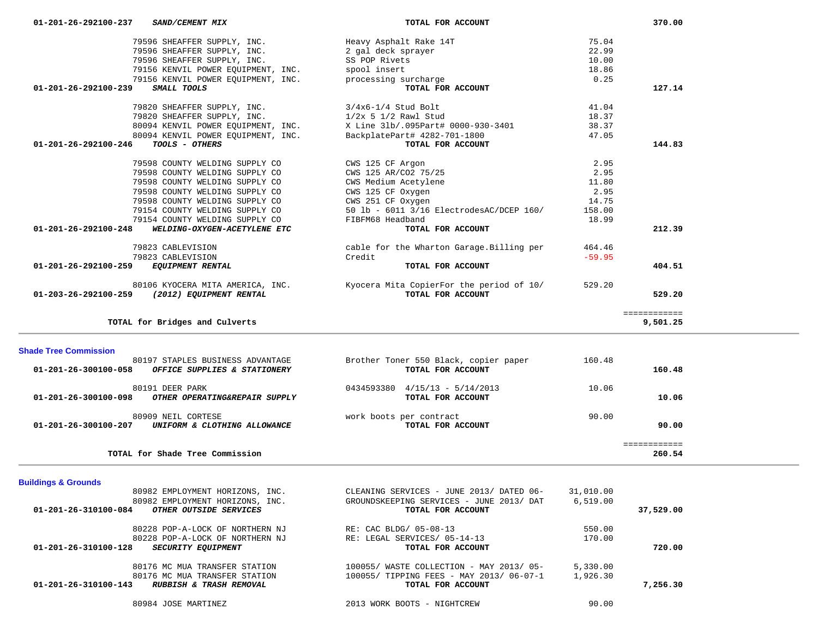| <b>Buildings &amp; Grounds</b>                    |                                          |           |           |
|---------------------------------------------------|------------------------------------------|-----------|-----------|
| 80982 EMPLOYMENT HORIZONS, INC.                   | CLEANING SERVICES - JUNE 2013/ DATED 06- | 31,010.00 |           |
| 80982 EMPLOYMENT HORIZONS, INC.                   | GROUNDSKEEPING SERVICES - JUNE 2013/ DAT | 6.519.00  |           |
| 01-201-26-310100-084<br>OTHER OUTSIDE SERVICES    | TOTAL FOR ACCOUNT                        |           | 37,529.00 |
| 80228 POP-A-LOCK OF NORTHERN NJ                   | RE: CAC BLDG/ 05-08-13                   | 550.00    |           |
| 80228 POP-A-LOCK OF NORTHERN NJ                   | RE: LEGAL SERVICES/ 05-14-13             | 170.00    |           |
| 01-201-26-310100-128<br><b>SECURITY EQUIPMENT</b> | TOTAL FOR ACCOUNT                        |           | 720.00    |
| 80176 MC MUA TRANSFER STATION                     | 100055/ WASTE COLLECTION - MAY 2013/05-  | 5,330.00  |           |
| 80176 MC MUA TRANSFER STATION                     | 100055/ TIPPING FEES - MAY 2013/ 06-07-1 | 1,926.30  |           |
| 01-201-26-310100-143<br>RUBBISH & TRASH REMOVAL   | TOTAL FOR ACCOUNT                        |           | 7,256.30  |
| 80984 JOSE MARTINEZ                               | 2013 WORK BOOTS - NIGHTCREW              | 90.00     |           |

| <b>Shade Tree Commission</b><br>80197 STAPLES BUSINESS ADVANTAGE<br>01-201-26-300100-058<br>OFFICE SUPPLIES & STATIONERY | Brother Toner 550 Black, copier paper<br>TOTAL FOR ACCOUNT | 160.48<br>160.48 |  |
|--------------------------------------------------------------------------------------------------------------------------|------------------------------------------------------------|------------------|--|
| 80191 DEER PARK<br>01-201-26-300100-098<br>OTHER OPERATING&REPAIR SUPPLY                                                 | 0434593380<br>$4/15/13 - 5/14/2013$<br>TOTAL FOR ACCOUNT   | 10.06<br>10.06   |  |
| 80909 NEIL CORTESE<br>01-201-26-300100-207<br>UNIFORM & CLOTHING ALLOWANCE                                               | work boots per contract<br>TOTAL FOR ACCOUNT               | 90.00<br>90.00   |  |
| TOTAL for Shade Tree Commission                                                                                          |                                                            | 260.54           |  |

| 01-201-26-292100-237 SAND/CEMENT MIX                            | TOTAL FOR ACCOUNT                                                                                  |          | 370.00 |
|-----------------------------------------------------------------|----------------------------------------------------------------------------------------------------|----------|--------|
| 79596 SHEAFFER SUPPLY, INC. The Heavy Asphalt Rake 14T          |                                                                                                    | 75.04    |        |
| 79596 SHEAFFER SUPPLY, INC. 2 gal deck sprayer                  |                                                                                                    | 22.99    |        |
| 79596 SHEAFFER SUPPLY, INC. SS POP Rivets                       |                                                                                                    | 10.00    |        |
| 79156 KENVIL POWER EQUIPMENT, INC. Spool insert                 |                                                                                                    | 18.86    |        |
| 79156 KENVIL POWER EQUIPMENT, INC. Processing surcharge         |                                                                                                    | 0.25     |        |
| SMALL TOOLS<br>01-201-26-292100-239                             | TOTAL FOR ACCOUNT                                                                                  |          | 127.14 |
| 79820 SHEAFFER SUPPLY, INC. 3/4x6-1/4 Stud Bolt                 |                                                                                                    | 41.04    |        |
| 79820 SHEAFFER SUPPLY, INC. 1/2x 5 1/2 Rawl Stud                |                                                                                                    | 18.37    |        |
|                                                                 | 80094 KENVIL POWER EQUIPMENT, INC. X Line 31b/.095Part# 0000-930-3401                              | 38.37    |        |
| 80094 KENVIL POWER EQUIPMENT, INC. BackplatePart# 4282-701-1800 |                                                                                                    | 47.05    |        |
| <i>TOOLS - OTHERS</i><br>01-201-26-292100-246                   | TOTAL FOR ACCOUNT                                                                                  |          | 144.83 |
| 79598 COUNTY WELDING SUPPLY CO                                  | CWS 125 CF Argon                                                                                   | 2.95     |        |
| 79598 COUNTY WELDING SUPPLY CO                                  | CWS 125 AR/CO2 75/25                                                                               | 2.95     |        |
| 79598 COUNTY WELDING SUPPLY CO                                  | CWS Medium Acetylene                                                                               | 11.80    |        |
| 79598 COUNTY WELDING SUPPLY CO                                  | CWS 125 CF Oxygen                                                                                  | 2.95     |        |
| 79598 COUNTY WELDING SUPPLY CO                                  | CWS 251 CF Oxygen                                                                                  | 14.75    |        |
| 79154 COUNTY WELDING SUPPLY CO                                  | 50 lb - 6011 3/16 ElectrodesAC/DCEP 160/                                                           | 158.00   |        |
| 79154 COUNTY WELDING SUPPLY CO                                  | FIBFM68 Headband                                                                                   | 18.99    |        |
| 01-201-26-292100-248<br>WELDING-OXYGEN-ACETYLENE ETC            | TOTAL FOR ACCOUNT                                                                                  |          | 212.39 |
|                                                                 |                                                                                                    |          |        |
| 79823 CABLEVISION                                               | cable for the Wharton Garage.Billing per                                                           | 464.46   |        |
| 79823 CABLEVISION                                               | Credit                                                                                             | $-59.95$ |        |
| 01-201-26-292100-259 EQUIPMENT RENTAL                           | TOTAL FOR ACCOUNT                                                                                  |          | 404.51 |
| 01-203-26-292100-259 (2012) EQUIPMENT RENTAL                    | 80106 KYOCERA MITA AMERICA, INC. The Syncera Mita CopierFor the period of 10/<br>TOTAL FOR ACCOUNT | 529.20   | 529.20 |

**TOTAL for Bridges and Culverts 9,501.25**

9,501.25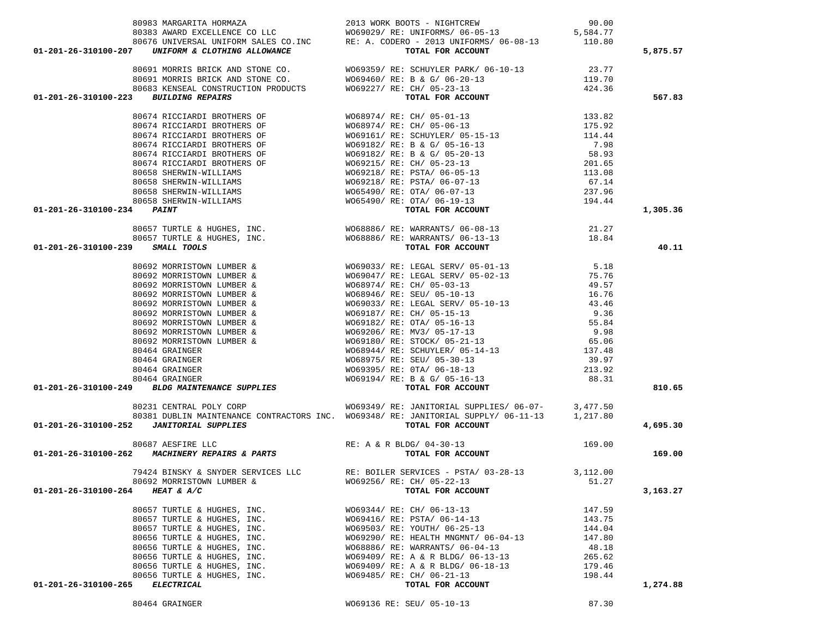|                                                                                                                                                                                                                                       | 80383 AWARD EXCELLENCE CO LLC WO69029/ RE: UNIFORMS/ 06-05-13 5,584.77                                                                                                                                                                                                                                                                                                         |        |          |
|---------------------------------------------------------------------------------------------------------------------------------------------------------------------------------------------------------------------------------------|--------------------------------------------------------------------------------------------------------------------------------------------------------------------------------------------------------------------------------------------------------------------------------------------------------------------------------------------------------------------------------|--------|----------|
|                                                                                                                                                                                                                                       | 80676 UNIVERSAL UNIFORM SALES CO.INC RE: A. CODERO - 2013 UNIFORMS/ 06-08-13 110.80                                                                                                                                                                                                                                                                                            |        |          |
| 01-201-26-310100-207 UNIFORM & CLOTHING ALLOWANCE                                                                                                                                                                                     | TOTAL FOR ACCOUNT                                                                                                                                                                                                                                                                                                                                                              |        | 5,875.57 |
|                                                                                                                                                                                                                                       |                                                                                                                                                                                                                                                                                                                                                                                |        |          |
|                                                                                                                                                                                                                                       | $\begin{tabular}{lllllllllllllllllllll} 80691&\texttt{MORRIS} &\texttt{BRICK} &\texttt{MD} & \texttt{STONE} & \texttt{CO} & \texttt{W069359/ RE:} & \texttt{SCHUVLER} & \texttt{PARK/} & 06-10-13 & 23.77 \\ 80691&\texttt{MORRIS} & \texttt{BRICK} & \texttt{NID} & \texttt{STONE} & \texttt{CO} & \texttt{W069460/ RE: B & G/} & 06-20-13 & 119.70 \\ 80683&\texttt{KENSEAL$ |        |          |
|                                                                                                                                                                                                                                       |                                                                                                                                                                                                                                                                                                                                                                                |        |          |
|                                                                                                                                                                                                                                       |                                                                                                                                                                                                                                                                                                                                                                                |        |          |
| 01-201-26-310100-223 BUILDING REPAIRS                                                                                                                                                                                                 |                                                                                                                                                                                                                                                                                                                                                                                |        | 567.83   |
|                                                                                                                                                                                                                                       |                                                                                                                                                                                                                                                                                                                                                                                |        |          |
|                                                                                                                                                                                                                                       |                                                                                                                                                                                                                                                                                                                                                                                |        |          |
|                                                                                                                                                                                                                                       |                                                                                                                                                                                                                                                                                                                                                                                |        |          |
|                                                                                                                                                                                                                                       |                                                                                                                                                                                                                                                                                                                                                                                |        |          |
|                                                                                                                                                                                                                                       |                                                                                                                                                                                                                                                                                                                                                                                |        |          |
|                                                                                                                                                                                                                                       |                                                                                                                                                                                                                                                                                                                                                                                |        |          |
|                                                                                                                                                                                                                                       |                                                                                                                                                                                                                                                                                                                                                                                |        |          |
|                                                                                                                                                                                                                                       |                                                                                                                                                                                                                                                                                                                                                                                |        |          |
|                                                                                                                                                                                                                                       |                                                                                                                                                                                                                                                                                                                                                                                |        |          |
|                                                                                                                                                                                                                                       |                                                                                                                                                                                                                                                                                                                                                                                |        |          |
|                                                                                                                                                                                                                                       |                                                                                                                                                                                                                                                                                                                                                                                |        |          |
|                                                                                                                                                                                                                                       |                                                                                                                                                                                                                                                                                                                                                                                |        |          |
| 01-201-26-310100-234 PAINT                                                                                                                                                                                                            | 80674 RICCIARDI BROTHERS OF WO69182/RE: B & G/05-16-13<br>80674 RICCIARDI BROTHERS OF WO69182/RE: B & G/05-20-13<br>80674 RICCIARDI BROTHERS OF WO69182/RE: B & G/05-20-13<br>80658 SHERWIN-WILLIAMS<br>80658 SHERWIN-WILLIAMS<br>80658                                                                                                                                        |        | 1,305.36 |
|                                                                                                                                                                                                                                       |                                                                                                                                                                                                                                                                                                                                                                                |        |          |
|                                                                                                                                                                                                                                       |                                                                                                                                                                                                                                                                                                                                                                                |        |          |
|                                                                                                                                                                                                                                       |                                                                                                                                                                                                                                                                                                                                                                                |        |          |
| 01-201-26-310100-239 SMALL TOOLS                                                                                                                                                                                                      |                                                                                                                                                                                                                                                                                                                                                                                |        | 40.11    |
|                                                                                                                                                                                                                                       |                                                                                                                                                                                                                                                                                                                                                                                |        |          |
| 01-201-26-310100-239 SMALL TOOLS<br>80692 MORRISTOWN LUMBER & WO69033/RE: LEGAL SERV/05-01-13<br>80692 MORRISTOWN LUMBER & WO69043/RE: LEGAL SERV/05-01-13<br>80692 MORRISTOWN LUMBER & WO69947/RE: LEGAL SERV/05-02-13<br>80692 MORR |                                                                                                                                                                                                                                                                                                                                                                                |        |          |
|                                                                                                                                                                                                                                       |                                                                                                                                                                                                                                                                                                                                                                                |        |          |
|                                                                                                                                                                                                                                       |                                                                                                                                                                                                                                                                                                                                                                                |        |          |
|                                                                                                                                                                                                                                       |                                                                                                                                                                                                                                                                                                                                                                                |        |          |
|                                                                                                                                                                                                                                       |                                                                                                                                                                                                                                                                                                                                                                                |        |          |
|                                                                                                                                                                                                                                       |                                                                                                                                                                                                                                                                                                                                                                                |        |          |
|                                                                                                                                                                                                                                       |                                                                                                                                                                                                                                                                                                                                                                                |        |          |
|                                                                                                                                                                                                                                       |                                                                                                                                                                                                                                                                                                                                                                                |        |          |
|                                                                                                                                                                                                                                       |                                                                                                                                                                                                                                                                                                                                                                                |        |          |
|                                                                                                                                                                                                                                       |                                                                                                                                                                                                                                                                                                                                                                                |        |          |
|                                                                                                                                                                                                                                       |                                                                                                                                                                                                                                                                                                                                                                                |        |          |
|                                                                                                                                                                                                                                       |                                                                                                                                                                                                                                                                                                                                                                                |        |          |
|                                                                                                                                                                                                                                       |                                                                                                                                                                                                                                                                                                                                                                                |        |          |
|                                                                                                                                                                                                                                       |                                                                                                                                                                                                                                                                                                                                                                                |        | 810.65   |
|                                                                                                                                                                                                                                       |                                                                                                                                                                                                                                                                                                                                                                                |        |          |
| 80231 CENTRAL POLY CORP                                                                                                                                                                                                               | 80231 CENTRAL POLY CORP WO69349/ RE: JANITORIAL SUPPLIES/ 06-07- 3,477.50<br>80381 DUBLIN MAINTENANCE CONTRACTORS INC. WO69348/ RE: JANITORIAL SUPPLY/ 06-11-13 1,217.80                                                                                                                                                                                                       |        |          |
|                                                                                                                                                                                                                                       |                                                                                                                                                                                                                                                                                                                                                                                |        |          |
| 01-201-26-310100-252 JANITORIAL SUPPLIES                                                                                                                                                                                              | TOTAL FOR ACCOUNT                                                                                                                                                                                                                                                                                                                                                              |        | 4,695.30 |
|                                                                                                                                                                                                                                       |                                                                                                                                                                                                                                                                                                                                                                                |        |          |
|                                                                                                                                                                                                                                       |                                                                                                                                                                                                                                                                                                                                                                                | 169.00 |          |
|                                                                                                                                                                                                                                       | TOTAL FOR ACCOUNT                                                                                                                                                                                                                                                                                                                                                              |        | 169.00   |
|                                                                                                                                                                                                                                       |                                                                                                                                                                                                                                                                                                                                                                                |        |          |
|                                                                                                                                                                                                                                       | 79424 BINSKY & SNYDER SERVICES LLC<br>80692 MORRISTOWN LUMBER & WO69256/RE: CH/05-22-13<br>4 FEAT 5 A/C                                                                                                                                                                                                                                                                        |        |          |
|                                                                                                                                                                                                                                       |                                                                                                                                                                                                                                                                                                                                                                                |        |          |
| 01-201-26-310100-264 HEAT & $A/C$ $\hspace{1.5cm}$ TOTAL FOR ACCOUNT                                                                                                                                                                  |                                                                                                                                                                                                                                                                                                                                                                                |        | 3,163.27 |
|                                                                                                                                                                                                                                       |                                                                                                                                                                                                                                                                                                                                                                                |        |          |
| 80657 TURTLE & HUGHES, INC.                                                                                                                                                                                                           | W069344/ RE: CH/ 06-13-13                                                                                                                                                                                                                                                                                                                                                      | 147.59 |          |
| 80657 TURTLE & HUGHES, INC.                                                                                                                                                                                                           | W069416/ RE: PSTA/ 06-14-13                                                                                                                                                                                                                                                                                                                                                    | 143.75 |          |
| 80657 TURTLE & HUGHES, INC.                                                                                                                                                                                                           | W069503/ RE: YOUTH/ 06-25-13                                                                                                                                                                                                                                                                                                                                                   | 144.04 |          |
| 80656 TURTLE & HUGHES, INC.                                                                                                                                                                                                           | WO69290/ RE: HEALTH MNGMNT/ 06-04-13                                                                                                                                                                                                                                                                                                                                           | 147.80 |          |
| 80656 TURTLE & HUGHES, INC.                                                                                                                                                                                                           | WO68886/ RE: WARRANTS/ 06-04-13                                                                                                                                                                                                                                                                                                                                                | 48.18  |          |
| 80656 TURTLE & HUGHES, INC.                                                                                                                                                                                                           | WO69409/ RE: A & R BLDG/ 06-13-13                                                                                                                                                                                                                                                                                                                                              | 265.62 |          |
| 80656 TURTLE & HUGHES, INC.                                                                                                                                                                                                           | W069409/ RE: A & R BLDG/ 06-18-13                                                                                                                                                                                                                                                                                                                                              | 179.46 |          |
| 80656 TURTLE & HUGHES, INC.                                                                                                                                                                                                           | W069485/ RE: CH/ 06-21-13                                                                                                                                                                                                                                                                                                                                                      |        |          |
| ELECTRICAL<br>01-201-26-310100-265                                                                                                                                                                                                    | TOTAL FOR ACCOUNT                                                                                                                                                                                                                                                                                                                                                              | 198.44 | 1,274.88 |
|                                                                                                                                                                                                                                       |                                                                                                                                                                                                                                                                                                                                                                                |        |          |
|                                                                                                                                                                                                                                       | WO69136 RE: SEU/ 05-10-13                                                                                                                                                                                                                                                                                                                                                      |        |          |
| 80464 GRAINGER                                                                                                                                                                                                                        |                                                                                                                                                                                                                                                                                                                                                                                | 87.30  |          |

80983 MARGARITA HORMAZA 2013 WORK BOOTS - NIGHTCREW 90.00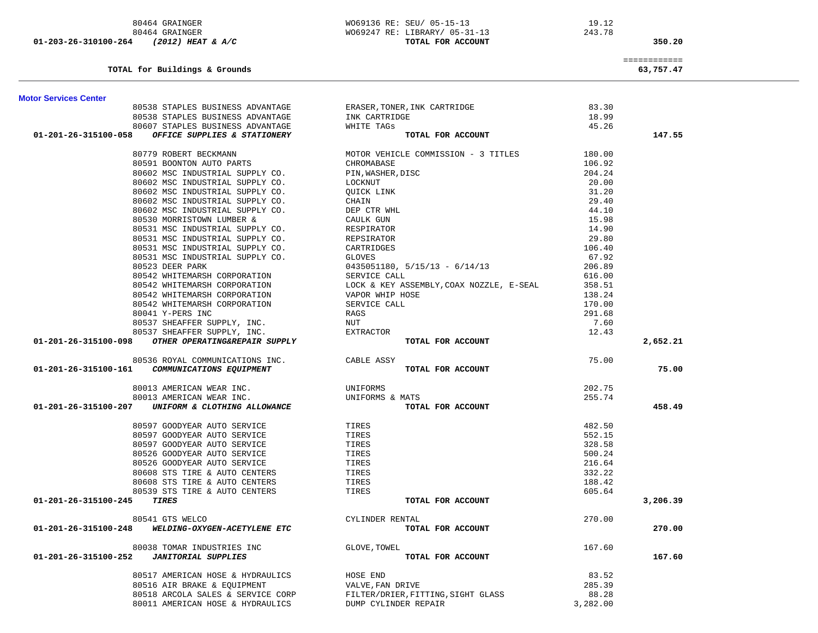| TOTAL for Buildings & Grounds                                                    |                                          |          | ============<br>63,757.47 |
|----------------------------------------------------------------------------------|------------------------------------------|----------|---------------------------|
| <b>Motor Services Center</b>                                                     |                                          |          |                           |
| 80538 STAPLES BUSINESS ADVANTAGE                                                 | ERASER, TONER, INK CARTRIDGE             | 83.30    |                           |
| 80538 STAPLES BUSINESS ADVANTAGE                                                 | INK CARTRIDGE                            | 18.99    |                           |
| 80607 STAPLES BUSINESS ADVANTAGE                                                 | WHITE TAGS                               | 45.26    |                           |
| OFFICE SUPPLIES & STATIONERY<br>01-201-26-315100-058                             | TOTAL FOR ACCOUNT                        |          | 147.55                    |
| 80779 ROBERT BECKMANN                                                            | MOTOR VEHICLE COMMISSION - 3 TITLES      | 180.00   |                           |
| 80591 BOONTON AUTO PARTS                                                         | CHROMABASE                               | 106.92   |                           |
| 80602 MSC INDUSTRIAL SUPPLY CO.                                                  | PIN, WASHER, DISC                        | 204.24   |                           |
| 80602 MSC INDUSTRIAL SUPPLY CO.                                                  | LOCKNUT                                  | 20.00    |                           |
| 80602 MSC INDUSTRIAL SUPPLY CO.                                                  | QUICK LINK                               | 31.20    |                           |
| 80602 MSC INDUSTRIAL SUPPLY CO.                                                  | CHAIN                                    | 29.40    |                           |
| 80602 MSC INDUSTRIAL SUPPLY CO.                                                  | DEP CTR WHL                              | 44.10    |                           |
| 80530 MORRISTOWN LUMBER &                                                        | CAULK GUN                                | 15.98    |                           |
| 80531 MSC INDUSTRIAL SUPPLY CO.                                                  | RESPIRATOR                               | 14.90    |                           |
| 80531 MSC INDUSTRIAL SUPPLY CO.                                                  | REPSIRATOR                               | 29.80    |                           |
| 80531 MSC INDUSTRIAL SUPPLY CO.                                                  | CARTRIDGES                               | 106.40   |                           |
| 80531 MSC INDUSTRIAL SUPPLY CO.                                                  | GLOVES                                   | 67.92    |                           |
| 80523 DEER PARK                                                                  | $0435051180, 5/15/13 - 6/14/13$          | 206.89   |                           |
| 80542 WHITEMARSH CORPORATION                                                     | SERVICE CALL                             | 616.00   |                           |
| 80542 WHITEMARSH CORPORATION                                                     | LOCK & KEY ASSEMBLY, COAX NOZZLE, E-SEAL | 358.51   |                           |
| 80542 WHITEMARSH CORPORATION                                                     | VAPOR WHIP HOSE                          | 138.24   |                           |
| 80542 WHITEMARSH CORPORATION                                                     | SERVICE CALL                             | 170.00   |                           |
| 80041 Y-PERS INC                                                                 | RAGS                                     | 291.68   |                           |
| 80537 SHEAFFER SUPPLY, INC.                                                      | NUT                                      | 7.60     |                           |
| 80537 SHEAFFER SUPPLY, INC.                                                      | EXTRACTOR                                | 12.43    |                           |
| 01-201-26-315100-098<br>OTHER OPERATING&REPAIR SUPPLY                            | TOTAL FOR ACCOUNT                        |          | 2,652.21                  |
|                                                                                  |                                          |          |                           |
| 80536 ROYAL COMMUNICATIONS INC.<br>01-201-26-315100-161 COMMUNICATIONS EQUIPMENT | CABLE ASSY<br>TOTAL FOR ACCOUNT          | 75.00    | 75.00                     |
|                                                                                  |                                          |          |                           |
| 80013 AMERICAN WEAR INC.                                                         | UNIFORMS                                 | 202.75   |                           |
| 80013 AMERICAN WEAR INC.                                                         | UNIFORMS & MATS                          | 255.74   |                           |
| 01-201-26-315100-207<br>UNIFORM & CLOTHING ALLOWANCE                             | TOTAL FOR ACCOUNT                        |          | 458.49                    |
| 80597 GOODYEAR AUTO SERVICE                                                      | TIRES                                    | 482.50   |                           |
| 80597 GOODYEAR AUTO SERVICE                                                      | TIRES                                    | 552.15   |                           |
| 80597 GOODYEAR AUTO SERVICE                                                      | TIRES                                    | 328.58   |                           |
| 80526 GOODYEAR AUTO SERVICE                                                      | TIRES                                    | 500.24   |                           |
| 80526 GOODYEAR AUTO SERVICE                                                      | TIRES                                    | 216.64   |                           |
| 80608 STS TIRE & AUTO CENTERS                                                    | TIRES                                    | 332.22   |                           |
| 80608 STS TIRE & AUTO CENTERS                                                    | TIRES                                    | 188.42   |                           |
| 80539 STS TIRE & AUTO CENTERS                                                    | TIRES                                    | 605.64   |                           |
| 01-201-26-315100-245<br>TIRES                                                    | TOTAL FOR ACCOUNT                        |          | 3,206.39                  |
| 80541 GTS WELCO                                                                  | CYLINDER RENTAL                          | 270.00   |                           |
| WELDING-OXYGEN-ACETYLENE ETC<br>01-201-26-315100-248                             | TOTAL FOR ACCOUNT                        |          | 270.00                    |
| 80038 TOMAR INDUSTRIES INC                                                       | GLOVE, TOWEL                             | 167.60   |                           |
| <b>JANITORIAL SUPPLIES</b><br>01-201-26-315100-252                               | TOTAL FOR ACCOUNT                        |          | 167.60                    |
| 80517 AMERICAN HOSE & HYDRAULICS                                                 | HOSE END                                 | 83.52    |                           |
| 80516 AIR BRAKE & EQUIPMENT                                                      | VALVE, FAN DRIVE                         | 285.39   |                           |
| 80518 ARCOLA SALES & SERVICE CORP                                                | FILTER/DRIER, FITTING, SIGHT GLASS       | 88.28    |                           |
| 80011 AMERICAN HOSE & HYDRAULICS                                                 | DUMP CYLINDER REPAIR                     | 3,282.00 |                           |

 80464 GRAINGER WO69136 RE: SEU/ 05-15-13 19.12 80464 GRAINGER WO69247 RE: LIBRARY/ 05-31-13 243.78  **01-203-26-310100-264** *(2012) HEAT & A/C* **TOTAL FOR ACCOUNT 350.20**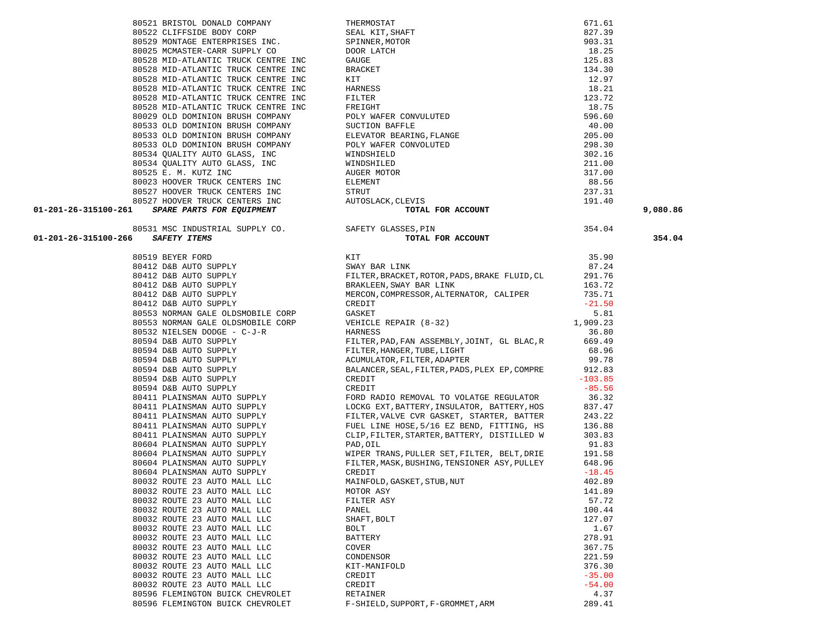|       | 80519 BEYER FORD                 |
|-------|----------------------------------|
|       | 80412 D&B AUTO SUPPLY            |
|       | 80412 D&B AUTO SUPPLY            |
|       | 80412 D&B AUTO SUPPLY            |
|       | 80412 D&B AUTO SUPPLY            |
| 80412 | D&B AUTO SUPPLY                  |
| 80553 | NORMAN GALE OLDSMOBILE CORP      |
| 80553 | NORMAN GALE OLDSMOBILE CORP      |
| 80532 | NIELSEN DODGE - C-J-R            |
|       | 80594 D&B AUTO SUPPLY            |
| 80594 | D&B AUTO SUPPLY                  |
| 80594 | D&B AUTO SUPPLY                  |
| 80594 | D&B AUTO SUPPLY                  |
| 80594 | D&B AUTO SUPPLY                  |
| 80594 | D&B AUTO SUPPLY                  |
| 80411 | PLAINSMAN AUTO SUPPLY            |
|       | 80411 PLAINSMAN AUTO SUPPLY      |
|       | 80411 PLAINSMAN AUTO SUPPLY      |
|       | 80411 PLAINSMAN AUTO SUPPLY      |
|       | 80411 PLAINSMAN AUTO SUPPLY      |
|       | 80604 PLAINSMAN AUTO SUPPLY      |
|       | 80604 PLAINSMAN AUTO SUPPLY      |
|       | 80604 PLAINSMAN AUTO SUPPLY      |
|       | 80604 PLAINSMAN AUTO SUPPLY      |
| 80032 | ROUTE 23 AUTO MALL LLC           |
| 80032 | ROUTE 23 AUTO MALL LLC           |
| 80032 | ROUTE 23 AUTO MALL LLC           |
| 80032 | ROUTE 23 AUTO MALL LLC           |
| 80032 | ROUTE 23 AUTO MALL<br><b>LLC</b> |
| 80032 | ROUTE 23<br>AUTO MALL LLC        |
| 80032 | ROUTE 23<br>AUTO MALL LLC        |
| 80032 | ROUTE 23<br>AUTO MALL LLC        |
| 80032 | ROUTE 23 AUTO MALL LLC           |
| 80032 | ROUTE 23 AUTO MALL LLC           |
|       | 80032 ROUTE 23 AUTO MALL LLC     |
|       | 80032 ROUTE 23 AUTO MALL<br>LLC  |
|       | 80596 FLEMINGTON BUICK CHEVROLET |
|       | 80596 FLEMINGTON BUICK CHEVROLET |

|                      | 80527 HOOVER TRUCK CENTERS INC<br>01-201-26-315100-261 SPARE PARTS FOR EQUIPMENT                                     | EVIS<br><b>TOTAL FOR ACCOUNT</b><br>AUTOSLACK, CLEVIS                                                                                                                                                                                              | 191.40    |
|----------------------|----------------------------------------------------------------------------------------------------------------------|----------------------------------------------------------------------------------------------------------------------------------------------------------------------------------------------------------------------------------------------------|-----------|
|                      |                                                                                                                      |                                                                                                                                                                                                                                                    |           |
|                      | 80531 MSC INDUSTRIAL SUPPLY CO. SAFETY GLASSES, PIN                                                                  |                                                                                                                                                                                                                                                    | 354.04    |
| 01-201-26-315100-266 | <b>SAFETY ITEMS</b>                                                                                                  | TOTAL FOR ACCOUNT                                                                                                                                                                                                                                  |           |
|                      | 80519 BEYER FORD<br>80412 D&B AUTO SUPPLY<br>80412 D&B AUTO SUPPLY<br>80412 D&B AUTO SUPPLY<br>80412 D&B AUTO SUPPLY | KIT                                                                                                                                                                                                                                                | 35.90     |
|                      |                                                                                                                      | SWAY BAR LINK                                                                                                                                                                                                                                      | 87.24     |
|                      |                                                                                                                      | FILTER, BRACKET, ROTOR, PADS, BRAKE FLUID, CL 291.76                                                                                                                                                                                               |           |
|                      |                                                                                                                      | BRAKLEEN, SWAY BAR LINK                                                                                                                                                                                                                            | 163.72    |
|                      |                                                                                                                      | MERCON, COMPRESSOR, ALTERNATOR, CALIPER                                                                                                                                                                                                            | 735.71    |
|                      | 80412 D&B AUTO SUPPLY                                                                                                | CREDIT                                                                                                                                                                                                                                             | $-21.50$  |
|                      | 80553 NORMAN GALE OLDSMOBILE CORP                                                                                    | CREDIT<br>GASKET<br>VEHICLE REPAIR (8-32)                                                                                                                                                                                                          | 5.81      |
|                      | 80553 NORMAN GALE OLDSMOBILE CORP                                                                                    |                                                                                                                                                                                                                                                    | 1,909.23  |
|                      | 80532 NIELSEN DODGE - C-J-R                                                                                          | HARNESS                                                                                                                                                                                                                                            | 36.80     |
|                      | 80594 D&B AUTO SUPPLY                                                                                                | FILTER, PAD, FAN ASSEMBLY, JOINT, GL BLAC, R 669.49                                                                                                                                                                                                |           |
|                      |                                                                                                                      |                                                                                                                                                                                                                                                    | 68.96     |
|                      |                                                                                                                      |                                                                                                                                                                                                                                                    | 99.78     |
|                      |                                                                                                                      | BALANCER, SEAL, FILTER, PADS, PLEX EP, COMPRE 912.83                                                                                                                                                                                               |           |
|                      |                                                                                                                      | A SUBARUTO SUPPLY<br>A SUBARUTO SUPPLY<br>FILTER, HANGER, TUBE, LIGHT<br>ACUMULATOR, FILTER, ADAPTER<br>80594 D&B AUTO SUPPLY<br>80594 D&B AUTO SUPPLY<br>80594 D&B AUTO SUPPLY<br>80594 D&B AUTO SUPPLY<br>80594 D&B AUTO SUPPLY<br>CREDIT<br>CRE | $-103.85$ |
|                      |                                                                                                                      |                                                                                                                                                                                                                                                    | $-85.56$  |
|                      |                                                                                                                      |                                                                                                                                                                                                                                                    | 36.32     |
|                      | 80411 PLAINSMAN AUTO SUPPLY                                                                                          | LOCKG EXT, BATTERY, INSULATOR, BATTERY, HOS 837.47                                                                                                                                                                                                 |           |
|                      | 80411 PLAINSMAN AUTO SUPPLY<br>80411 PLAINSMAN AUTO SUPPLY                                                           |                                                                                                                                                                                                                                                    |           |
|                      |                                                                                                                      | FILTER, VALVE CVR GASKET, STARTER, BATTER 243.22<br>FUEL LINE HOSE, 5/16 EZ BEND, FITTING, HS 136.88                                                                                                                                               |           |
|                      | 80411 PLAINSMAN AUTO SUPPLY                                                                                          | CLIP, FILTER, STARTER, BATTERY, DISTILLED W 303.83                                                                                                                                                                                                 |           |
|                      |                                                                                                                      | 80604 PLAINSMAN AUTO SUPPLY (PAD, OIL)<br>80604 PLAINSMAN AUTO SUPPLY (PAD) WIPER TRANS, PULLER SET, FILTER, BELT, DRIE<br>80604 PLAINSMAN AUTO SUPPLY (FILTER, MASK, BUSHING, TENSIONER ASY, PULLEY                                               | 91.83     |
|                      |                                                                                                                      | WIPER TRANS, PULLER SET, FILTER, BELT, DRIE 191.58                                                                                                                                                                                                 |           |
|                      |                                                                                                                      |                                                                                                                                                                                                                                                    | 648.96    |
|                      | 80604 PLAINSMAN AUTO SUPPLY                                                                                          | CREDIT                                                                                                                                                                                                                                             | $-18.45$  |
|                      |                                                                                                                      |                                                                                                                                                                                                                                                    | 402.89    |
|                      |                                                                                                                      |                                                                                                                                                                                                                                                    | 141.89    |
|                      |                                                                                                                      |                                                                                                                                                                                                                                                    | 57.72     |
|                      |                                                                                                                      |                                                                                                                                                                                                                                                    | 100.44    |
|                      |                                                                                                                      |                                                                                                                                                                                                                                                    | 127.07    |
|                      |                                                                                                                      |                                                                                                                                                                                                                                                    | 1.67      |
|                      |                                                                                                                      |                                                                                                                                                                                                                                                    | 278.91    |
|                      |                                                                                                                      |                                                                                                                                                                                                                                                    | 367.75    |
|                      |                                                                                                                      |                                                                                                                                                                                                                                                    | 221.59    |
|                      |                                                                                                                      |                                                                                                                                                                                                                                                    | 376.30    |
|                      |                                                                                                                      |                                                                                                                                                                                                                                                    | $-35.00$  |
|                      |                                                                                                                      |                                                                                                                                                                                                                                                    | $-54.00$  |
|                      |                                                                                                                      |                                                                                                                                                                                                                                                    | 4.37      |
|                      |                                                                                                                      |                                                                                                                                                                                                                                                    | 289.41    |

| 80521 BRISTOL DONALD COMPANY                      | THERMOSTAT               | 671.61   |
|---------------------------------------------------|--------------------------|----------|
| 80522 CLIFFSIDE BODY CORP                         | SEAL KIT, SHAFT          | 827.39   |
| 80529 MONTAGE ENTERPRISES INC.                    | SPINNER, MOTOR           | 903.31   |
| 80025 MCMASTER-CARR SUPPLY CO                     | DOOR LATCH               | 18.25    |
| 80528 MID-ATLANTIC TRUCK CENTRE INC               | GAUGE                    | 125.83   |
| 80528 MID-ATLANTIC TRUCK CENTRE INC               | BRACKET                  | 134.30   |
| 80528 MID-ATLANTIC TRUCK CENTRE INC               | KIT                      | 12.97    |
| 80528 MID-ATLANTIC TRUCK CENTRE INC               | HARNESS                  | 18.21    |
| 80528 MID-ATLANTIC TRUCK CENTRE INC               | FILTER                   | 123.72   |
| 80528 MID-ATLANTIC TRUCK CENTRE INC               | FREIGHT                  | 18.75    |
| 80029 OLD DOMINION BRUSH COMPANY                  | POLY WAFER CONVULUTED    | 596.60   |
| 80533 OLD DOMINION BRUSH COMPANY                  | SUCTION BAFFLE           | 40.00    |
| 80533 OLD DOMINION BRUSH COMPANY                  | ELEVATOR BEARING, FLANGE | 205.00   |
| 80533 OLD DOMINION BRUSH COMPANY                  | POLY WAFER CONVOLUTED    | 298.30   |
| 80534 OUALITY AUTO GLASS, INC                     | WINDSHIELD               | 302.16   |
| 80534 OUALITY AUTO GLASS, INC                     | WINDSHILED               | 211.00   |
| 80525 E. M. KUTZ INC                              | AUGER MOTOR              | 317.00   |
| 80023 HOOVER TRUCK CENTERS INC                    | ELEMENT                  | 88.56    |
| 80527 HOOVER TRUCK CENTERS INC                    | STRUT                    | 237.31   |
| 80527 HOOVER TRUCK CENTERS INC                    | AUTOSLACK, CLEVIS        | 191.40   |
| 01-201-26-315100-261<br>SPARE PARTS FOR EQUIPMENT | TOTAL FOR ACCOUNT        | 9,080.86 |
| 80531 MSC INDUSTRIAL SUPPLY CO.                   | SAFETY GLASSES, PIN      | 354.04   |
| 01-201-26-315100-266<br><b>SAFETY ITEMS</b>       | TOTAL FOR ACCOUNT        | 354.04   |
|                                                   |                          |          |

354.04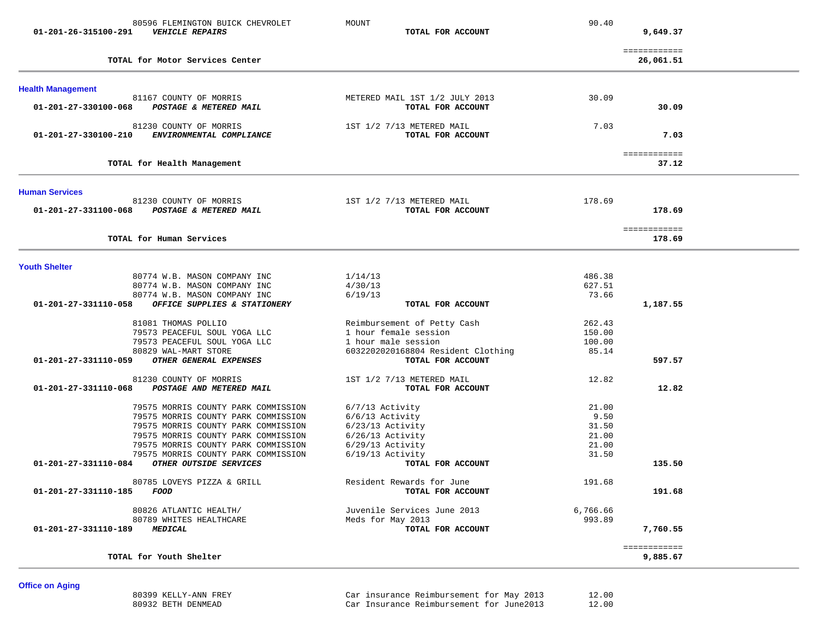| 80596 FLEMINGTON BUICK CHEVROLET<br><b>VEHICLE REPAIRS</b><br>01-201-26-315100-291                                                                                                                                                     | MOUNT<br>TOTAL FOR ACCOUNT                                                                                                             | 90.40                                             | 9,649.37                  |  |
|----------------------------------------------------------------------------------------------------------------------------------------------------------------------------------------------------------------------------------------|----------------------------------------------------------------------------------------------------------------------------------------|---------------------------------------------------|---------------------------|--|
| TOTAL for Motor Services Center                                                                                                                                                                                                        |                                                                                                                                        |                                                   | ============<br>26,061.51 |  |
| <b>Health Management</b>                                                                                                                                                                                                               |                                                                                                                                        |                                                   |                           |  |
| 81167 COUNTY OF MORRIS<br>POSTAGE & METERED MAIL<br>01-201-27-330100-068                                                                                                                                                               | METERED MAIL 1ST 1/2 JULY 2013<br>TOTAL FOR ACCOUNT                                                                                    | 30.09                                             | 30.09                     |  |
| 81230 COUNTY OF MORRIS<br>01-201-27-330100-210<br>ENVIRONMENTAL COMPLIANCE                                                                                                                                                             | 1ST 1/2 7/13 METERED MAIL<br>TOTAL FOR ACCOUNT                                                                                         | 7.03                                              | 7.03                      |  |
| TOTAL for Health Management                                                                                                                                                                                                            |                                                                                                                                        |                                                   | ============<br>37.12     |  |
| <b>Human Services</b>                                                                                                                                                                                                                  |                                                                                                                                        |                                                   |                           |  |
| 81230 COUNTY OF MORRIS<br>POSTAGE & METERED MAIL<br>01-201-27-331100-068                                                                                                                                                               | 1ST 1/2 7/13 METERED MAIL<br>TOTAL FOR ACCOUNT                                                                                         | 178.69                                            | 178.69                    |  |
| TOTAL for Human Services                                                                                                                                                                                                               |                                                                                                                                        |                                                   | ============<br>178.69    |  |
| <b>Youth Shelter</b>                                                                                                                                                                                                                   |                                                                                                                                        |                                                   |                           |  |
| 80774 W.B. MASON COMPANY INC<br>80774 W.B. MASON COMPANY INC<br>80774 W.B. MASON COMPANY INC                                                                                                                                           | 1/14/13<br>4/30/13<br>6/19/13                                                                                                          | 486.38<br>627.51<br>73.66                         |                           |  |
| $01 - 201 - 27 - 331110 - 058$<br>OFFICE SUPPLIES & STATIONERY                                                                                                                                                                         | TOTAL FOR ACCOUNT                                                                                                                      |                                                   | 1,187.55                  |  |
| 81081 THOMAS POLLIO<br>79573 PEACEFUL SOUL YOGA LLC<br>79573 PEACEFUL SOUL YOGA LLC<br>80829 WAL-MART STORE<br>OTHER GENERAL EXPENSES<br>01-201-27-331110-059                                                                          | Reimbursement of Petty Cash<br>1 hour female session<br>1 hour male session<br>6032202020168804 Resident Clothing<br>TOTAL FOR ACCOUNT | 262.43<br>150.00<br>100.00<br>85.14               | 597.57                    |  |
| 81230 COUNTY OF MORRIS<br>01-201-27-331110-068<br>POSTAGE AND METERED MAIL                                                                                                                                                             | 1ST 1/2 7/13 METERED MAIL<br>TOTAL FOR ACCOUNT                                                                                         | 12.82                                             | 12.82                     |  |
| 79575 MORRIS COUNTY PARK COMMISSION<br>79575 MORRIS COUNTY PARK COMMISSION<br>79575 MORRIS COUNTY PARK COMMISSION<br>79575 MORRIS COUNTY PARK COMMISSION<br>79575 MORRIS COUNTY PARK COMMISSION<br>79575 MORRIS COUNTY PARK COMMISSION | 6/7/13 Activity<br>$6/6/13$ Activity<br>$6/23/13$ Activity<br>$6/26/13$ Activity<br>$6/29/13$ Activity<br>$6/19/13$ Activity           | 21.00<br>9.50<br>31.50<br>21.00<br>21.00<br>31.50 |                           |  |
| 01-201-27-331110-084<br>OTHER OUTSIDE SERVICES                                                                                                                                                                                         | TOTAL FOR ACCOUNT                                                                                                                      |                                                   | 135.50                    |  |
| 80785 LOVEYS PIZZA & GRILL<br>01-201-27-331110-185<br>FOOD                                                                                                                                                                             | Resident Rewards for June<br>TOTAL FOR ACCOUNT                                                                                         | 191.68                                            | 191.68                    |  |
| 80826 ATLANTIC HEALTH/<br>80789 WHITES HEALTHCARE<br>01-201-27-331110-189<br><i><b>MEDICAL</b></i>                                                                                                                                     | Juvenile Services June 2013<br>Meds for May 2013<br>TOTAL FOR ACCOUNT                                                                  | 6,766.66<br>993.89                                | 7,760.55                  |  |
| TOTAL for Youth Shelter                                                                                                                                                                                                                |                                                                                                                                        |                                                   | ============<br>9,885.67  |  |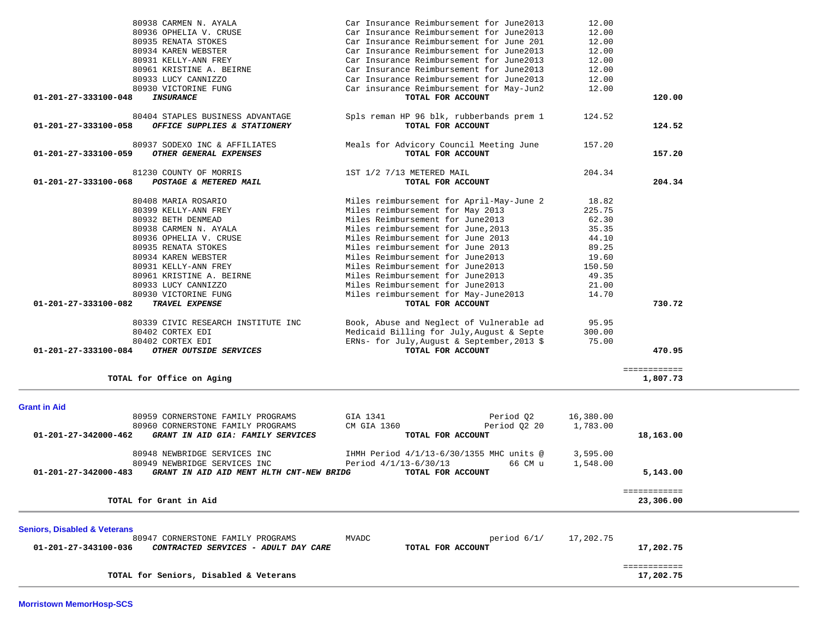| TOTAL FOR ACCOUNT                           |                                                                                                                                                                                                                                                                                                                                                                                                                                                                                                                                                                                                                                                                      |                                                                                                                                                     |
|---------------------------------------------|----------------------------------------------------------------------------------------------------------------------------------------------------------------------------------------------------------------------------------------------------------------------------------------------------------------------------------------------------------------------------------------------------------------------------------------------------------------------------------------------------------------------------------------------------------------------------------------------------------------------------------------------------------------------|-----------------------------------------------------------------------------------------------------------------------------------------------------|
|                                             |                                                                                                                                                                                                                                                                                                                                                                                                                                                                                                                                                                                                                                                                      | 204.34                                                                                                                                              |
|                                             |                                                                                                                                                                                                                                                                                                                                                                                                                                                                                                                                                                                                                                                                      |                                                                                                                                                     |
|                                             |                                                                                                                                                                                                                                                                                                                                                                                                                                                                                                                                                                                                                                                                      |                                                                                                                                                     |
|                                             |                                                                                                                                                                                                                                                                                                                                                                                                                                                                                                                                                                                                                                                                      |                                                                                                                                                     |
|                                             |                                                                                                                                                                                                                                                                                                                                                                                                                                                                                                                                                                                                                                                                      |                                                                                                                                                     |
|                                             |                                                                                                                                                                                                                                                                                                                                                                                                                                                                                                                                                                                                                                                                      |                                                                                                                                                     |
|                                             |                                                                                                                                                                                                                                                                                                                                                                                                                                                                                                                                                                                                                                                                      |                                                                                                                                                     |
|                                             |                                                                                                                                                                                                                                                                                                                                                                                                                                                                                                                                                                                                                                                                      |                                                                                                                                                     |
|                                             |                                                                                                                                                                                                                                                                                                                                                                                                                                                                                                                                                                                                                                                                      |                                                                                                                                                     |
|                                             |                                                                                                                                                                                                                                                                                                                                                                                                                                                                                                                                                                                                                                                                      |                                                                                                                                                     |
|                                             |                                                                                                                                                                                                                                                                                                                                                                                                                                                                                                                                                                                                                                                                      |                                                                                                                                                     |
|                                             |                                                                                                                                                                                                                                                                                                                                                                                                                                                                                                                                                                                                                                                                      |                                                                                                                                                     |
|                                             |                                                                                                                                                                                                                                                                                                                                                                                                                                                                                                                                                                                                                                                                      |                                                                                                                                                     |
|                                             |                                                                                                                                                                                                                                                                                                                                                                                                                                                                                                                                                                                                                                                                      | 730.72                                                                                                                                              |
| Book, Abuse and Neglect of Vulnerable ad    | 95.95                                                                                                                                                                                                                                                                                                                                                                                                                                                                                                                                                                                                                                                                |                                                                                                                                                     |
| Medicaid Billing for July, August & Septe   | 300.00                                                                                                                                                                                                                                                                                                                                                                                                                                                                                                                                                                                                                                                               |                                                                                                                                                     |
| ERNs- for July, August & September, 2013 \$ | 75.00                                                                                                                                                                                                                                                                                                                                                                                                                                                                                                                                                                                                                                                                |                                                                                                                                                     |
| TOTAL FOR ACCOUNT                           |                                                                                                                                                                                                                                                                                                                                                                                                                                                                                                                                                                                                                                                                      | 470.95                                                                                                                                              |
|                                             |                                                                                                                                                                                                                                                                                                                                                                                                                                                                                                                                                                                                                                                                      |                                                                                                                                                     |
|                                             |                                                                                                                                                                                                                                                                                                                                                                                                                                                                                                                                                                                                                                                                      | ============<br>1,807.73                                                                                                                            |
|                                             |                                                                                                                                                                                                                                                                                                                                                                                                                                                                                                                                                                                                                                                                      |                                                                                                                                                     |
|                                             |                                                                                                                                                                                                                                                                                                                                                                                                                                                                                                                                                                                                                                                                      |                                                                                                                                                     |
|                                             |                                                                                                                                                                                                                                                                                                                                                                                                                                                                                                                                                                                                                                                                      |                                                                                                                                                     |
|                                             |                                                                                                                                                                                                                                                                                                                                                                                                                                                                                                                                                                                                                                                                      |                                                                                                                                                     |
|                                             |                                                                                                                                                                                                                                                                                                                                                                                                                                                                                                                                                                                                                                                                      |                                                                                                                                                     |
|                                             |                                                                                                                                                                                                                                                                                                                                                                                                                                                                                                                                                                                                                                                                      | 18,163.00                                                                                                                                           |
| IHMH Period 4/1/13-6/30/1355 MHC units @    | 3,595.00                                                                                                                                                                                                                                                                                                                                                                                                                                                                                                                                                                                                                                                             |                                                                                                                                                     |
| Period 4/1/13-6/30/13<br>66 CM u            |                                                                                                                                                                                                                                                                                                                                                                                                                                                                                                                                                                                                                                                                      |                                                                                                                                                     |
| TOTAL FOR ACCOUNT                           |                                                                                                                                                                                                                                                                                                                                                                                                                                                                                                                                                                                                                                                                      | 5,143.00                                                                                                                                            |
|                                             |                                                                                                                                                                                                                                                                                                                                                                                                                                                                                                                                                                                                                                                                      | ============                                                                                                                                        |
|                                             |                                                                                                                                                                                                                                                                                                                                                                                                                                                                                                                                                                                                                                                                      | 23,306.00                                                                                                                                           |
|                                             |                                                                                                                                                                                                                                                                                                                                                                                                                                                                                                                                                                                                                                                                      |                                                                                                                                                     |
|                                             |                                                                                                                                                                                                                                                                                                                                                                                                                                                                                                                                                                                                                                                                      |                                                                                                                                                     |
|                                             |                                                                                                                                                                                                                                                                                                                                                                                                                                                                                                                                                                                                                                                                      |                                                                                                                                                     |
|                                             |                                                                                                                                                                                                                                                                                                                                                                                                                                                                                                                                                                                                                                                                      | 17,202.75                                                                                                                                           |
|                                             |                                                                                                                                                                                                                                                                                                                                                                                                                                                                                                                                                                                                                                                                      | ============                                                                                                                                        |
|                                             | Miles reimbursement for April-May-June 2<br>Miles reimbursement for May 2013<br>Miles Reimbursement for June2013<br>Miles reimbursement for June, 2013<br>Miles Reimbursement for June 2013<br>Miles reimbursement for June 2013<br>Miles Reimbursement for June2013<br>Miles Reimbursement for June2013<br>Miles Reimbursement for June2013<br>Miles Reimbursement for June2013<br>Miles reimbursement for May-June2013<br>TOTAL FOR ACCOUNT<br>GIA 1341<br>Period 02<br>CM GIA 1360<br>Period 02 20<br>TOTAL FOR ACCOUNT<br>GRANT IN AID AID MENT HLTH CNT-NEW BRIDG<br><b>MVADC</b><br>period $6/1/$<br>CONTRACTED SERVICES - ADULT DAY CARE<br>TOTAL FOR ACCOUNT | 18.82<br>225.75<br>62.30<br>35.35<br>44.10<br>89.25<br>19.60<br>150.50<br>49.35<br>21.00<br>14.70<br>16,380.00<br>1,783.00<br>1,548.00<br>17,202.75 |

80938 CARMEN N. AYALA Car Insurance Reimbursement for June2013 12.00

 80934 KAREN WEBSTER Car Insurance Reimbursement for June2013 12.00 80931 KELLY-ANN FREY Car Insurance Reimbursement for June2013 12.00

 80930 VICTORINE FUNG Car insurance Reimbursement for May-Jun2 12.00  **01-201-27-333100-048** *INSURANCE* **TOTAL FOR ACCOUNT 120.00**

80404 STAPLES BUSINESS ADVANTAGE Spls reman HP 96 blk, rubberbands prem 1 124.52

 80937 SODEXO INC & AFFILIATES Meals for Advicory Council Meeting June 157.20  **01-201-27-333100-059** *OTHER GENERAL EXPENSES* **TOTAL FOR ACCOUNT 157.20**

80936 OPHELIA V. CRUSE Car Insurance Reimbursement for June2013

80935 RENATA STOKES Car Insurance Reimbursement for June 201

 80961 KRISTINE A. BEIRNE Car Insurance Reimbursement for June2013 12.00 80933 LUCY CANNIZZO Car Insurance Reimbursement for June2013 12.00

01-201-27-333100-058 OFFICE SUPPLIES & STATIONERY *TOTAL FOR ACCOUNT* 

 $12.00$ 

 $12.00$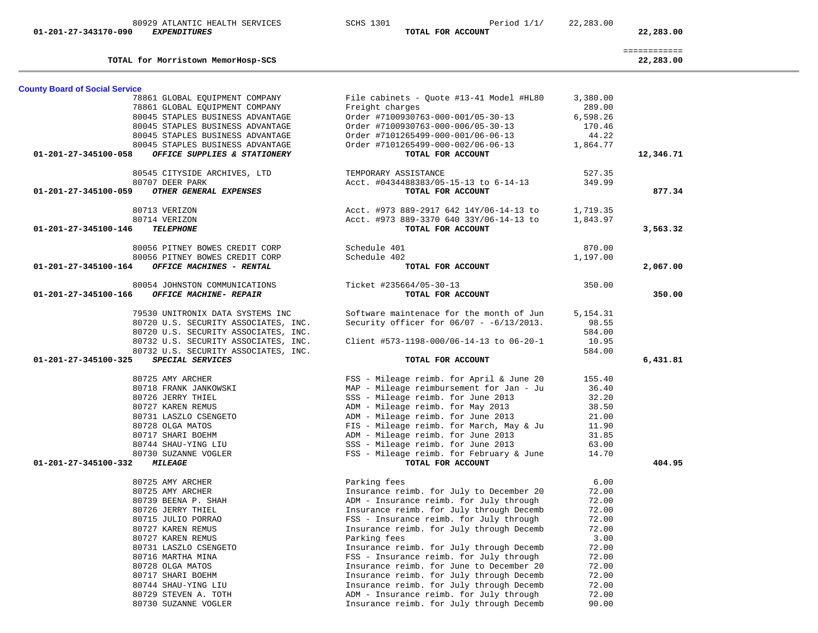| 80929 ATLANTIC HEALTH SERVICES<br>01-201-27-343170-090<br><b>EXPENDITURES</b> |                                                                              | <b>SCHS 1301</b>        | Period $1/1/$<br>TOTAL FOR ACCOUNT                                                  | 22,283.00          | 22,283.00                 |
|-------------------------------------------------------------------------------|------------------------------------------------------------------------------|-------------------------|-------------------------------------------------------------------------------------|--------------------|---------------------------|
|                                                                               | TOTAL for Morristown MemorHosp-SCS                                           |                         |                                                                                     |                    | ============<br>22,283.00 |
| <b>County Board of Social Service</b>                                         |                                                                              |                         |                                                                                     |                    |                           |
|                                                                               | 78861 GLOBAL EQUIPMENT COMPANY                                               |                         | File cabinets - Quote #13-41 Model #HL80                                            | 3,380.00           |                           |
|                                                                               | 78861 GLOBAL EQUIPMENT COMPANY                                               | Freight charges         |                                                                                     | 289.00             |                           |
|                                                                               | 80045 STAPLES BUSINESS ADVANTAGE<br>80045 STAPLES BUSINESS ADVANTAGE         |                         | Order #7100930763-000-001/05-30-13<br>Order #7100930763-000-006/05-30-13            | 6,598.26<br>170.46 |                           |
|                                                                               | 80045 STAPLES BUSINESS ADVANTAGE                                             |                         | Order #7101265499-000-001/06-06-13                                                  | 44.22              |                           |
|                                                                               | 80045 STAPLES BUSINESS ADVANTAGE                                             |                         | Order #7101265499-000-002/06-06-13                                                  | 1,864.77           |                           |
| 01-201-27-345100-058                                                          | OFFICE SUPPLIES & STATIONERY                                                 |                         | TOTAL FOR ACCOUNT                                                                   |                    | 12,346.71                 |
|                                                                               | 80545 CITYSIDE ARCHIVES, LTD                                                 | TEMPORARY ASSISTANCE    |                                                                                     | 527.35             |                           |
|                                                                               | 80707 DEER PARK                                                              |                         | Acct. #0434488383/05-15-13 to 6-14-13                                               | 349.99             |                           |
| 01-201-27-345100-059                                                          | OTHER GENERAL EXPENSES                                                       |                         | TOTAL FOR ACCOUNT                                                                   |                    | 877.34                    |
|                                                                               | 80713 VERIZON                                                                |                         | Acct. #973 889-2917 642 14Y/06-14-13 to                                             | 1,719.35           |                           |
| 01-201-27-345100-146                                                          | 80714 VERIZON<br><b>TELEPHONE</b>                                            |                         | Acct. #973 889-3370 640 33Y/06-14-13 to<br>TOTAL FOR ACCOUNT                        | 1,843.97           | 3,563.32                  |
|                                                                               |                                                                              |                         |                                                                                     |                    |                           |
|                                                                               | 80056 PITNEY BOWES CREDIT CORP                                               | Schedule 401            |                                                                                     | 870.00             |                           |
|                                                                               | 80056 PITNEY BOWES CREDIT CORP                                               | Schedule 402            |                                                                                     | 1,197.00           |                           |
| 01-201-27-345100-164                                                          | OFFICE MACHINES - RENTAL                                                     |                         | TOTAL FOR ACCOUNT                                                                   |                    | 2,067.00                  |
|                                                                               | 80054 JOHNSTON COMMUNICATIONS                                                | Ticket #235664/05-30-13 |                                                                                     | 350.00             |                           |
| 01-201-27-345100-166                                                          | OFFICE MACHINE- REPAIR                                                       |                         | TOTAL FOR ACCOUNT                                                                   |                    | 350.00                    |
|                                                                               | 79530 UNITRONIX DATA SYSTEMS INC                                             |                         | Software maintenace for the month of Jun                                            | 5, 154. 31         |                           |
|                                                                               | 80720 U.S. SECURITY ASSOCIATES, INC.                                         |                         | Security officer for $06/07 - 6/13/2013$ .                                          | 98.55              |                           |
|                                                                               | 80720 U.S. SECURITY ASSOCIATES, INC.<br>80732 U.S. SECURITY ASSOCIATES, INC. |                         | Client #573-1198-000/06-14-13 to 06-20-1                                            | 584.00<br>10.95    |                           |
|                                                                               | 80732 U.S. SECURITY ASSOCIATES, INC.                                         |                         |                                                                                     | 584.00             |                           |
| 01-201-27-345100-325                                                          | <b>SPECIAL SERVICES</b>                                                      |                         | TOTAL FOR ACCOUNT                                                                   |                    | 6,431.81                  |
|                                                                               | 80725 AMY ARCHER                                                             |                         | FSS - Mileage reimb. for April & June 20                                            | 155.40             |                           |
|                                                                               | 80718 FRANK JANKOWSKI                                                        |                         | MAP - Mileage reimbursement for Jan - Ju                                            | 36.40              |                           |
|                                                                               | 80726 JERRY THIEL                                                            |                         | SSS - Mileage reimb. for June 2013                                                  | 32.20              |                           |
|                                                                               | 80727 KAREN REMUS                                                            |                         | ADM - Mileage reimb. for May 2013                                                   | 38.50              |                           |
|                                                                               | 80731 LASZLO CSENGETO                                                        |                         | ADM - Mileage reimb. for June 2013                                                  | 21.00              |                           |
|                                                                               | 80728 OLGA MATOS<br>80717 SHARI BOEHM                                        |                         | FIS - Mileage reimb. for March, May & Ju<br>ADM - Mileage reimb. for June 2013      | 11.90<br>31.85     |                           |
|                                                                               | 80744 SHAU-YING LIU                                                          |                         | SSS - Mileage reimb. for June 2013                                                  | 63.00              |                           |
|                                                                               | 80730 SUZANNE VOGLER                                                         |                         | FSS - Mileage reimb. for February & June                                            | 14.70              |                           |
| 01-201-27-345100-332                                                          | <b>MILEAGE</b>                                                               |                         | TOTAL FOR ACCOUNT                                                                   |                    | 404.95                    |
|                                                                               | 80725 AMY ARCHER                                                             | Parking fees            |                                                                                     | 6.00               |                           |
|                                                                               | 80725 AMY ARCHER                                                             |                         | Insurance reimb. for July to December 20                                            | 72.00              |                           |
|                                                                               | 80739 BEENA P. SHAH                                                          |                         | ADM - Insurance reimb. for July through                                             | 72.00              |                           |
|                                                                               | 80726 JERRY THIEL<br>80715 JULIO PORRAO                                      |                         | Insurance reimb. for July through Decemb<br>FSS - Insurance reimb. for July through | 72.00<br>72.00     |                           |
|                                                                               | 80727 KAREN REMUS                                                            |                         | Insurance reimb. for July through Decemb                                            | 72.00              |                           |
|                                                                               | 80727 KAREN REMUS                                                            | Parking fees            |                                                                                     | 3.00               |                           |
|                                                                               | 80731 LASZLO CSENGETO                                                        |                         | Insurance reimb. for July through Decemb                                            | 72.00              |                           |
|                                                                               | 80716 MARTHA MINA                                                            |                         | FSS - Insurance reimb. for July through                                             | 72.00              |                           |
|                                                                               | 80728 OLGA MATOS                                                             |                         | Insurance reimb. for June to December 20                                            | 72.00              |                           |
|                                                                               | 80717 SHARI BOEHM                                                            |                         | Insurance reimb. for July through Decemb                                            | 72.00              |                           |
|                                                                               | 80744 SHAU-YING LIU                                                          |                         | Insurance reimb. for July through Decemb                                            | 72.00              |                           |
|                                                                               | 80729 STEVEN A. TOTH<br>80730 SUZANNE VOGLER                                 |                         | ADM - Insurance reimb. for July through<br>Insurance reimb. for July through Decemb | 72.00<br>90.00     |                           |
|                                                                               |                                                                              |                         |                                                                                     |                    |                           |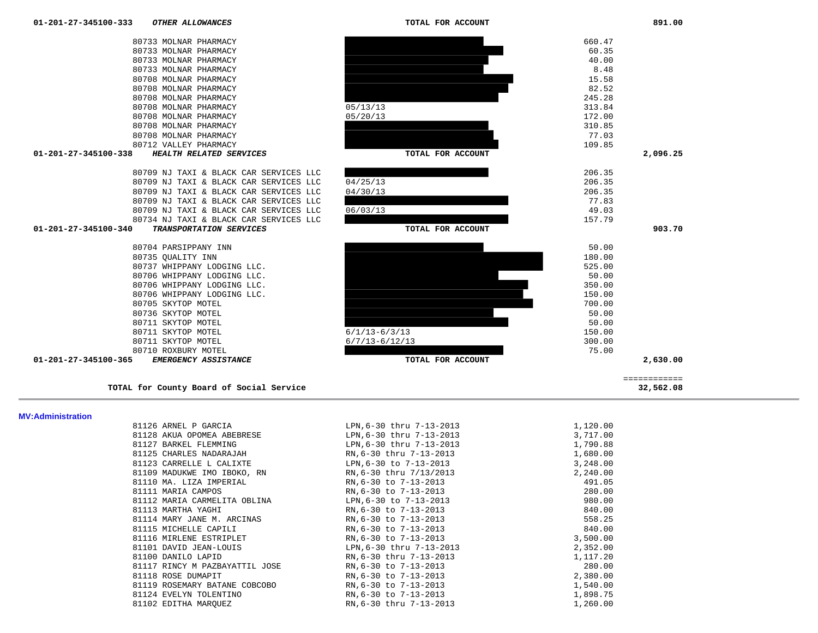| 81126 ARNEL P GARCIA           | LPN, 6-30 thru 7-13-2013 | 1,120.00 |
|--------------------------------|--------------------------|----------|
| 81128 AKUA OPOMEA ABEBRESE     | LPN, 6-30 thru 7-13-2013 | 3,717.00 |
| 81127 BARKEL FLEMMING          | LPN, 6-30 thru 7-13-2013 | 1,790.88 |
| 81125 CHARLES NADARAJAH        | RN, 6-30 thru 7-13-2013  | 1,680.00 |
| 81123 CARRELLE L CALIXTE       | LPN, 6-30 to 7-13-2013   | 3,248.00 |
| 81109 MADUKWE IMO IBOKO, RN    | RN, 6-30 thru 7/13/2013  | 2,240.00 |
| 81110 MA. LIZA IMPERIAL        | RN, 6-30 to 7-13-2013    | 491.05   |
| 81111 MARIA CAMPOS             | RN,6-30 to 7-13-2013     | 280.00   |
| 81112 MARIA CARMELITA OBLINA   | LPN, 6-30 to 7-13-2013   | 980.00   |
| 81113 MARTHA YAGHI             | RN, 6-30 to 7-13-2013    | 840.00   |
| 81114 MARY JANE M. ARCINAS     | RN, 6-30 to 7-13-2013    | 558.25   |
| 81115 MICHELLE CAPILI          | RN, 6-30 to 7-13-2013    | 840.00   |
| 81116 MIRLENE ESTRIPLET        | RN, 6-30 to 7-13-2013    | 3,500.00 |
| 81101 DAVID JEAN-LOUIS         | LPN, 6-30 thru 7-13-2013 | 2,352.00 |
| 81100 DANILO LAPID             | RN, 6-30 thru 7-13-2013  | 1,117.20 |
| 81117 RINCY M PAZBAYATTIL JOSE | RN, 6-30 to 7-13-2013    | 280.00   |
| 81118 ROSE DUMAPIT             | RN, 6-30 to 7-13-2013    | 2,380.00 |
| 81119 ROSEMARY BATANE COBCOBO  | RN, 6-30 to 7-13-2013    | 1,540.00 |
| 81124 EVELYN TOLENTINO         | RN, 6-30 to 7-13-2013    | 1,898.75 |
| 81102 EDITHA MAROUEZ           | RN, 6-30 thru 7-13-2013  | 1,260.00 |

============

### **MV:Administration**

| 65 | EMERGENCY ASSISTANCE        |
|----|-----------------------------|
|    | 80710 ROXBURY MOTEL         |
|    | 80711 SKYTOP MOTEL          |
|    | 80711 SKYTOP MOTEL          |
|    | 80711 SKYTOP MOTEL          |
|    | 80736 SKYTOP MOTEL          |
|    | 80705 SKYTOP MOTEL          |
|    | 80706 WHIPPANY LODGING LLC. |
|    | 80706 WHIPPANY LODGING LLC. |
|    | 80706 WHIPPANY LODGING LLC. |
|    | 80737 WHIPPANY LODGING LLC. |
|    | 80735 OUALITY INN           |

**TOTAL for County Board of Social Service 32,562.08**

## 01-201-27-345100-340 *TRANSPORTATION SERVICES TOTAL FOR ACCOUNT*

| $01 - 201 - 27 - 345100 - 340$<br>TPANCDOPTATION CEPUICEC | TOTAL FOR ACCOUNT  |
|-----------------------------------------------------------|--------------------|
| 80734 NJ TAXI & BLACK CAR SERVICES LLC                    | 157.79             |
| 80709 NJ TAXI & BLACK CAR SERVICES LLC                    | 49.03<br>06/03/13  |
| 80709 NJ TAXI & BLACK CAR SERVICES LLC                    | 77.83              |
| 80709 NJ TAXI & BLACK CAR SERVICES LLC                    | 04/30/13<br>206.35 |
| 80709 NJ TAXI & BLACK CAR SERVICES LLC                    | 206.35<br>04/25/13 |
| 80709 NJ TAXI & BLACK CAR SERVICES LLC                    | 206.35             |

### 80708 MOLNAR PHARMACY 77.03 80712 VALLEY PHARMACY 109.85  **01-201-27-345100-338** *HEALTH RELATED SERVICES* **TOTAL FOR ACCOUNT 2,096.25**

| 80733 MOLNAR PHARMACY |          | 660.47 |
|-----------------------|----------|--------|
| 80733 MOLNAR PHARMACY |          | 60.35  |
| 80733 MOLNAR PHARMACY |          | 40.00  |
| 80733 MOLNAR PHARMACY |          | 8.48   |
| 80708 MOLNAR PHARMACY |          | 15.58  |
| 80708 MOLNAR PHARMACY |          | 82.52  |
| 80708 MOLNAR PHARMACY |          | 245.28 |
| 80708 MOLNAR PHARMACY | 05/13/13 | 313.84 |
| 80708 MOLNAR PHARMACY | 05/20/13 | 172.00 |
| 80708 MOLNAR PHARMACY |          | 310.85 |
| 80708 MOLNAR PHARMACY |          | 77.03  |
| 80712 VALLEY PHARMACY |          | 109.85 |









 80733 MOLNAR PHARMACY 60.35 80733 MOLNAR PHARMACY 40.00

32,562.08

903.70

891.00

109.85

180.00

50.00

350.00

150.00

700.00

150.00

75.00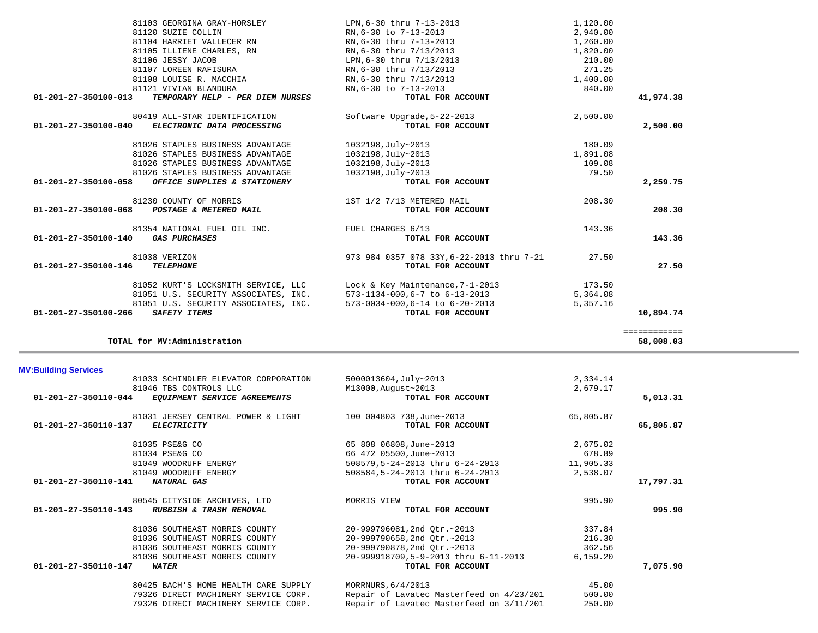| 81033 SCHINDLER ELEVATOR CORPORATION                 | 5000013604, July~2013                    | 2,334.14  |           |
|------------------------------------------------------|------------------------------------------|-----------|-----------|
| 81046 TBS CONTROLS LLC                               | M13000, August~2013                      | 2,679.17  |           |
| 01-201-27-350110-044<br>EQUIPMENT SERVICE AGREEMENTS | TOTAL FOR ACCOUNT                        |           | 5,013.31  |
| 81031 JERSEY CENTRAL POWER & LIGHT                   | 100 004803 738,June~2013                 | 65,805.87 |           |
| 01-201-27-350110-137<br><b>ELECTRICITY</b>           | TOTAL FOR ACCOUNT                        |           | 65,805.87 |
| 81035 PSE&G CO                                       | 65 808 06808, June-2013                  | 2,675.02  |           |
| 81034 PSE&G CO                                       | 66 472 05500, June~2013                  | 678.89    |           |
| 81049 WOODRUFF ENERGY                                | 508579, 5-24-2013 thru 6-24-2013         | 11,905.33 |           |
| 81049 WOODRUFF ENERGY                                | 508584, 5-24-2013 thru 6-24-2013         | 2,538.07  |           |
| 01-201-27-350110-141<br>NATURAL GAS                  | TOTAL FOR ACCOUNT                        |           | 17,797.31 |
| 80545 CITYSIDE ARCHIVES, LTD                         | MORRIS VIEW                              | 995.90    |           |
| 01-201-27-350110-143<br>RUBBISH & TRASH REMOVAL      | TOTAL FOR ACCOUNT                        |           | 995.90    |
| 81036 SOUTHEAST MORRIS COUNTY                        | 20-999796081,2nd Otr.~2013               | 337.84    |           |
| 81036 SOUTHEAST MORRIS COUNTY                        | 20-999790658,2nd Otr.~2013               | 216.30    |           |
| 81036 SOUTHEAST MORRIS COUNTY                        | 20-999790878,2nd Otr.~2013               | 362.56    |           |
| 81036 SOUTHEAST MORRIS COUNTY                        | 20-999918709,5-9-2013 thru 6-11-2013     | 6, 159.20 |           |
| 01-201-27-350110-147<br><i><b>WATER</b></i>          | TOTAL FOR ACCOUNT                        |           | 7,075.90  |
| 80425 BACH'S HOME HEALTH CARE SUPPLY                 | MORRNURS, 6/4/2013                       | 45.00     |           |
| 79326 DIRECT MACHINERY SERVICE CORP.                 | Repair of Lavatec Masterfeed on 4/23/201 | 500.00    |           |
| 79326 DIRECT MACHINERY SERVICE CORP.                 | Repair of Lavatec Masterfeed on 3/11/201 | 250.00    |           |

| 140<br><i>GAS PURCHASES</i>              | TOTAL FOR ACCOUNT                                              |
|------------------------------------------|----------------------------------------------------------------|
| 81038 VERIZON<br>146<br><b>TELEPHONE</b> | 973 984 0357 078 33Y, 6-22-2013 thru 7-21<br>TOTAL FOR ACCOUNT |
| 81052 KURT'S LOCKSMITH SERVICE, LLC      | Lock & Key Maintenance, 7-1-2013                               |

 81051 U.S. SECURITY ASSOCIATES, INC. 573-1134-000,6-7 to 6-13-2013 5,364.08 81051 U.S. SECURITY ASSOCIATES, INC. 573-0034-000,6-14 to 6-20-2013 5,357.16

**MV:Building Services** 

| 81103 GEORGINA GRAY-HORSLEY                              | LPN, 6-30 thru 7-13-2013                 | 1,120.00 |           |
|----------------------------------------------------------|------------------------------------------|----------|-----------|
| 81120 SUZIE COLLIN                                       | RN.6-30 to 7-13-2013                     | 2,940.00 |           |
| 81104 HARRIET VALLECER RN                                | RN,6-30 thru 7-13-2013                   | 1,260.00 |           |
| 81105 ILLIENE CHARLES, RN                                | RN, 6-30 thru 7/13/2013                  | 1,820.00 |           |
| 81106 JESSY JACOB                                        | LPN,6-30 thru 7/13/2013                  | 210.00   |           |
| 81107 LOREEN RAFISURA                                    | RN, 6-30 thru 7/13/2013                  | 271.25   |           |
| 81108 LOUISE R. MACCHIA                                  | RN, 6-30 thru 7/13/2013                  | 1,400.00 |           |
| 81121 VIVIAN BLANDURA                                    | RN, 6-30 to 7-13-2013                    | 840.00   |           |
| 01-201-27-350100-013<br>TEMPORARY HELP - PER DIEM NURSES | TOTAL FOR ACCOUNT                        |          | 41,974.38 |
| 80419 ALL-STAR IDENTIFICATION                            | Software Upgrade, 5-22-2013              | 2,500.00 |           |
| 01-201-27-350100-040 ELECTRONIC DATA PROCESSING          | TOTAL FOR ACCOUNT                        |          | 2,500.00  |
| 81026 STAPLES BUSINESS ADVANTAGE                         | 1032198, July~2013                       | 180.09   |           |
| 81026 STAPLES BUSINESS ADVANTAGE                         | 1032198, July~2013                       | 1,891.08 |           |
| 81026 STAPLES BUSINESS ADVANTAGE                         | 1032198, July~2013                       | 109.08   |           |
| 81026 STAPLES BUSINESS ADVANTAGE                         | 1032198, July~2013                       | 79.50    |           |
| 01-201-27-350100-058 OFFICE SUPPLIES & STATIONERY        | TOTAL FOR ACCOUNT                        |          | 2,259.75  |
| 81230 COUNTY OF MORRIS                                   | 1ST 1/2 7/13 METERED MAIL                | 208.30   |           |
| 01-201-27-350100-068<br>POSTAGE & METERED MAIL           | TOTAL FOR ACCOUNT                        |          | 208.30    |
| 81354 NATIONAL FUEL OIL INC.                             | FUEL CHARGES 6/13                        | 143.36   |           |
| 01-201-27-350100-140 GAS PURCHASES                       | TOTAL FOR ACCOUNT                        |          | 143.36    |
| 81038 VERIZON                                            | 973 984 0357 078 33Y,6-22-2013 thru 7-21 | 27.50    |           |
| 01-201-27-350100-146<br><b>TELEPHONE</b>                 | TOTAL FOR ACCOUNT                        |          | 27.50     |
| 81052 KURT'S LOCKSMITH SERVICE, LLC                      | Lock & Key Maintenance, 7-1-2013         | 173.50   |           |

 **01-201-27-350100-266** *SAFETY ITEMS* **TOTAL FOR ACCOUNT 10,894.74**

**TOTAL for MV:Administration 58,008.03**

============

============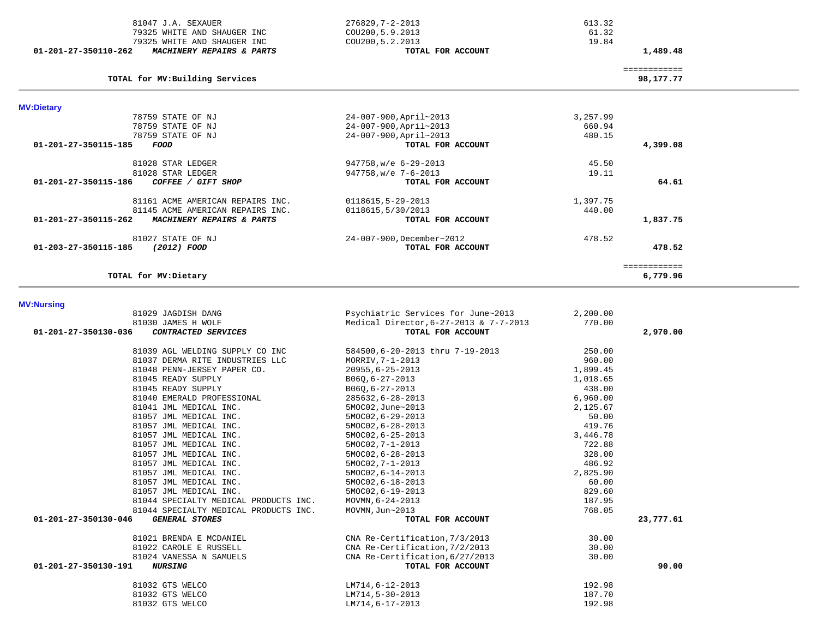|                      | 79325 WHITE AND SHAUGER INC                      | COU200, 5.2.2013                       | 19.84              |              |  |
|----------------------|--------------------------------------------------|----------------------------------------|--------------------|--------------|--|
| 01-201-27-350110-262 | MACHINERY REPAIRS & PARTS                        | TOTAL FOR ACCOUNT                      |                    | 1,489.48     |  |
|                      |                                                  |                                        |                    | ============ |  |
|                      | TOTAL for MV: Building Services                  |                                        |                    | 98,177.77    |  |
| <b>MV:Dietary</b>    |                                                  |                                        |                    |              |  |
|                      | 78759 STATE OF NJ                                | 24-007-900, April~2013                 | 3,257.99           |              |  |
|                      | 78759 STATE OF NJ                                | 24-007-900, April~2013                 | 660.94             |              |  |
|                      | 78759 STATE OF NJ                                | 24-007-900, April~2013                 | 480.15             |              |  |
| 01-201-27-350115-185 | FOOD                                             | TOTAL FOR ACCOUNT                      |                    | 4,399.08     |  |
|                      | 81028 STAR LEDGER                                | 947758, w/e 6-29-2013                  | 45.50              |              |  |
|                      | 81028 STAR LEDGER                                | $947758$ , w/e 7-6-2013                | 19.11              |              |  |
| 01-201-27-350115-186 | COFFEE / GIFT SHOP                               | TOTAL FOR ACCOUNT                      |                    | 64.61        |  |
|                      | 81161 ACME AMERICAN REPAIRS INC.                 | 0118615,5-29-2013                      | 1,397.75           |              |  |
|                      | 81145 ACME AMERICAN REPAIRS INC.                 | 0118615,5/30/2013                      | 440.00             |              |  |
| 01-201-27-350115-262 | MACHINERY REPAIRS & PARTS                        | TOTAL FOR ACCOUNT                      |                    | 1,837.75     |  |
|                      | 81027 STATE OF NJ                                | 24-007-900, December~2012              | 478.52             |              |  |
| 01-203-27-350115-185 | <i>(2012) FOOD</i>                               | TOTAL FOR ACCOUNT                      |                    | 478.52       |  |
|                      |                                                  |                                        |                    | ============ |  |
|                      | TOTAL for MV: Dietary                            |                                        |                    | 6,779.96     |  |
| <b>MV:Nursing</b>    |                                                  |                                        |                    |              |  |
|                      | 81029 JAGDISH DANG                               | Psychiatric Services for June~2013     | 2,200.00           |              |  |
|                      | 81030 JAMES H WOLF                               | Medical Director, 6-27-2013 & 7-7-2013 | 770.00             |              |  |
| 01-201-27-350130-036 | CONTRACTED SERVICES                              | TOTAL FOR ACCOUNT                      |                    | 2,970.00     |  |
|                      | 81039 AGL WELDING SUPPLY CO INC                  | 584500,6-20-2013 thru 7-19-2013        | 250.00             |              |  |
|                      | 81037 DERMA RITE INDUSTRIES LLC                  | MORRIV, 7-1-2013                       | 960.00             |              |  |
|                      | 81048 PENN-JERSEY PAPER CO.                      | $20955, 6 - 25 - 2013$                 | 1,899.45           |              |  |
|                      | 81045 READY SUPPLY                               | $B06Q, 6-27-2013$                      | 1,018.65           |              |  |
|                      | 81045 READY SUPPLY                               | $B06Q, 6-27-2013$                      | 438.00             |              |  |
|                      | 81040 EMERALD PROFESSIONAL                       | 285632,6-28-2013                       | 6,960.00           |              |  |
|                      | 81041 JML MEDICAL INC.                           | 5MOC02, June~2013                      | 2,125.67           |              |  |
|                      | 81057 JML MEDICAL INC.                           | 5MOC02,6-29-2013                       | 50.00              |              |  |
|                      | 81057 JML MEDICAL INC.                           | 5MOC02,6-28-2013                       | 419.76             |              |  |
|                      | 81057 JML MEDICAL INC.<br>81057 JML MEDICAL INC. | $5MOCO2, 6-25-2013$                    | 3,446.78<br>722.88 |              |  |
|                      | 81057 JML MEDICAL INC.                           | $5MOCO2, 7-1-2013$                     | 328.00             |              |  |
|                      | 81057 JML MEDICAL INC.                           | 5MOC02,6-28-2013<br>5MOC02, 7-1-2013   | 486.92             |              |  |
|                      | 81057 JML MEDICAL INC.                           | 5MOC02, 6-14-2013                      | 2,825.90           |              |  |
|                      | 81057 JML MEDICAL INC.                           | $5MOCO2, 6-18-2013$                    | 60.00              |              |  |
|                      | 81057 JML MEDICAL INC.                           | 5MOC02,6-19-2013                       | 829.60             |              |  |
|                      | 81044 SPECIALTY MEDICAL PRODUCTS INC             | MOVMN, 6-24-2013                       | 187.95             |              |  |
|                      | 81044 SPECIALTY MEDICAL PRODUCTS INC.            | MOVMN, Jun~2013                        | 768.05             |              |  |
| 01-201-27-350130-046 | <b>GENERAL STORES</b>                            | TOTAL FOR ACCOUNT                      |                    | 23,777.61    |  |
|                      | 81021 BRENDA E MCDANIEL                          | CNA Re-Certification, 7/3/2013         | 30.00              |              |  |
|                      | 81022 CAROLE E RUSSELL                           | CNA Re-Certification, 7/2/2013         | 30.00              |              |  |
|                      | 81024 VANESSA N SAMUELS                          | CNA Re-Certification, 6/27/2013        | 30.00              |              |  |
| 01-201-27-350130-191 | <i><b>NURSING</b></i>                            | TOTAL FOR ACCOUNT                      |                    | 90.00        |  |
|                      | 81032 GTS WELCO                                  | $LM714, 6-12-2013$                     | 192.98             |              |  |
|                      | 81032 GTS WELCO                                  | $LM714, 5-30-2013$                     | 187.70             |              |  |
|                      | 81032 GTS WELCO                                  | LM714,6-17-2013                        | 192.98             |              |  |
|                      |                                                  |                                        |                    |              |  |

 81047 J.A. SEXAUER 276829,7-2-2013 613.32 79325 WHITE AND SHAUGER INC COU200,5.9.2013 61.32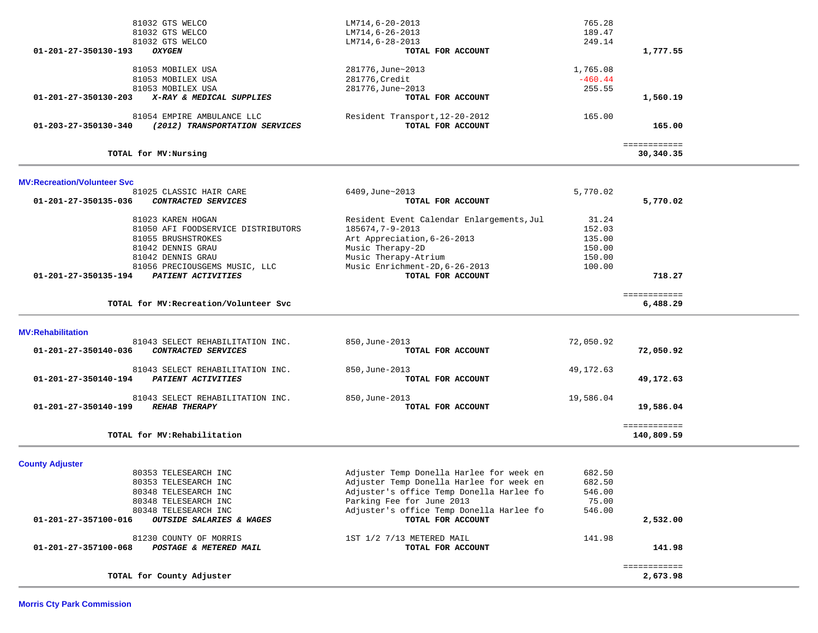|                                                                                      | LM714,6-28-2013                                     | 249.14     |                            |  |
|--------------------------------------------------------------------------------------|-----------------------------------------------------|------------|----------------------------|--|
| 01-201-27-350130-193<br><b>OXYGEN</b>                                                | TOTAL FOR ACCOUNT                                   |            | 1,777.55                   |  |
| 81053 MOBILEX USA                                                                    | 281776, June~2013                                   | 1,765.08   |                            |  |
| 81053 MOBILEX USA                                                                    | 281776, Credit                                      | $-460.44$  |                            |  |
| 81053 MOBILEX USA                                                                    | 281776, June~2013                                   | 255.55     |                            |  |
| X-RAY & MEDICAL SUPPLIES<br>01-201-27-350130-203                                     | TOTAL FOR ACCOUNT                                   |            | 1,560.19                   |  |
|                                                                                      |                                                     |            |                            |  |
| 81054 EMPIRE AMBULANCE LLC<br>(2012) TRANSPORTATION SERVICES<br>01-203-27-350130-340 | Resident Transport, 12-20-2012<br>TOTAL FOR ACCOUNT | 165.00     | 165.00                     |  |
|                                                                                      |                                                     |            |                            |  |
| TOTAL for MV:Nursing                                                                 |                                                     |            | ============<br>30,340.35  |  |
|                                                                                      |                                                     |            |                            |  |
| <b>MV:Recreation/Volunteer Svc</b><br>81025 CLASSIC HAIR CARE                        | 6409, June~2013                                     | 5,770.02   |                            |  |
| 01-201-27-350135-036<br>CONTRACTED SERVICES                                          | TOTAL FOR ACCOUNT                                   |            | 5,770.02                   |  |
|                                                                                      |                                                     |            |                            |  |
| 81023 KAREN HOGAN                                                                    | Resident Event Calendar Enlargements, Jul           | 31.24      |                            |  |
| 81050 AFI FOODSERVICE DISTRIBUTORS                                                   | 185674,7-9-2013                                     | 152.03     |                            |  |
| 81055 BRUSHSTROKES                                                                   | Art Appreciation, 6-26-2013                         | 135.00     |                            |  |
| 81042 DENNIS GRAU                                                                    | Music Therapy-2D                                    | 150.00     |                            |  |
| 81042 DENNIS GRAU                                                                    | Music Therapy-Atrium                                | 150.00     |                            |  |
| 81056 PRECIOUSGEMS MUSIC, LLC                                                        | Music Enrichment-2D, 6-26-2013                      | 100.00     |                            |  |
| 01-201-27-350135-194<br>PATIENT ACTIVITIES                                           | TOTAL FOR ACCOUNT                                   |            | 718.27                     |  |
|                                                                                      |                                                     |            | ============               |  |
| TOTAL for MV: Recreation/Volunteer Svc                                               |                                                     |            | 6,488.29                   |  |
|                                                                                      |                                                     |            |                            |  |
| <b>MV:Rehabilitation</b><br>81043 SELECT REHABILITATION INC.                         | 850, June-2013                                      | 72,050.92  |                            |  |
| 01-201-27-350140-036<br>CONTRACTED SERVICES                                          | TOTAL FOR ACCOUNT                                   |            | 72,050.92                  |  |
|                                                                                      |                                                     |            |                            |  |
| 81043 SELECT REHABILITATION INC.                                                     | 850, June-2013                                      | 49, 172.63 |                            |  |
| PATIENT ACTIVITIES<br>01-201-27-350140-194                                           | TOTAL FOR ACCOUNT                                   |            | 49,172.63                  |  |
| 81043 SELECT REHABILITATION INC.                                                     | 850, June-2013                                      | 19,586.04  |                            |  |
| 01-201-27-350140-199<br><b>REHAB THERAPY</b>                                         | TOTAL FOR ACCOUNT                                   |            | 19,586.04                  |  |
|                                                                                      |                                                     |            |                            |  |
|                                                                                      |                                                     |            |                            |  |
| TOTAL for MV: Rehabilitation                                                         |                                                     |            | ============<br>140,809.59 |  |
|                                                                                      |                                                     |            |                            |  |
|                                                                                      |                                                     |            |                            |  |
| 80353 TELESEARCH INC                                                                 | Adjuster Temp Donella Harlee for week en            | 682.50     |                            |  |
| 80353 TELESEARCH INC                                                                 | Adjuster Temp Donella Harlee for week en            | 682.50     |                            |  |
| 80348 TELESEARCH INC                                                                 | Adjuster's office Temp Donella Harlee fo            | 546.00     |                            |  |
| 80348 TELESEARCH INC                                                                 | Parking Fee for June 2013                           | 75.00      |                            |  |
| 80348 TELESEARCH INC                                                                 | Adjuster's office Temp Donella Harlee fo            | 546.00     |                            |  |
| 01-201-27-357100-016<br>OUTSIDE SALARIES & WAGES                                     | TOTAL FOR ACCOUNT                                   |            | 2,532.00                   |  |
| 81230 COUNTY OF MORRIS                                                               |                                                     |            |                            |  |
| 01-201-27-357100-068<br>POSTAGE & METERED MAIL                                       | 1ST 1/2 7/13 METERED MAIL<br>TOTAL FOR ACCOUNT      | 141.98     | 141.98                     |  |
| <b>County Adjuster</b>                                                               |                                                     |            | ============               |  |

81032 GTS WELCO **LM714,6-20-2013** 765.28 81032 GTS WELCO LM714, 6-26-2013 189.47<br>81032 GTS WELCO LM714, 6-28-2013 189.47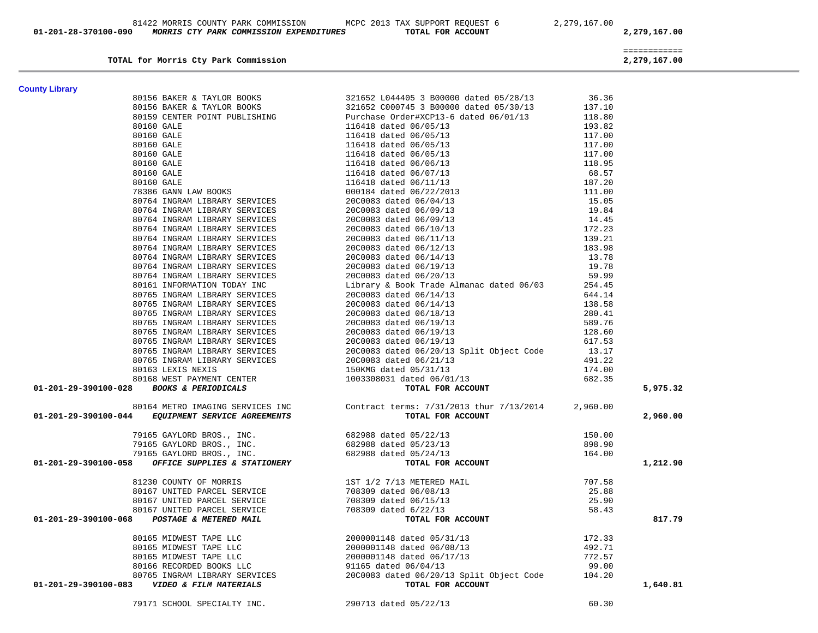| 79171 SCHOOL SPECIALTY INC. | 290713 dated 05/22/13 | 60.30 |
|-----------------------------|-----------------------|-------|
|                             |                       |       |

| <b>County Library</b><br>ounty Library<br>2013 201400 1202174 20222<br>2013 201400 120222 201400 201204 20162 201400 201204 20140 201211<br>2013 20222 20222 20222 20222 20222 20222 20222 20222 20222 20222 20222 20222 20222 20222 20222 20222 20222 20222                                                                                                                               |  |          |
|--------------------------------------------------------------------------------------------------------------------------------------------------------------------------------------------------------------------------------------------------------------------------------------------------------------------------------------------------------------------------------------------|--|----------|
|                                                                                                                                                                                                                                                                                                                                                                                            |  |          |
|                                                                                                                                                                                                                                                                                                                                                                                            |  |          |
|                                                                                                                                                                                                                                                                                                                                                                                            |  |          |
|                                                                                                                                                                                                                                                                                                                                                                                            |  |          |
|                                                                                                                                                                                                                                                                                                                                                                                            |  |          |
|                                                                                                                                                                                                                                                                                                                                                                                            |  |          |
|                                                                                                                                                                                                                                                                                                                                                                                            |  |          |
|                                                                                                                                                                                                                                                                                                                                                                                            |  |          |
|                                                                                                                                                                                                                                                                                                                                                                                            |  |          |
|                                                                                                                                                                                                                                                                                                                                                                                            |  |          |
|                                                                                                                                                                                                                                                                                                                                                                                            |  |          |
|                                                                                                                                                                                                                                                                                                                                                                                            |  |          |
|                                                                                                                                                                                                                                                                                                                                                                                            |  |          |
|                                                                                                                                                                                                                                                                                                                                                                                            |  |          |
|                                                                                                                                                                                                                                                                                                                                                                                            |  |          |
|                                                                                                                                                                                                                                                                                                                                                                                            |  |          |
|                                                                                                                                                                                                                                                                                                                                                                                            |  |          |
|                                                                                                                                                                                                                                                                                                                                                                                            |  |          |
|                                                                                                                                                                                                                                                                                                                                                                                            |  |          |
|                                                                                                                                                                                                                                                                                                                                                                                            |  |          |
|                                                                                                                                                                                                                                                                                                                                                                                            |  |          |
|                                                                                                                                                                                                                                                                                                                                                                                            |  |          |
|                                                                                                                                                                                                                                                                                                                                                                                            |  |          |
|                                                                                                                                                                                                                                                                                                                                                                                            |  |          |
|                                                                                                                                                                                                                                                                                                                                                                                            |  |          |
|                                                                                                                                                                                                                                                                                                                                                                                            |  |          |
|                                                                                                                                                                                                                                                                                                                                                                                            |  |          |
|                                                                                                                                                                                                                                                                                                                                                                                            |  |          |
|                                                                                                                                                                                                                                                                                                                                                                                            |  |          |
|                                                                                                                                                                                                                                                                                                                                                                                            |  |          |
|                                                                                                                                                                                                                                                                                                                                                                                            |  | 5,975.32 |
|                                                                                                                                                                                                                                                                                                                                                                                            |  |          |
|                                                                                                                                                                                                                                                                                                                                                                                            |  | 2,960.00 |
|                                                                                                                                                                                                                                                                                                                                                                                            |  |          |
|                                                                                                                                                                                                                                                                                                                                                                                            |  |          |
|                                                                                                                                                                                                                                                                                                                                                                                            |  | 1,212.90 |
|                                                                                                                                                                                                                                                                                                                                                                                            |  |          |
|                                                                                                                                                                                                                                                                                                                                                                                            |  |          |
|                                                                                                                                                                                                                                                                                                                                                                                            |  |          |
|                                                                                                                                                                                                                                                                                                                                                                                            |  |          |
| $\begin{array}{cccc} & 81230 & \text{COUNTY OF MORRIS} & 1ST 1/2 7/13 METERED MAL & 707.58 \\ & 80167 \text{ UNITED PARCH SERVICE} & 708309 \text{ dated } 06/08/13 & 25.88 \\ & 80167 \text{ UNITED PARCH SERVICE} & 708309 \text{ dated } 06/15/13 & 25.90 \\ & 80167 \text{ UNITED PARCH SERVICE} & 708309 \text{ dated } 6/15/13 & 25.90 \\ & 80167 \text{ UNITED PARCH SERVICE} & 70$ |  | 817.79   |
|                                                                                                                                                                                                                                                                                                                                                                                            |  |          |
|                                                                                                                                                                                                                                                                                                                                                                                            |  |          |
|                                                                                                                                                                                                                                                                                                                                                                                            |  |          |
|                                                                                                                                                                                                                                                                                                                                                                                            |  |          |
| 80165 MIDWEST TAPE LLC<br>80165 MIDWEST TAPE LLC<br>80165 MIDWEST TAPE LLC<br>80165 MIDWEST TAPE LLC<br>80166 RECORDED BOOKS LLC<br>80765 INGRAM LIBRARY SERVICES<br>80765 INGRAM LIBRARY SERVICES<br>80765 INGRAM LIBRARY SERVICES<br>80765                                                                                                                                               |  | 1,640.81 |

**TOTAL for Morris Cty Park Commission 2,279,167.00**

 ============ 2,279,167.00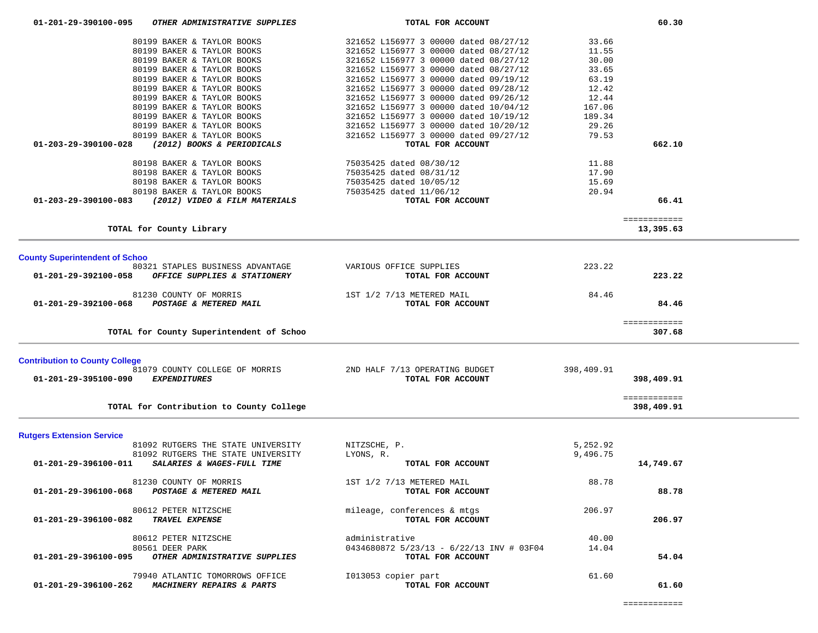| 80198 BAKER & TAYLOR BOOKS<br>80198 BAKER & TAYLOR BOOKS<br>80198 BAKER & TAYLOR BOOKS<br>80198 BAKER & TAYLOR BOOKS<br>(2012) VIDEO & FILM MATERIALS<br>01-203-29-390100-083 | 75035425 dated 08/30/12<br>75035425 dated 08/31/12<br>75035425 dated 10/05/12<br>75035425 dated 11/06/12<br>TOTAL FOR ACCOUNT | 11.88<br>17.90<br>15.69<br>20.94 | 66.41                      |  |
|-------------------------------------------------------------------------------------------------------------------------------------------------------------------------------|-------------------------------------------------------------------------------------------------------------------------------|----------------------------------|----------------------------|--|
| TOTAL for County Library                                                                                                                                                      |                                                                                                                               |                                  | ============<br>13,395.63  |  |
| <b>County Superintendent of Schoo</b><br>80321 STAPLES BUSINESS ADVANTAGE<br>OFFICE SUPPLIES & STATIONERY<br>01-201-29-392100-058                                             | VARIOUS OFFICE SUPPLIES<br>TOTAL FOR ACCOUNT                                                                                  | 223.22                           | 223.22                     |  |
| 81230 COUNTY OF MORRIS<br>01-201-29-392100-068<br>POSTAGE & METERED MAIL                                                                                                      | 1ST 1/2 7/13 METERED MAIL<br>TOTAL FOR ACCOUNT                                                                                | 84.46                            | 84.46                      |  |
| TOTAL for County Superintendent of Schoo                                                                                                                                      |                                                                                                                               |                                  | ============<br>307.68     |  |
| <b>Contribution to County College</b><br>81079 COUNTY COLLEGE OF MORRIS<br>01-201-29-395100-090<br>EXPENDITURES                                                               | 2ND HALF 7/13 OPERATING BUDGET<br>TOTAL FOR ACCOUNT                                                                           | 398,409.91                       | 398,409.91                 |  |
| TOTAL for Contribution to County College                                                                                                                                      |                                                                                                                               |                                  | ============<br>398,409.91 |  |
| <b>Rutgers Extension Service</b><br>81092 RUTGERS THE STATE UNIVERSITY<br>81092 RUTGERS THE STATE UNIVERSITY<br>01-201-29-396100-011<br>SALARIES & WAGES-FULL TIME            | NITZSCHE, P.<br>LYONS, R.<br>TOTAL FOR ACCOUNT                                                                                | 5,252.92<br>9,496.75             | 14,749.67                  |  |
| 81230 COUNTY OF MORRIS<br>POSTAGE & METERED MAIL<br>01-201-29-396100-068                                                                                                      | 1ST 1/2 7/13 METERED MAIL<br>TOTAL FOR ACCOUNT                                                                                | 88.78                            | 88.78                      |  |
| 80612 PETER NITZSCHE<br>TRAVEL EXPENSE<br>01-201-29-396100-082                                                                                                                | mileage, conferences & mtgs<br>TOTAL FOR ACCOUNT                                                                              | 206.97                           | 206.97                     |  |
| 80612 PETER NITZSCHE<br>80561 DEER PARK<br>01-201-29-396100-095<br>OTHER ADMINISTRATIVE SUPPLIES                                                                              | administrative<br>0434680872 5/23/13 - 6/22/13 INV # 03F04<br>TOTAL FOR ACCOUNT                                               | 40.00<br>14.04                   | 54.04                      |  |
| 79940 ATLANTIC TOMORROWS OFFICE<br>01-201-29-396100-262<br>MACHINERY REPAIRS & PARTS                                                                                          | I013053 copier part<br>TOTAL FOR ACCOUNT                                                                                      | 61.60                            | 61.60                      |  |

 80199 BAKER & TAYLOR BOOKS 321652 L156977 3 00000 dated 08/27/12 33.66 80199 BAKER & TAYLOR BOOKS 321652 L156977 3 00000 dated 08/27/12 11.55 80199 BAKER & TAYLOR BOOKS 321652 L156977 3 00000 dated 08/27/12 30.00

 80199 BAKER & TAYLOR BOOKS 321652 L156977 3 00000 dated 09/26/12 12.44 80199 BAKER & TAYLOR BOOKS 321652 L156977 3 00000 dated 10/04/12 167.06 80199 BAKER & TAYLOR BOOKS<br>
80199 BAKER & TAYLOR BOOKS<br>
80199 BAKER & TAYLOR BOOKS<br>
80199 BAKER & TAYLOR BOOKS<br>
80199 BAKER & TAYLOR BOOKS<br>
321652 L156977 3 00000 dated 10/20/12<br>
321652 L156977 3 00000 dated 10/20/12<br>
29.2

 **01-203-29-390100-028** *(2012) BOOKS & PERIODICALS* **TOTAL FOR ACCOUNT 662.10**

 80199 BAKER & TAYLOR BOOKS 321652 L156977 3 00000 dated 08/27/12 33.65 80199 BAKER & TAYLOR BOOKS 321652 L156977 3 00000 dated 09/19/12 63.19 80199 BAKER & TAYLOR BOOKS 321652 L156977 3 00000 dated 09/28/12 12.42

 80199 BAKER & TAYLOR BOOKS 321652 L156977 3 00000 dated 10/20/12 29.26 80199 BAKER & TAYLOR BOOKS 321652 L156977 3 00000 dated 09/27/12 79.53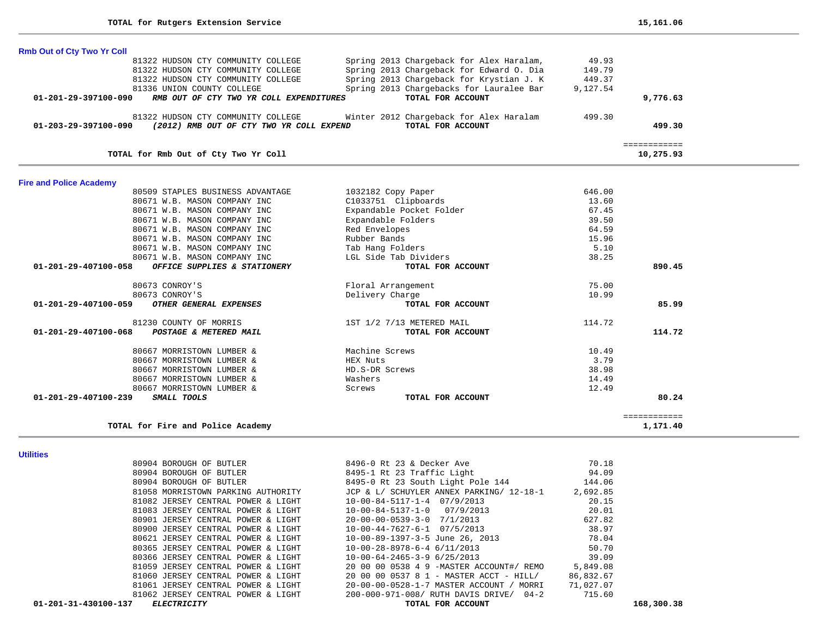| <b>Rmb Out of Cty Two Yr Coll</b>                                          |                                          |              |               |
|----------------------------------------------------------------------------|------------------------------------------|--------------|---------------|
| 81322 HUDSON CTY COMMUNITY COLLEGE                                         | Spring 2013 Chargeback for Alex Haralam, | 49.93        |               |
| 81322 HUDSON CTY COMMUNITY COLLEGE                                         | Spring 2013 Chargeback for Edward O. Dia | 149.79       |               |
| 81322 HUDSON CTY COMMUNITY COLLEGE                                         | Spring 2013 Chargeback for Krystian J. K | 449.37       |               |
| 81336 UNION COUNTY COLLEGE                                                 | Spring 2013 Chargebacks for Lauralee Bar | 9,127.54     |               |
| 01-201-29-397100-090<br>RMB OUT OF CTY TWO YR COLL EXPENDITURES            | TOTAL FOR ACCOUNT                        |              | 9,776.63      |
| 81322 HUDSON CTY COMMUNITY COLLEGE                                         | Winter 2012 Chargeback for Alex Haralam  | 499.30       |               |
| $01 - 203 - 29 - 397100 - 090$<br>(2012) RMB OUT OF CTY TWO YR COLL EXPEND | TOTAL FOR ACCOUNT                        |              | 499.30        |
|                                                                            |                                          | ------------ |               |
| TOTAL for Rmb Out of Cty Two Yr Coll                                       |                                          |              | 10,275.93     |
| <b>Fire and Police Academy</b>                                             |                                          |              |               |
| 80509 STAPLES BUSINESS ADVANTAGE                                           | 1032182 Copy Paper                       | 646.00       |               |
| 80671 W.B. MASON COMPANY INC                                               | C1033751 Clipboards                      | 13.60        |               |
| 80671 W.B. MASON COMPANY INC                                               | Expandable Pocket Folder                 | 67.45        |               |
| 80671 W.B. MASON COMPANY INC                                               | Expandable Folders                       | 39.50        |               |
| 80671 W.B. MASON COMPANY INC                                               | Red Envelopes                            | 64.59        |               |
| 80671 W.B. MASON COMPANY INC                                               | Rubber Bands                             | 15.96        |               |
| 80671 W.B. MASON COMPANY INC                                               | Tab Hang Folders                         | 5.10         |               |
| 80671 W.B. MASON COMPANY INC                                               | LGL Side Tab Dividers                    | 38.25        |               |
| $01 - 201 - 29 - 407100 - 058$<br>OFFICE SUPPLIFS & STATIONERY             | <b>TOTAL FOR ACCOUNT</b>                 |              | <b>890 45</b> |

| 80671 W.B. MASON COMPANY INC                             | LGL Sıde Tab Dıvıders     | 38.25  |        |
|----------------------------------------------------------|---------------------------|--------|--------|
| 01-201-29-407100-058<br>OFFICE SUPPLIES & STATIONERY     | TOTAL FOR ACCOUNT         |        | 890.45 |
| 80673 CONROY'S                                           | Floral Arrangement        | 75.00  |        |
| 80673 CONROY'S                                           | Delivery Charge           | 10.99  |        |
| 01-201-29-407100-059<br>OTHER GENERAL EXPENSES           | TOTAL FOR ACCOUNT         |        | 85.99  |
| 81230 COUNTY OF MORRIS                                   | 1ST 1/2 7/13 METERED MAIL | 114.72 |        |
| $01 - 201 - 29 - 407100 - 068$<br>POSTAGE & METERED MAIL | TOTAL FOR ACCOUNT         |        | 114.72 |
| 80667 MORRISTOWN LUMBER &                                | Machine Screws            | 10.49  |        |
| 80667 MORRISTOWN LUMBER &                                | HEX Nuts                  | 3.79   |        |
| 80667 MORRISTOWN LUMBER &                                | HD.S-DR Screws            | 38.98  |        |
| 80667 MORRISTOWN LUMBER &                                | Washers                   | 14.49  |        |
| 80667 MORRISTOWN LUMBER &                                | Screws                    | 12.49  |        |
| 01-201-29-407100-239<br>SMALL TOOLS                      | TOTAL FOR ACCOUNT         |        | 80.24  |
|                                                          |                           |        |        |

| OUGU MURRISIUWN LUMBER &                   | wasiici s         | エキ・キン    |
|--------------------------------------------|-------------------|----------|
| 80667 MORRISTOWN LUMBER &                  | Screws            | 12.49    |
| 01-201-29-407100-239<br><i>SMALL TOOLS</i> | TOTAL FOR ACCOUNT | 80.24    |
|                                            |                   |          |
|                                            |                   |          |
| TOTAL for Fire and Police Academy          |                   | 1,171.40 |
|                                            |                   |          |
|                                            |                   |          |

**Utilities** 

| 01-201-31-430100-137<br><i>ELECTRICITY</i> | TOTAL FOR ACCOUNT                        |           | 168,300.38 |
|--------------------------------------------|------------------------------------------|-----------|------------|
| 81062 JERSEY CENTRAL POWER & LIGHT         | 200-000-971-008/ RUTH DAVIS DRIVE/ 04-2  | 715.60    |            |
| 81061 JERSEY CENTRAL POWER & LIGHT         | 20-00-00-0528-1-7 MASTER ACCOUNT / MORRI | 71,027.07 |            |
| 81060 JERSEY CENTRAL POWER & LIGHT         | 20 00 00 0537 8 1 - MASTER ACCT - HILL/  | 86,832.67 |            |
| 81059 JERSEY CENTRAL POWER & LIGHT         | 20 00 00 0538 4 9 -MASTER ACCOUNT#/ REMO | 5,849.08  |            |
| 80366 JERSEY CENTRAL POWER & LIGHT         | $10 - 00 - 64 - 2465 - 3 - 96/25/2013$   | 39.09     |            |
| 80365 JERSEY CENTRAL POWER & LIGHT         | 10-00-28-8978-6-4 6/11/2013              | 50.70     |            |
| 80621 JERSEY CENTRAL POWER & LIGHT         | 10-00-89-1397-3-5 June 26, 2013          | 78.04     |            |
| 80900 JERSEY CENTRAL POWER & LIGHT         | $10-00-44-7627-6-1$ 07/5/2013            | 38.97     |            |
| 80901 JERSEY CENTRAL POWER & LIGHT         | 20-00-00-0539-3-0 7/1/2013               | 627.82    |            |
| 81083 JERSEY CENTRAL POWER & LIGHT         | $10-00-84-5137-1-0$ 07/9/2013            | 20.01     |            |
| 81082 JERSEY CENTRAL POWER & LIGHT         | $10-00-84-5117-1-4$ $07/9/2013$          | 20.15     |            |
| 81058 MORRISTOWN PARKING AUTHORITY         | JCP & L/ SCHUYLER ANNEX PARKING/ 12-18-1 | 2,692.85  |            |
| 80904 BOROUGH OF BUTLER                    | 8495-0 Rt 23 South Light Pole 144        | 144.06    |            |
| 80904 BOROUGH OF BUTLER                    | 8495-1 Rt 23 Traffic Light               | 94.09     |            |
| 80904 BOROUGH OF BUTLER                    | 8496-0 Rt 23 & Decker Ave                | 70.18     |            |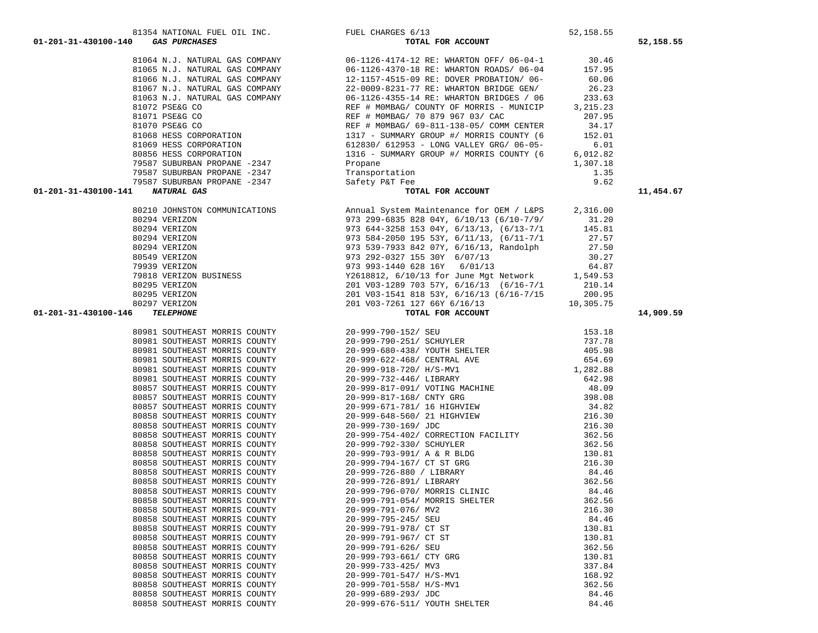| 80981 | SOUTHEAST | MORRIS | COUNTY |  |
|-------|-----------|--------|--------|--|
| 80981 | SOUTHEAST | MORRIS | COUNTY |  |
| 80981 | SOUTHEAST | MORRIS | COUNTY |  |
| 80981 | SOUTHEAST | MORRIS | COUNTY |  |
| 80981 | SOUTHEAST | MORRIS | COUNTY |  |
| 80981 | SOUTHEAST | MORRIS | COUNTY |  |
| 80857 | SOUTHEAST | MORRIS | COUNTY |  |
| 80857 | SOUTHEAST | MORRIS | COUNTY |  |
| 80857 | SOUTHEAST | MORRIS | COUNTY |  |
| 80858 | SOUTHEAST | MORRIS | COUNTY |  |
| 80858 | SOUTHEAST | MORRIS | COUNTY |  |
| 80858 | SOUTHEAST | MORRIS | COUNTY |  |
| 80858 | SOUTHEAST | MORRIS | COUNTY |  |
| 80858 | SOUTHEAST | MORRIS | COUNTY |  |
| 80858 | SOUTHEAST | MORRIS | COUNTY |  |
| 80858 | SOUTHEAST | MORRIS | COUNTY |  |
| 80858 | SOUTHEAST | MORRIS | COUNTY |  |
| 80858 | SOUTHEAST | MORRIS | COUNTY |  |
| 80858 | SOUTHEAST | MORRIS | COUNTY |  |
| 80858 | SOUTHEAST | MORRIS | COUNTY |  |
| 80858 | SOUTHEAST | MORRIS | COUNTY |  |
| 80858 | SOUTHEAST | MORRIS | COUNTY |  |
| 80858 | SOUTHEAST | MORRIS | COUNTY |  |
| 80858 | SOUTHEAST | MORRIS | COUNTY |  |
| 80858 | SOUTHEAST | MORRIS | COUNTY |  |
| 80858 | SOUTHEAST | MORRIS | COUNTY |  |
| 80858 | SOUTHEAST | MORRIS | COUNTY |  |
| 80858 | SOUTHEAST | MORRIS | COUNTY |  |
| 80858 | SOUTHEAST | MORRIS | COUNTY |  |
| 80858 | SOUTHEAST | MORRIS | COUNTY |  |

| 80297 VERIZON                                         | 201 V03-7261 127 66Y 6/16/13                                                                                                                                                                                                                 | 10,305.75 |
|-------------------------------------------------------|----------------------------------------------------------------------------------------------------------------------------------------------------------------------------------------------------------------------------------------------|-----------|
| 01-201-31-430100-146<br><b>TELEPHONE</b>              | TOTAL FOR ACCOUNT                                                                                                                                                                                                                            |           |
| 80981 SOUTHEAST MORRIS COUNTY 20-999-790-152/ SEU     |                                                                                                                                                                                                                                              | 153.18    |
|                                                       | 80981 SOUTHEAST MORRIS COUNTY 20-999-790-251/ SCHUYLER                                                                                                                                                                                       | 737.78    |
|                                                       | 80981 SOUTHEAST MORRIS COUNTY 20-999-680-438/ YOUTH SHELTER                                                                                                                                                                                  | 405.98    |
|                                                       | 80981 SOUTHEAST MORRIS COUNTY 20-999-622-468/ CENTRAL AVE 654.69                                                                                                                                                                             |           |
|                                                       | 80981 SOUTHEAST MORRIS COUNTY 20-999-918-720/ H/S-MV1 1 282.88                                                                                                                                                                               |           |
|                                                       | 80981 SOUTHEAST MORRIS COUNTY 20-999-732-446/ LIBRARY                                                                                                                                                                                        | 642.98    |
|                                                       | 80857 SOUTHEAST MORRIS COUNTY 20-999-817-091/ VOTING MACHINE                                                                                                                                                                                 | 48.09     |
|                                                       | 80857 SOUTHEAST MORRIS COUNTY 20-999-817-168/ CNTY GRG 398.08                                                                                                                                                                                |           |
|                                                       | 80857 SOUTHEAST MORRIS COUNTY 20-999-671-781/ 16 HIGHVIEW 34.82                                                                                                                                                                              |           |
|                                                       | 80858 SOUTHEAST MORRIS COUNTY 20-999-648-560/21 HIGHVIEW                                                                                                                                                                                     | 216.30    |
| 80858 SOUTHEAST MORRIS COUNTY 20-999-730-169/ JDC     | 216.30                                                                                                                                                                                                                                       |           |
|                                                       | 80858 SOUTHEAST MORRIS COUNTY 20-999-754-402/ CORRECTION FACILITY 362.56                                                                                                                                                                     |           |
|                                                       | 80858 SOUTHEAST MORRIS COUNTY 20-999-792-330/ SCHUYLER                                                                                                                                                                                       | 362.56    |
|                                                       | 30858 SOUTHEAST MORRIS COUNTY<br>30858 SOUTHEAST MORRIS COUNTY 20-999-794-167/ CT ST GRG<br>30858 SOUTHEAST MORRIS COUNTY 20-999-794-167/ CT ST GRG 216.30<br>30858 SOUTHEAST MORRIS COUNTY 20-999-726-880 / LIBRARY 34.46<br>362.56<br>     |           |
|                                                       |                                                                                                                                                                                                                                              |           |
|                                                       |                                                                                                                                                                                                                                              |           |
|                                                       |                                                                                                                                                                                                                                              |           |
|                                                       | 80858 SOUTHEAST MORRIS COUNTY 20-999-796-070/ MORRIS CLINIC                                                                                                                                                                                  | 84.46     |
|                                                       |                                                                                                                                                                                                                                              |           |
|                                                       |                                                                                                                                                                                                                                              |           |
|                                                       |                                                                                                                                                                                                                                              |           |
|                                                       | 30858 SOUTHEAST MORRIS COUNTY<br>30858 SOUTHEAST MORRIS COUNTY<br>30858 SOUTHEAST MORRIS COUNTY<br>30858 SOUTHEAST MORRIS COUNTY<br>30858 SOUTHEAST MORRIS COUNTY<br>30858 SOUTHEAST MORRIS COUNTY<br>30858 SOUTHEAST MORRIS COUNTY<br>30858 |           |
|                                                       |                                                                                                                                                                                                                                              |           |
|                                                       |                                                                                                                                                                                                                                              |           |
| 80858 SOUTHEAST MORRIS COUNTY 20-999-793-661/ CTY GRG |                                                                                                                                                                                                                                              | 130.81    |
|                                                       |                                                                                                                                                                                                                                              | 337.84    |
|                                                       |                                                                                                                                                                                                                                              | 168.92    |
|                                                       |                                                                                                                                                                                                                                              | 362.56    |
|                                                       |                                                                                                                                                                                                                                              | 84.46     |
|                                                       |                                                                                                                                                                                                                                              | 84.46     |

|  |                        | 80210 JOHNSTON COMMUNICATIO |  |
|--|------------------------|-----------------------------|--|
|  | 80294 VERIZON          |                             |  |
|  | 80294 VERIZON          |                             |  |
|  | 80294 VERIZON          |                             |  |
|  | 80294 VERIZON          |                             |  |
|  | 80549 VERIZON          |                             |  |
|  | 79939 VERIZON          |                             |  |
|  | 79818 VERIZON BUSINESS |                             |  |
|  | 80295 VERIZON          |                             |  |
|  | 80295 VERIZON          |                             |  |
|  | 80297 VERIZON          |                             |  |

 81064 N.J. NATURAL GAS COMPANY 06-1126-4174-12 RE: WHARTON OFF/ 06-04-1 30.46 81065 N.J. NATURAL GAS COMPANY 06-1126-4370-18 RE: WHARTON ROADS/ 06-04 157.95 81066 N.J. NATURAL GAS COMPANY 12-1157-4515-09 RE: DOVER PROBATION/ 06- 60.06 81067 N.J. NATURAL GAS COMPANY 22-0009-8231-77 RE: WHARTON BRIDGE GEN/ 26.23 81063 N.J. NATURAL GAS COMPANY 06-1126-4355-14 RE: WHARTON BRIDGES / 06 233.63 81072 PSE&G CO REF # M0MBAG/ COUNTY OF MORRIS - MUNICIP 3,215.23 81071 PSE&G CO REF # M0MBAG/ 70 879 967 03/ CAC 207.95 81070 PSE&G CO REF # M0MBAG/ 69-811-138-05/ COMM CENTER 34.17 81068 HESS CORPORATION 1317 - SUMMARY GROUP #/ MORRIS COUNTY (6 152.01 81069 HESS CORPORATION 612830/ 612953 - LONG VALLEY GRG/ 06-05- 6.01 80856 HESS CORPORATION 1316 - SUMMARY GROUP #/ MORRIS COUNTY (6 6,012.82 79587 SUBURBAN PROPANE -2347 Propane 1,307.18 79587 SUBURBAN PROPANE -2347 Transportation 1.35 79587 SUBURBAN PROPANE -2347 Safety P&T Fee 9.62  **01-201-31-430100-141** *NATURAL GAS* **TOTAL FOR ACCOUNT 11,454.67** ONS 316.00 Annual System Maintenance for OEM / L&PS 2,316.00 973 299-6835 828 04Y, 6/10/13 (6/10-7/9/ 31.20<br>973 644-3258 153 04Y, 6/13/13, (6/13-7/1 145.81 973 644-3258 153 04Y, 6/13/13, (6/13-7/1<br>973 584-2050 195 53Y, 6/11/13, (6/11-7/1 80294 VERIZON 973 584-2050 195 53Y, 6/11/13, (6/11-7/1 27.57 80294 VERIZON 973 539-7933 842 07Y, 6/16/13, Randolph 27.50 80549 VERIZON 973 292-0327 155 30Y 6/07/13 30.27 79939 VERIZON 973 993-1440 628 16Y 6/01/13 64.87 79818 VERIZON BUSINESS Y2618812, 6/10/13 for June Mgt Network 1,549.53 80295 VERIZON 201 V03-1289 703 57Y, 6/16/13 (6/16-7/1 210.14 8020 VO3-1541 818 53Y, 6/16/13 (6/16-7/15 200.95 80297 VERIZON 201 V03-7261 127 66Y 6/16/13 10,305.75  **01-201-31-430100-146** *TELEPHONE* **TOTAL FOR ACCOUNT 14,909.59**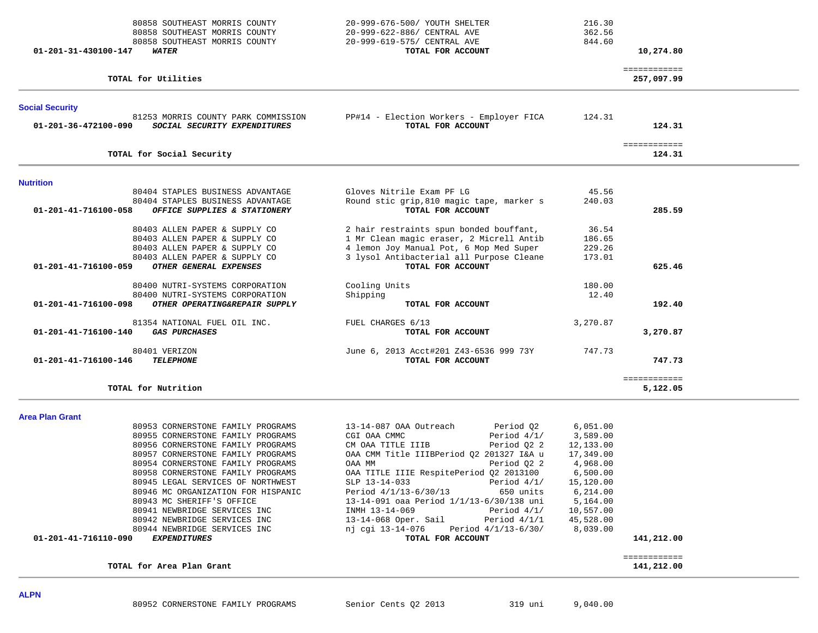| 80858 SOUTHEAST MORRIS COUNTY<br>80858 SOUTHEAST MORRIS COUNTY<br>80858 SOUTHEAST MORRIS COUNTY<br>01-201-31-430100-147<br><b>WATER</b>                                                                                                                                                                                                                                                                                                                                           | 20-999-676-500/ YOUTH SHELTER<br>20-999-622-886/ CENTRAL AVE<br>20-999-619-575/ CENTRAL AVE<br>TOTAL FOR ACCOUNT                                                                                                                                                                                                                                                                                                                                                                       | 216.30<br>362.56<br>844.60                                                                                                                        | 10,274.80                  |  |
|-----------------------------------------------------------------------------------------------------------------------------------------------------------------------------------------------------------------------------------------------------------------------------------------------------------------------------------------------------------------------------------------------------------------------------------------------------------------------------------|----------------------------------------------------------------------------------------------------------------------------------------------------------------------------------------------------------------------------------------------------------------------------------------------------------------------------------------------------------------------------------------------------------------------------------------------------------------------------------------|---------------------------------------------------------------------------------------------------------------------------------------------------|----------------------------|--|
| TOTAL for Utilities                                                                                                                                                                                                                                                                                                                                                                                                                                                               |                                                                                                                                                                                                                                                                                                                                                                                                                                                                                        |                                                                                                                                                   | ============<br>257,097.99 |  |
| <b>Social Security</b><br>81253 MORRIS COUNTY PARK COMMISSION<br>01-201-36-472100-090<br>SOCIAL SECURITY EXPENDITURES                                                                                                                                                                                                                                                                                                                                                             | PP#14 - Election Workers - Employer FICA<br>TOTAL FOR ACCOUNT                                                                                                                                                                                                                                                                                                                                                                                                                          | 124.31                                                                                                                                            | 124.31                     |  |
| TOTAL for Social Security                                                                                                                                                                                                                                                                                                                                                                                                                                                         |                                                                                                                                                                                                                                                                                                                                                                                                                                                                                        |                                                                                                                                                   | ============<br>124.31     |  |
| <b>Nutrition</b><br>80404 STAPLES BUSINESS ADVANTAGE                                                                                                                                                                                                                                                                                                                                                                                                                              | Gloves Nitrile Exam PF LG                                                                                                                                                                                                                                                                                                                                                                                                                                                              | 45.56                                                                                                                                             |                            |  |
| 80404 STAPLES BUSINESS ADVANTAGE<br>01-201-41-716100-058<br>OFFICE SUPPLIES & STATIONERY                                                                                                                                                                                                                                                                                                                                                                                          | Round stic grip, 810 magic tape, marker s<br>TOTAL FOR ACCOUNT                                                                                                                                                                                                                                                                                                                                                                                                                         | 240.03                                                                                                                                            | 285.59                     |  |
| 80403 ALLEN PAPER & SUPPLY CO<br>80403 ALLEN PAPER & SUPPLY CO<br>80403 ALLEN PAPER & SUPPLY CO<br>80403 ALLEN PAPER & SUPPLY CO<br>01-201-41-716100-059<br>OTHER GENERAL EXPENSES                                                                                                                                                                                                                                                                                                | 2 hair restraints spun bonded bouffant,<br>1 Mr Clean magic eraser, 2 Micrell Antib<br>4 lemon Joy Manual Pot, 6 Mop Med Super<br>3 lysol Antibacterial all Purpose Cleane<br>TOTAL FOR ACCOUNT                                                                                                                                                                                                                                                                                        | 36.54<br>186.65<br>229.26<br>173.01                                                                                                               | 625.46                     |  |
| 80400 NUTRI-SYSTEMS CORPORATION<br>80400 NUTRI-SYSTEMS CORPORATION<br>01-201-41-716100-098<br>OTHER OPERATING&REPAIR SUPPLY                                                                                                                                                                                                                                                                                                                                                       | Cooling Units<br>Shipping<br>TOTAL FOR ACCOUNT                                                                                                                                                                                                                                                                                                                                                                                                                                         | 180.00<br>12.40                                                                                                                                   | 192.40                     |  |
| 81354 NATIONAL FUEL OIL INC.<br>01-201-41-716100-140<br><b>GAS PURCHASES</b>                                                                                                                                                                                                                                                                                                                                                                                                      | FUEL CHARGES 6/13<br>TOTAL FOR ACCOUNT                                                                                                                                                                                                                                                                                                                                                                                                                                                 | 3,270.87                                                                                                                                          | 3,270.87                   |  |
| 80401 VERIZON<br>01-201-41-716100-146<br><b>TELEPHONE</b>                                                                                                                                                                                                                                                                                                                                                                                                                         | June 6, 2013 Acct#201 Z43-6536 999 73Y<br>TOTAL FOR ACCOUNT                                                                                                                                                                                                                                                                                                                                                                                                                            | 747.73                                                                                                                                            | 747.73                     |  |
| TOTAL for Nutrition                                                                                                                                                                                                                                                                                                                                                                                                                                                               |                                                                                                                                                                                                                                                                                                                                                                                                                                                                                        |                                                                                                                                                   | ============<br>5,122.05   |  |
| <b>Area Plan Grant</b>                                                                                                                                                                                                                                                                                                                                                                                                                                                            |                                                                                                                                                                                                                                                                                                                                                                                                                                                                                        |                                                                                                                                                   |                            |  |
| 80953 CORNERSTONE FAMILY PROGRAMS<br>80955 CORNERSTONE FAMILY PROGRAMS<br>80956 CORNERSTONE FAMILY PROGRAMS<br>80957 CORNERSTONE FAMILY PROGRAMS<br>80954 CORNERSTONE FAMILY PROGRAMS<br>80958 CORNERSTONE FAMILY PROGRAMS<br>80945 LEGAL SERVICES OF NORTHWEST<br>80946 MC ORGANIZATION FOR HISPANIC<br>80943 MC SHERIFF'S OFFICE<br>80941 NEWBRIDGE SERVICES INC<br>80942 NEWBRIDGE SERVICES INC<br>80944 NEWBRIDGE SERVICES INC<br><b>EXPENDITURES</b><br>01-201-41-716110-090 | 13-14-087 OAA Outreach<br>Period Q2<br>CGI OAA CMMC<br>Period $4/1/$<br>Period Q2 2<br>CM OAA TITLE IIIB<br>OAA CMM Title IIIBPeriod Q2 201327 I&A u<br>Period 02 2<br>OAA MM<br>OAA TITLE IIIE RespitePeriod Q2 2013100<br>SLP 13-14-033<br>Period $4/1/$<br>Period 4/1/13-6/30/13<br>650 units<br>13-14-091 oaa Period 1/1/13-6/30/138 uni<br>INMH 13-14-069<br>Period $4/1/$<br>13-14-068 Oper. Sail<br>Period $4/1/1$<br>nj cgi 13-14-076 Period 4/1/13-6/30/<br>TOTAL FOR ACCOUNT | 6,051.00<br>3,589.00<br>12,133.00<br>17,349.00<br>4,968.00<br>6,500.00<br>15,120.00<br>6,214.00<br>5,164.00<br>10,557.00<br>45,528.00<br>8,039.00 | 141,212.00                 |  |
| TOTAL for Area Plan Grant                                                                                                                                                                                                                                                                                                                                                                                                                                                         |                                                                                                                                                                                                                                                                                                                                                                                                                                                                                        |                                                                                                                                                   | ============<br>141,212.00 |  |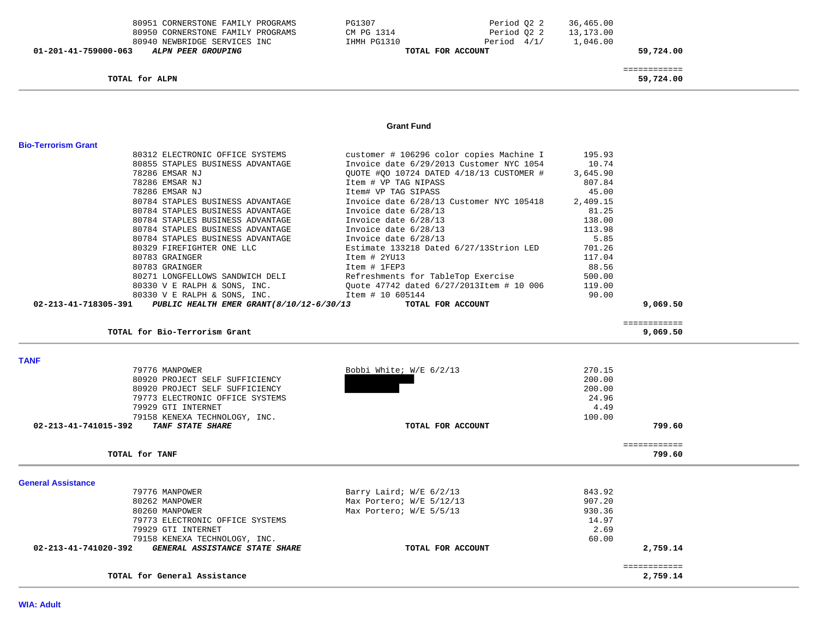| 01-201-41-759000-063       | 80951 CORNERSTONE FAMILY PROGRAMS<br>80950 CORNERSTONE FAMILY PROGRAMS<br>80940 NEWBRIDGE SERVICES INC<br>ALPN PEER GROUPING | PG1307<br>CM PG 1314<br>IHMH PG1310<br>TOTAL FOR ACCOUNT | Period 02 2<br>Period 02 2<br>Period 4/1/ | 36,465.00<br>13,173.00<br>1,046.00 | 59,724.00    |  |
|----------------------------|------------------------------------------------------------------------------------------------------------------------------|----------------------------------------------------------|-------------------------------------------|------------------------------------|--------------|--|
|                            |                                                                                                                              |                                                          |                                           |                                    | ============ |  |
|                            | TOTAL for ALPN                                                                                                               |                                                          |                                           |                                    | 59,724.00    |  |
|                            |                                                                                                                              |                                                          |                                           |                                    |              |  |
|                            |                                                                                                                              | <b>Grant Fund</b>                                        |                                           |                                    |              |  |
| <b>Bio-Terrorism Grant</b> |                                                                                                                              |                                                          |                                           |                                    |              |  |
|                            | 80312 ELECTRONIC OFFICE SYSTEMS                                                                                              | customer # 106296 color copies Machine I                 |                                           | 195.93                             |              |  |
|                            | 80855 STAPLES BUSINESS ADVANTAGE                                                                                             | Invoice date 6/29/2013 Customer NYC 1054                 |                                           | 10.74                              |              |  |
|                            | 78286 EMSAR NJ                                                                                                               | QUOTE #QO 10724 DATED 4/18/13 CUSTOMER #                 |                                           | 3,645.90                           |              |  |
|                            | 78286 EMSAR NJ                                                                                                               | Item # VP TAG NIPASS                                     |                                           | 807.84                             |              |  |
|                            | 78286 EMSAR NJ                                                                                                               | Item# VP TAG SIPASS                                      |                                           | 45.00                              |              |  |
|                            | 80784 STAPLES BUSINESS ADVANTAGE                                                                                             | Invoice date 6/28/13 Customer NYC 105418                 |                                           | 2,409.15                           |              |  |
|                            | 80784 STAPLES BUSINESS ADVANTAGE                                                                                             | Invoice date 6/28/13                                     |                                           | 81.25                              |              |  |
|                            | 80784 STAPLES BUSINESS ADVANTAGE                                                                                             | Invoice date 6/28/13                                     |                                           | 138.00                             |              |  |
|                            | 80784 STAPLES BUSINESS ADVANTAGE                                                                                             | Invoice date 6/28/13                                     |                                           | 113.98                             |              |  |
|                            | 80784 STAPLES BUSINESS ADVANTAGE                                                                                             | Invoice date 6/28/13                                     |                                           | 5.85                               |              |  |
|                            | 80329 FIREFIGHTER ONE LLC                                                                                                    | Estimate 133218 Dated 6/27/13Strion LED                  |                                           | 701.26                             |              |  |
|                            | 80783 GRAINGER                                                                                                               | Item # 2YU13                                             |                                           | 117.04                             |              |  |
|                            | 80783 GRAINGER                                                                                                               | Item # 1FEP3                                             |                                           | 88.56                              |              |  |
|                            | 80271 LONGFELLOWS SANDWICH DELI                                                                                              | Refreshments for TableTop Exercise                       |                                           | 500.00                             |              |  |
|                            | 80330 V E RALPH & SONS, INC.                                                                                                 | Ouote 47742 dated 6/27/2013Item # 10 006                 |                                           | 119.00                             |              |  |
|                            | 80330 V E RALPH & SONS, INC.                                                                                                 | Item # 10 605144                                         |                                           | 90.00                              |              |  |
| 02-213-41-718305-391       | PUBLIC HEALTH EMER GRANT (8/10/12-6/30/13                                                                                    | TOTAL FOR ACCOUNT                                        |                                           |                                    | 9,069.50     |  |

**TOTAL for Bio-Terrorism Grant 9,069.50**

============

**TANF**  79776 MANPOWER Bobbi White; W/E 6/2/13 270.15 80920 PROJECT SELF SUFFICIENCY 200.00 200.00 80920 PROJECT SELF SUFFICIENCY 24.96 79773 ELECTRONIC OFFICE SYSTEMS 4.49 79929 GTI INTERNET 4.49 100.00 79158 KENEXA TECHNOLOGY, INC.  **02-213-41-741015-392** *TANF STATE SHARE* **TOTAL FOR ACCOUNT 799.60** ============ **TOTAL for TANF 799.60General Assistance**  79776 MANPOWER Barry Laird; W/E 6/2/13 843.92 80262 MANPOWER Max Portero; W/E 5/12/13 907.20 80260 MANPOWER 930.36 Max Portero; W/E 5/5/13 930.36 79773 ELECTRONIC OFFICE SYSTEMS 14.97 79929 GTI INTERNET 2.69 79158 KENEXA TECHNOLOGY, INC. 60.00  **02-213-41-741020-392** *GENERAL ASSISTANCE STATE SHARE* **TOTAL FOR ACCOUNT 2,759.14**

|                                               | _____________        |
|-----------------------------------------------|----------------------|
| TOTAL<br>$+ -$<br>Assistance<br>General<br>-- | -------------<br>750 |
|                                               |                      |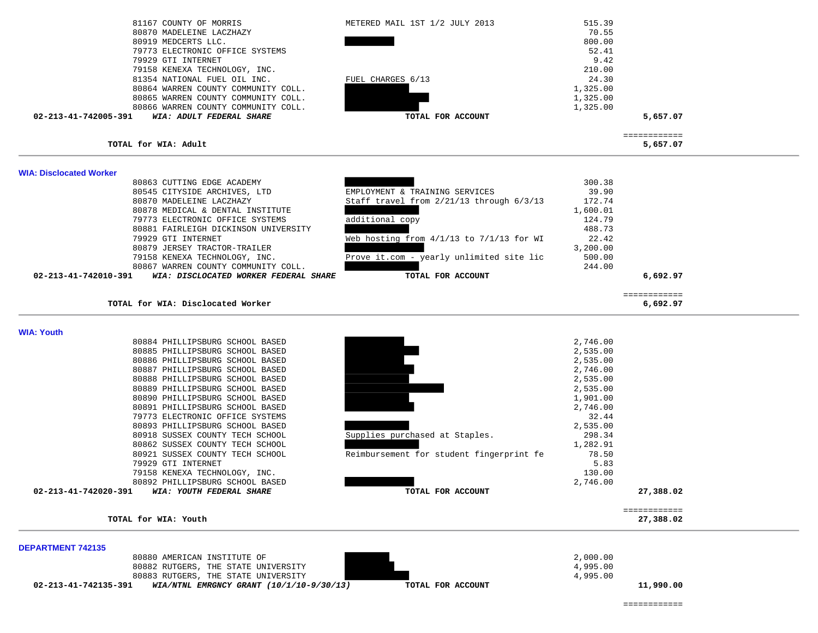| 81167 COUNTY OF MORRIS                                               | METERED MAIL 1ST 1/2 JULY 2013               | 515.39             |               |  |
|----------------------------------------------------------------------|----------------------------------------------|--------------------|---------------|--|
| 80870 MADELEINE LACZHAZY                                             |                                              | 70.55              |               |  |
| 80919 MEDCERTS LLC.                                                  |                                              | 800.00             |               |  |
| 79773 ELECTRONIC OFFICE SYSTEMS                                      |                                              | 52.41              |               |  |
| 79929 GTI INTERNET                                                   |                                              | 9.42               |               |  |
| 79158 KENEXA TECHNOLOGY, INC.                                        |                                              | 210.00             |               |  |
| 81354 NATIONAL FUEL OIL INC.                                         | FUEL CHARGES 6/13                            | 24.30              |               |  |
| 80864 WARREN COUNTY COMMUNITY COLL.                                  |                                              | 1,325.00           |               |  |
| 80865 WARREN COUNTY COMMUNITY COLL.                                  |                                              | 1,325.00           |               |  |
| 80866 WARREN COUNTY COMMUNITY COLL.                                  |                                              | 1,325.00           |               |  |
| WIA: ADULT FEDERAL SHARE<br>02-213-41-742005-391                     | TOTAL FOR ACCOUNT                            |                    | 5,657.07      |  |
|                                                                      |                                              |                    | ============  |  |
| TOTAL for WIA: Adult                                                 |                                              |                    | 5,657.07      |  |
| <b>WIA: Disclocated Worker</b><br>80863 CUTTING EDGE ACADEMY         |                                              | 300.38             |               |  |
| 80545 CITYSIDE ARCHIVES, LTD                                         | EMPLOYMENT & TRAINING SERVICES               | 39.90              |               |  |
|                                                                      |                                              |                    |               |  |
|                                                                      |                                              |                    |               |  |
| 80870 MADELEINE LACZHAZY                                             | Staff travel from 2/21/13 through 6/3/13     | 172.74             |               |  |
| 80878 MEDICAL & DENTAL INSTITUTE                                     |                                              | 1,600.01           |               |  |
| 79773 ELECTRONIC OFFICE SYSTEMS                                      | additional copy                              | 124.79             |               |  |
| 80881 FAIRLEIGH DICKINSON UNIVERSITY                                 |                                              | 488.73             |               |  |
| 79929 GTI INTERNET                                                   | Web hosting from $4/1/13$ to $7/1/13$ for WI | 22.42              |               |  |
| 80879 JERSEY TRACTOR-TRAILER                                         |                                              | 3,200.00<br>500.00 |               |  |
| 79158 KENEXA TECHNOLOGY, INC.<br>80867 WARREN COUNTY COMMUNITY COLL. | Prove it.com - yearly unlimited site lic     | 244.00             |               |  |
| 02-213-41-742010-391<br>WIA: DISCLOCATED WORKER FEDERAL SHARE        | TOTAL FOR ACCOUNT                            |                    | 6,692.97      |  |
|                                                                      |                                              |                    | ============= |  |

| TOTAL for WIA: Youth                             |                                          |          | 27,388.02 |
|--------------------------------------------------|------------------------------------------|----------|-----------|
|                                                  |                                          |          |           |
| 02-213-41-742020-391<br>WIA: YOUTH FEDERAL SHARE | TOTAL FOR ACCOUNT                        |          | 27,388.02 |
| 80892 PHILLIPSBURG SCHOOL BASED                  |                                          | 2,746.00 |           |
| 79158 KENEXA TECHNOLOGY, INC.                    |                                          | 130.00   |           |
| 79929 GTI INTERNET                               |                                          | 5.83     |           |
| 80921 SUSSEX COUNTY TECH SCHOOL                  | Reimbursement for student fingerprint fe | 78.50    |           |
| 80862 SUSSEX COUNTY TECH SCHOOL                  |                                          | 1,282.91 |           |
| 80918 SUSSEX COUNTY TECH SCHOOL                  | Supplies purchased at Staples.           | 298.34   |           |
| 80893 PHILLIPSBURG SCHOOL BASED                  |                                          | 2,535.00 |           |
| 79773 ELECTRONIC OFFICE SYSTEMS                  |                                          | 32.44    |           |
| 80891 PHILLIPSBURG SCHOOL BASED                  |                                          | 2,746.00 |           |
| 80890 PHILLIPSBURG SCHOOL BASED                  |                                          | 1,901.00 |           |
| 80889 PHILLIPSBURG SCHOOL BASED                  |                                          | 2,535.00 |           |
| 80888 PHILLIPSBURG SCHOOL BASED                  |                                          | 2,535.00 |           |
| 80887 PHILLIPSBURG SCHOOL BASED                  |                                          | 2,746.00 |           |
| 80886 PHILLIPSBURG SCHOOL BASED                  |                                          | 2,535.00 |           |
| 80885 PHILLIPSBURG SCHOOL BASED                  |                                          | 2,535.00 |           |
| 80884 PHILLIPSBURG SCHOOL BASED                  |                                          | 2,746.00 |           |

| <b>DEPARTMENT 742135</b> |  |
|--------------------------|--|

| 02-213-41-742135-391 | WIA/NTNL EMRGNCY GRANT $(10/1/10-9/30/13)$ | TOTAL FOR ACCOUNT | 11,990.00 |
|----------------------|--------------------------------------------|-------------------|-----------|
|                      | 80883 RUTGERS, THE STATE UNIVERSITY        |                   | 4,995.00  |
|                      | 80882 RUTGERS, THE STATE UNIVERSITY        |                   | 4,995.00  |
|                      | 80880 AMERICAN INSTITUTE OF                |                   | 2,000.00  |
| PEL ARTIULITI 174199 |                                            |                   |           |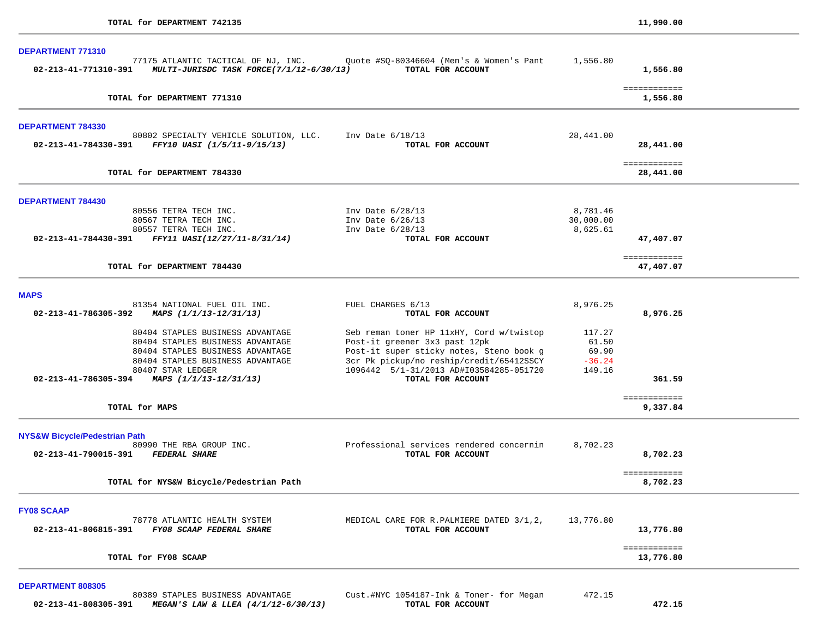|                                                                |                                                                                                                                                                                                                                                                                                                                                               | 1,556.80                                                                                                                                                                          |
|----------------------------------------------------------------|---------------------------------------------------------------------------------------------------------------------------------------------------------------------------------------------------------------------------------------------------------------------------------------------------------------------------------------------------------------|-----------------------------------------------------------------------------------------------------------------------------------------------------------------------------------|
|                                                                |                                                                                                                                                                                                                                                                                                                                                               | ============<br>1,556.80                                                                                                                                                          |
|                                                                |                                                                                                                                                                                                                                                                                                                                                               |                                                                                                                                                                                   |
| TOTAL FOR ACCOUNT                                              |                                                                                                                                                                                                                                                                                                                                                               | 28,441.00                                                                                                                                                                         |
|                                                                |                                                                                                                                                                                                                                                                                                                                                               | ============<br>28,441.00                                                                                                                                                         |
|                                                                |                                                                                                                                                                                                                                                                                                                                                               |                                                                                                                                                                                   |
| Inv Date $6/28/13$                                             | 8,781.46                                                                                                                                                                                                                                                                                                                                                      |                                                                                                                                                                                   |
|                                                                |                                                                                                                                                                                                                                                                                                                                                               |                                                                                                                                                                                   |
| TOTAL FOR ACCOUNT                                              |                                                                                                                                                                                                                                                                                                                                                               | 47,407.07                                                                                                                                                                         |
|                                                                |                                                                                                                                                                                                                                                                                                                                                               | ============<br>47,407.07                                                                                                                                                         |
|                                                                |                                                                                                                                                                                                                                                                                                                                                               |                                                                                                                                                                                   |
| FUEL CHARGES 6/13<br>TOTAL FOR ACCOUNT                         | 8,976.25                                                                                                                                                                                                                                                                                                                                                      | 8,976.25                                                                                                                                                                          |
| Seb reman toner HP 11xHY, Cord w/twistop                       | 117.27                                                                                                                                                                                                                                                                                                                                                        |                                                                                                                                                                                   |
| Post-it greener 3x3 past 12pk                                  | 61.50                                                                                                                                                                                                                                                                                                                                                         |                                                                                                                                                                                   |
|                                                                |                                                                                                                                                                                                                                                                                                                                                               |                                                                                                                                                                                   |
|                                                                |                                                                                                                                                                                                                                                                                                                                                               |                                                                                                                                                                                   |
| TOTAL FOR ACCOUNT                                              |                                                                                                                                                                                                                                                                                                                                                               | 361.59                                                                                                                                                                            |
|                                                                |                                                                                                                                                                                                                                                                                                                                                               | ============<br>9,337.84                                                                                                                                                          |
|                                                                |                                                                                                                                                                                                                                                                                                                                                               |                                                                                                                                                                                   |
|                                                                |                                                                                                                                                                                                                                                                                                                                                               |                                                                                                                                                                                   |
| TOTAL FOR ACCOUNT                                              |                                                                                                                                                                                                                                                                                                                                                               | 8,702.23                                                                                                                                                                          |
|                                                                |                                                                                                                                                                                                                                                                                                                                                               | ============<br>8,702.23                                                                                                                                                          |
|                                                                |                                                                                                                                                                                                                                                                                                                                                               |                                                                                                                                                                                   |
| MEDICAL CARE FOR R. PALMIERE DATED 3/1,2,<br>TOTAL FOR ACCOUNT | 13,776.80                                                                                                                                                                                                                                                                                                                                                     | 13,776.80                                                                                                                                                                         |
|                                                                |                                                                                                                                                                                                                                                                                                                                                               | ============                                                                                                                                                                      |
|                                                                |                                                                                                                                                                                                                                                                                                                                                               | 13,776.80                                                                                                                                                                         |
|                                                                | 77175 ATLANTIC TACTICAL OF NJ, INC. Quote #SQ-80346604 (Men's & Women's Pant<br>02-213-41-771310-391 MULTI-JURISDC TASK FORCE(7/1/12-6/30/13) TOTAL FOR ACCOUNT<br>80802 SPECIALTY VEHICLE SOLUTION, LLC. Inv Date 6/18/13<br>Inv Date $6/26/13$<br>Inv Date $6/28/13$<br>1096442 5/1-31/2013 AD#I03584285-051720<br>Professional services rendered concernin | 1,556.80<br>28,441.00<br>30,000.00<br>8,625.61<br>Post-it super sticky notes, Steno book g<br>69.90<br>3cr Pk pickup/no reship/credit/65412SSCY<br>$-36.24$<br>149.16<br>8,702.23 |

## **DEPARTMENT 808305**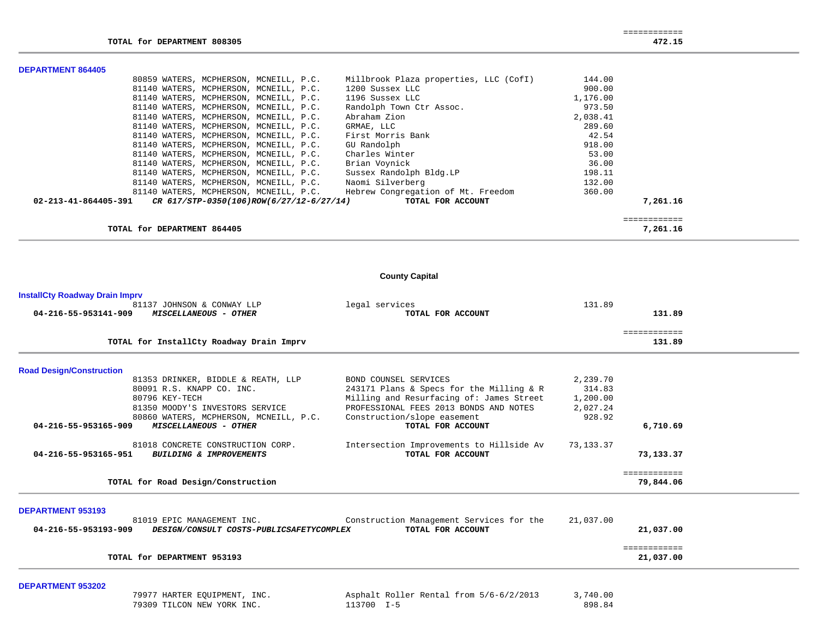$\overline{\phantom{a}}$ 

 $\overline{\phantom{0}}$ 

|                          | TOTAL for DEPARTMENT 864405              |                                                                           |          | 7,261.16     |
|--------------------------|------------------------------------------|---------------------------------------------------------------------------|----------|--------------|
|                          |                                          |                                                                           |          | ============ |
| 02-213-41-864405-391     | CR 617/STP-0350(106)ROW(6/27/12-6/27/14) | TOTAL FOR ACCOUNT                                                         |          | 7,261.16     |
|                          |                                          | 81140 WATERS, MCPHERSON, MCNEILL, P.C. Hebrew Congregation of Mt. Freedom | 360.00   |              |
|                          | 81140 WATERS, MCPHERSON, MCNEILL, P.C.   | Naomi Silverberg                                                          | 132.00   |              |
|                          | 81140 WATERS, MCPHERSON, MCNEILL, P.C.   | Sussex Randolph Bldg.LP                                                   | 198.11   |              |
|                          | 81140 WATERS, MCPHERSON, MCNEILL, P.C.   | Brian Voynick                                                             | 36.00    |              |
|                          | 81140 WATERS, MCPHERSON, MCNEILL, P.C.   | Charles Winter                                                            | 53.00    |              |
|                          | 81140 WATERS, MCPHERSON, MCNEILL, P.C.   | GU Randolph                                                               | 918.00   |              |
|                          | 81140 WATERS, MCPHERSON, MCNEILL, P.C.   | First Morris Bank                                                         | 42.54    |              |
|                          | 81140 WATERS, MCPHERSON, MCNEILL, P.C.   | GRMAE, LLC                                                                | 289.60   |              |
|                          | 81140 WATERS, MCPHERSON, MCNEILL, P.C.   | Abraham Zion                                                              | 2,038.41 |              |
|                          | 81140 WATERS, MCPHERSON, MCNEILL, P.C.   | Randolph Town Ctr Assoc.                                                  | 973.50   |              |
|                          | 81140 WATERS, MCPHERSON, MCNEILL, P.C.   | 1196 Sussex LLC                                                           | 1,176.00 |              |
|                          | 81140 WATERS, MCPHERSON, MCNEILL, P.C.   | 1200 Sussex LLC                                                           | 900.00   |              |
|                          | 80859 WATERS, MCPHERSON, MCNEILL, P.C.   | Millbrook Plaza properties, LLC (CofI)                                    | 144.00   |              |
| <b>DEPARTMENT 864405</b> |                                          |                                                                           |          |              |

# **County Capital**

| <b>InstallCty Roadway Drain Imprv</b> |  |
|---------------------------------------|--|
|---------------------------------------|--|

| 81137 JOHNSON & CONWAY LLP<br>04-216-55-953141-909<br><b>MISCELLANEOUS - OTHER</b> | legal services<br>TOTAL FOR ACCOUNT      | 131.89<br>131.89       |  |
|------------------------------------------------------------------------------------|------------------------------------------|------------------------|--|
| TOTAL for InstallCty Roadway Drain Imprv                                           |                                          | ============<br>131.89 |  |
| <b>Road Design/Construction</b>                                                    |                                          |                        |  |
| 81353 DRINKER, BIDDLE & REATH, LLP                                                 | BOND COUNSEL SERVICES                    | 2,239.70               |  |
| 80091 R.S. KNAPP CO. INC.                                                          | 243171 Plans & Specs for the Milling & R | 314.83                 |  |
| 80796 KEY-TECH                                                                     | Milling and Resurfacing of: James Street | 1,200.00               |  |
| 81350 MOODY'S INVESTORS SERVICE                                                    | PROFESSIONAL FEES 2013 BONDS AND NOTES   | 2,027.24               |  |
| 80860 WATERS, MCPHERSON, MCNEILL, P.C.                                             | Construction/slope easement              | 928.92                 |  |
| 04-216-55-953165-909<br>MISCELLANEOUS - OTHER                                      | TOTAL FOR ACCOUNT                        | 6,710.69               |  |
| 81018 CONCRETE CONSTRUCTION CORP.                                                  | Intersection Improvements to Hillside Av | 73,133.37              |  |
| 04-216-55-953165-951<br>BUILDING & IMPROVEMENTS                                    | TOTAL FOR ACCOUNT                        | 73,133.37              |  |
|                                                                                    |                                          | ============           |  |
| TOTAL for Road Design/Construction                                                 |                                          | 79,844.06              |  |
| <b>DEPARTMENT 953193</b>                                                           |                                          |                        |  |
| 81019 EPIC MANAGEMENT INC.                                                         | Construction Management Services for the | 21,037.00              |  |
| 04-216-55-953193-909<br>DESIGN/CONSULT COSTS-PUBLICSAFETYCOMPLEX                   | TOTAL FOR ACCOUNT                        | 21,037.00              |  |
|                                                                                    |                                          | ============           |  |
| TOTAL for DEPARTMENT 953193                                                        |                                          | 21,037.00              |  |
|                                                                                    |                                          |                        |  |

## **DEPARTMENT 953202**

| 79977 HARTER EOUIPMENT, INC. | Asphalt Roller Rental from 5/6-6/2/2013 | 3,740.00 |
|------------------------------|-----------------------------------------|----------|
| 79309 TILCON NEW YORK INC.   | 113700 I-5                              | 898.84   |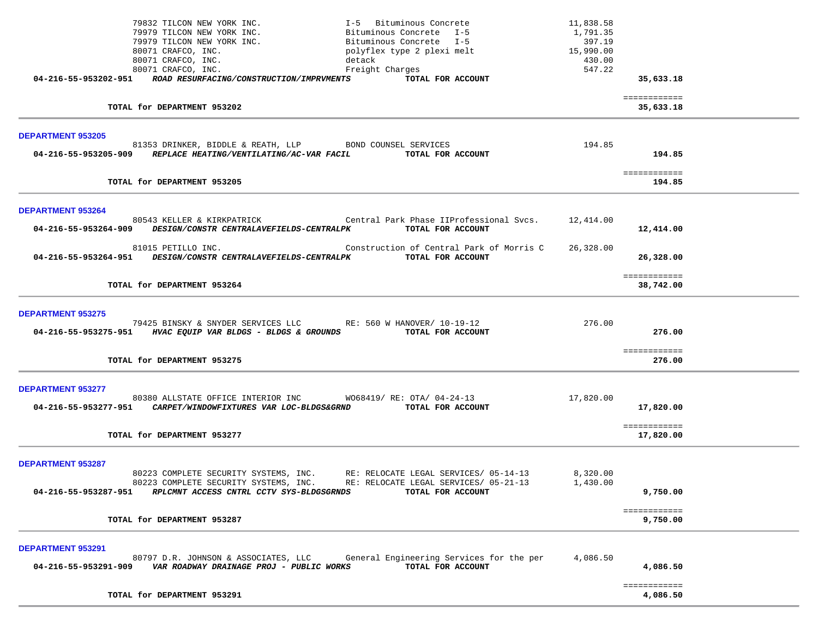|                          | 79832 TILCON NEW YORK INC.                                                                                                                     | I-5 Bituminous Concrete                                                      | 11,838.58 |                           |  |
|--------------------------|------------------------------------------------------------------------------------------------------------------------------------------------|------------------------------------------------------------------------------|-----------|---------------------------|--|
|                          | 79979 TILCON NEW YORK INC.                                                                                                                     | Bituminous Concrete I-5                                                      | 1,791.35  |                           |  |
|                          | 79979 TILCON NEW YORK INC.                                                                                                                     | Bituminous Concrete I-5                                                      | 397.19    |                           |  |
|                          | 80071 CRAFCO, INC.                                                                                                                             | 15,990.00<br>polyflex type 2 plexi melt                                      |           |                           |  |
|                          | 80071 CRAFCO, INC.                                                                                                                             | detack                                                                       | 430.00    |                           |  |
|                          | 80071 CRAFCO, INC.                                                                                                                             | Freight Charges                                                              | 547.22    |                           |  |
|                          | 04-216-55-953202-951 ROAD RESURFACING/CONSTRUCTION/IMPRVMENTS                                                                                  | TOTAL FOR ACCOUNT                                                            |           | 35,633.18                 |  |
|                          |                                                                                                                                                |                                                                              |           |                           |  |
|                          | TOTAL for DEPARTMENT 953202                                                                                                                    |                                                                              |           | ============<br>35,633.18 |  |
|                          |                                                                                                                                                |                                                                              |           |                           |  |
|                          |                                                                                                                                                |                                                                              |           |                           |  |
| <b>DEPARTMENT 953205</b> |                                                                                                                                                |                                                                              |           |                           |  |
|                          | 81353 DRINKER, BIDDLE & REATH, LLP BOND COUNSEL SERVICES<br>04-216-55-953205-909 REPLACE HEATING/VENTILATING/AC-VAR FACIL TOTAL FOR ACCOUNT    |                                                                              | 194.85    |                           |  |
|                          |                                                                                                                                                |                                                                              |           | 194.85                    |  |
|                          |                                                                                                                                                |                                                                              |           | ============              |  |
|                          | TOTAL for DEPARTMENT 953205                                                                                                                    |                                                                              |           | 194.85                    |  |
|                          |                                                                                                                                                |                                                                              |           |                           |  |
|                          |                                                                                                                                                |                                                                              |           |                           |  |
| <b>DEPARTMENT 953264</b> |                                                                                                                                                | 80543 KELLER & KIRKPATRICK Central Park Phase IIProfessional Svcs. 12,414.00 |           |                           |  |
|                          | 04-216-55-953264-909 DESIGN/CONSTR CENTRALAVEFIELDS-CENTRALPK                                                                                  | TOTAL FOR ACCOUNT                                                            |           | 12,414.00                 |  |
|                          |                                                                                                                                                |                                                                              |           |                           |  |
|                          | 81015 PETILLO INC.                                                                                                                             | Construction of Central Park of Morris C                                     | 26,328.00 |                           |  |
|                          | 04-216-55-953264-951 DESIGN/CONSTR CENTRALAVEFIELDS-CENTRALPK                                                                                  | TOTAL FOR ACCOUNT                                                            |           | 26,328.00                 |  |
|                          |                                                                                                                                                |                                                                              |           |                           |  |
|                          |                                                                                                                                                |                                                                              |           | ============              |  |
|                          | TOTAL for DEPARTMENT 953264                                                                                                                    |                                                                              |           | 38,742.00                 |  |
|                          |                                                                                                                                                |                                                                              |           |                           |  |
| <b>DEPARTMENT 953275</b> |                                                                                                                                                |                                                                              |           |                           |  |
|                          | 79425 BINSKY & SNYDER SERVICES LLC RE: 560 W HANOVER/ 10-19-12                                                                                 |                                                                              | 276.00    |                           |  |
|                          | 04-216-55-953275-951 HVAC EQUIP VAR BLDGS - BLDGS & GROUNDS TOTAL FOR ACCOUNT                                                                  |                                                                              |           | 276.00                    |  |
|                          |                                                                                                                                                |                                                                              |           |                           |  |
|                          |                                                                                                                                                |                                                                              |           | ============              |  |
|                          | TOTAL for DEPARTMENT 953275                                                                                                                    |                                                                              |           | 276.00                    |  |
|                          |                                                                                                                                                |                                                                              |           |                           |  |
|                          |                                                                                                                                                |                                                                              |           |                           |  |
| <b>DEPARTMENT 953277</b> |                                                                                                                                                |                                                                              |           |                           |  |
|                          | 80380 ALLSTATE OFFICE INTERIOR INC WO68419/RE: OTA/04-24-13<br>04-216-55-953277-951 CARPET/WINDOWFIXTURES VAR LOC-BLDGS&GRND TOTAL FOR ACCOUNT |                                                                              | 17,820.00 |                           |  |
|                          |                                                                                                                                                |                                                                              |           | 17,820.00                 |  |
|                          |                                                                                                                                                |                                                                              |           | ============              |  |
|                          | TOTAL for DEPARTMENT 953277                                                                                                                    |                                                                              |           | 17,820.00                 |  |
|                          |                                                                                                                                                |                                                                              |           |                           |  |
|                          |                                                                                                                                                |                                                                              |           |                           |  |
| <b>DEPARTMENT 953287</b> |                                                                                                                                                |                                                                              |           |                           |  |
|                          | 80223 COMPLETE SECURITY SYSTEMS, INC.                                                                                                          | RE: RELOCATE LEGAL SERVICES/ 05-14-13                                        | 8,320.00  |                           |  |
|                          |                                                                                                                                                | 80223 COMPLETE SECURITY SYSTEMS, INC. RE: RELOCATE LEGAL SERVICES/ 05-21-13  | 1,430.00  |                           |  |
|                          | 04-216-55-953287-951 RPLCMNT ACCESS CNTRL CCTV SYS-BLDGSGRNDS                                                                                  | TOTAL FOR ACCOUNT                                                            |           | 9,750.00                  |  |
|                          |                                                                                                                                                |                                                                              |           |                           |  |
|                          | TOTAL for DEPARTMENT 953287                                                                                                                    |                                                                              |           | ============              |  |
|                          |                                                                                                                                                |                                                                              |           | 9,750.00                  |  |
|                          |                                                                                                                                                |                                                                              |           |                           |  |
| DEPARTMENT 953291        |                                                                                                                                                |                                                                              |           |                           |  |
|                          | 80797 D.R. JOHNSON & ASSOCIATES, LLC                                                                                                           | General Engineering Services for the per                                     | 4,086.50  |                           |  |
|                          | 04-216-55-953291-909    VAR ROADWAY DRAINAGE PROJ - PUBLIC WORKS                                                                               | TOTAL FOR ACCOUNT                                                            |           | 4,086.50                  |  |
|                          |                                                                                                                                                |                                                                              |           |                           |  |
|                          |                                                                                                                                                |                                                                              |           | ============              |  |
|                          | TOTAL for DEPARTMENT 953291                                                                                                                    |                                                                              |           | 4,086.50                  |  |
|                          |                                                                                                                                                |                                                                              |           |                           |  |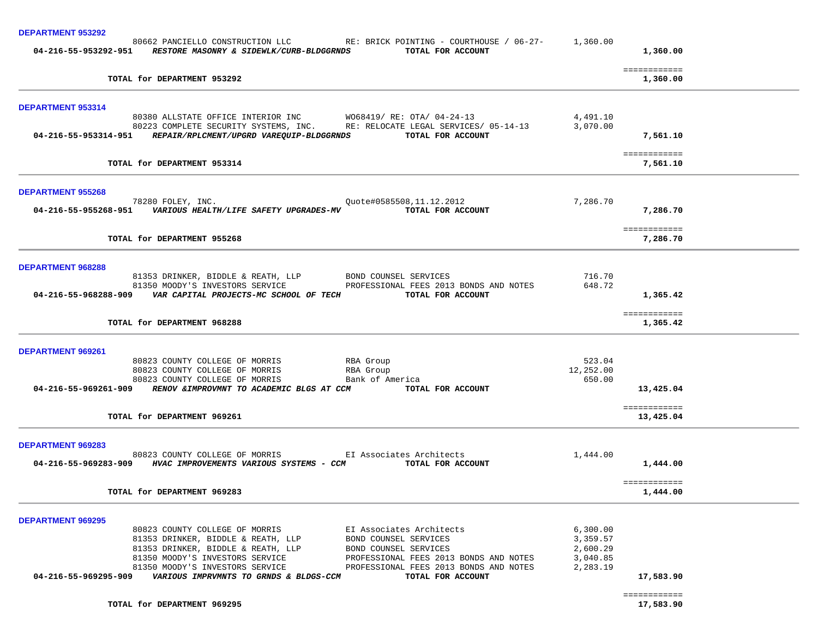| <b>DEPARTMENT 953292</b>                                                                                                                                                                                                                                                                                                                                                                                                                  |                                                          |                           |
|-------------------------------------------------------------------------------------------------------------------------------------------------------------------------------------------------------------------------------------------------------------------------------------------------------------------------------------------------------------------------------------------------------------------------------------------|----------------------------------------------------------|---------------------------|
| 80662 PANCIELLO CONSTRUCTION LLC RE: BRICK POINTING - COURTHOUSE / 06-27- 1,360.00<br>04-216-55-953292-951 RESTORE MASONRY & SIDEWLK/CURB-BLDGGRNDS TOTAL FOR ACCOUNT                                                                                                                                                                                                                                                                     |                                                          | 1,360.00                  |
| TOTAL for DEPARTMENT 953292                                                                                                                                                                                                                                                                                                                                                                                                               |                                                          | ============<br>1,360.00  |
| <b>DEPARTMENT 953314</b>                                                                                                                                                                                                                                                                                                                                                                                                                  |                                                          |                           |
| 80380 ALLSTATE OFFICE INTERIOR INC WO68419/RE: OTA/04-24-13<br>80223 COMPLETE SECURITY SYSTEMS, INC. RE: RELOCATE LEGAL SERVICES/ 05-14-13<br>04-216-55-953314-951 REPAIR/RPLCMENT/UPGRD VAREQUIP-BLDGGRNDS TOTAL FOR ACCOUNT                                                                                                                                                                                                             | 4,491.10<br>3,070.00                                     | 7,561.10                  |
| TOTAL for DEPARTMENT 953314                                                                                                                                                                                                                                                                                                                                                                                                               |                                                          | ============<br>7,561.10  |
| <b>DEPARTMENT 955268</b>                                                                                                                                                                                                                                                                                                                                                                                                                  |                                                          |                           |
| 78280 FOLEY, INC. 2012 2012 2016 2016 2020 2021 2031 2040 2021 2032 2040 2040 2041 2042 2042 2042 204<br>04-216-55-955268-951    VARIOUS HEALTH/LIFE SAFETY UPGRADES-MV    VIOTAL FOR ACCOUNT                                                                                                                                                                                                                                             | 7,286.70                                                 | 7,286.70                  |
| TOTAL for DEPARTMENT 955268                                                                                                                                                                                                                                                                                                                                                                                                               |                                                          | ============<br>7,286.70  |
| <b>DEPARTMENT 968288</b>                                                                                                                                                                                                                                                                                                                                                                                                                  |                                                          |                           |
| 81353 DRINKER, BIDDLE & REATH, LLP         BOND COUNSEL SERVICES<br>81350 MOODY'S INVESTORS SERVICE                 PROFESSIONAL FEES 2013 BONDS AND NOTES<br>04-216-55-968288-909    VAR CAPITAL PROJECTS-MC SCHOOL OF TECH    VIOTAL FOR ACCOUNT                                                                                                                                                                                        | 716.70<br>648.72                                         | 1,365.42                  |
| TOTAL for DEPARTMENT 968288                                                                                                                                                                                                                                                                                                                                                                                                               |                                                          | ============<br>1,365.42  |
| <b>DEPARTMENT 969261</b>                                                                                                                                                                                                                                                                                                                                                                                                                  |                                                          |                           |
| RBA Group<br>80823 COUNTY COLLEGE OF MORRIS<br>80823 COUNTY COLLEGE OF MORRIS RBA Group<br>80823 COUNTY COLLEGE OF MORRIS<br>Bank of America<br>04-216-55-969261-909 RENOV & IMPROVMNT TO ACADEMIC BLGS AT CCM TOTAL FOR ACCOUNT                                                                                                                                                                                                          | 523.04<br>12,252.00<br>650.00                            | 13,425.04                 |
| TOTAL for DEPARTMENT 969261                                                                                                                                                                                                                                                                                                                                                                                                               |                                                          | ============<br>13,425.04 |
| <b>DEPARTMENT 969283</b>                                                                                                                                                                                                                                                                                                                                                                                                                  |                                                          |                           |
| 80823 COUNTY COLLEGE OF MORRIS EI Associates Architects<br>04-216-55-969283-909 HVAC IMPROVEMENTS VARIOUS SYSTEMS - CCM TOTAL FOR ACCOUNT                                                                                                                                                                                                                                                                                                 |                                                          | 1,444.00                  |
| TOTAL for DEPARTMENT 969283                                                                                                                                                                                                                                                                                                                                                                                                               |                                                          | ============<br>1,444.00  |
| <b>DEPARTMENT 969295</b>                                                                                                                                                                                                                                                                                                                                                                                                                  |                                                          |                           |
| 80823 COUNTY COLLEGE OF MORRIS<br>EI Associates Architects<br>81353 DRINKER, BIDDLE & REATH, LLP<br>BOND COUNSEL SERVICES<br>81353 DRINKER, BIDDLE & REATH, LLP<br>BOND COUNSEL SERVICES<br>81350 MOODY'S INVESTORS SERVICE<br>PROFESSIONAL FEES 2013 BONDS AND NOTES<br>PROFESSIONAL FEES 2013 BONDS AND NOTES<br>81350 MOODY'S INVESTORS SERVICE<br>VARIOUS IMPRVMNTS TO GRNDS & BLDGS-CCM<br>TOTAL FOR ACCOUNT<br>04-216-55-969295-909 | 6,300.00<br>3,359.57<br>2,600.29<br>3,040.85<br>2,283.19 | 17,583.90                 |
| TOTAL for DEPARTMENT 969295                                                                                                                                                                                                                                                                                                                                                                                                               |                                                          | ============<br>17,583.90 |